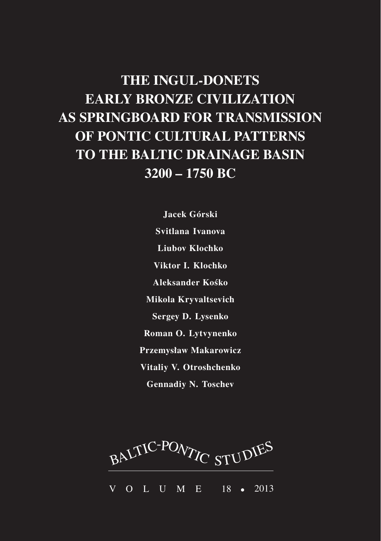# **THE INGUL-DONETS EARLY BRONZE CIVILIZATION AS SPRINGBOARD FOR TRANSMISSION OF PONTIC CULTURAL PATTERNS TO THE BALTIC DRAINAGE BASIN 3200 – 1750 BC**

**Jacek Górski Svitlana Ivanova Liubov Klochko Viktor I. Klochko Aleksander Kośko Mikola Kryvaltsevich Sergey D. Lysenko Roman O. Lytvynenko Przemysław Makarowicz Vitaliy V. Otroshchenko Gennadiy N. Toschev**

BALTIC-PONTIC STUDIES

VOLUME 18 **•** 2013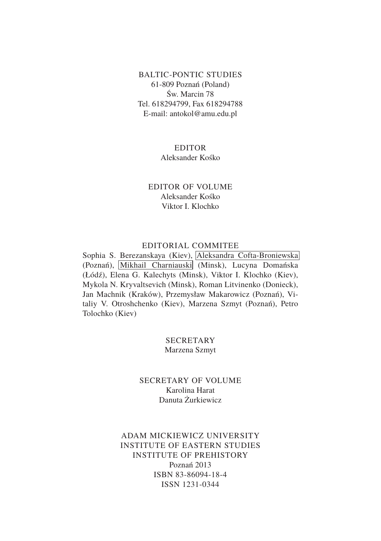BALTIC-PONTIC STUDIES 61-809 Poznań (Poland) Św. Marcin 78 Tel. 618294799, Fax 618294788 E-mail: antokol@amu.edu.pl

# EDITOR

# Aleksander Kośko

# EDITOR OF VOLUME Aleksander Kośko Viktor I. Klochko

#### EDITORIAL COMMITEE

Sophia S. Berezanskaya (Kiev), Aleksandra Cofta-Broniewska (Poznań), Mikhail Charniauski (Minsk), Lucyna Domańska (Łódź), Elena G. Kalechyts (Minsk), Viktor I. Klochko (Kiev), Mykola N. Kryvaltsevich (Minsk), Roman Litvinenko (Donieck), Jan Machnik (Kraków), Przemysław Makarowicz (Poznań), Vitaliy V. Otroshchenko (Kiev), Marzena Szmyt (Poznań), Petro Tolochko (Kiev)

> SECRETARY Marzena Szmyt

# SECRETARY OF VOLUME Karolina Harat Danuta Żurkiewicz

# ADAM MICKIEWICZ UNIVERSITY INSTITUTE OF EASTERN STUDIES INSTITUTE OF PREHISTORY Poznań 2013 ISBN 83-86094-18-4 ISSN 1231-0344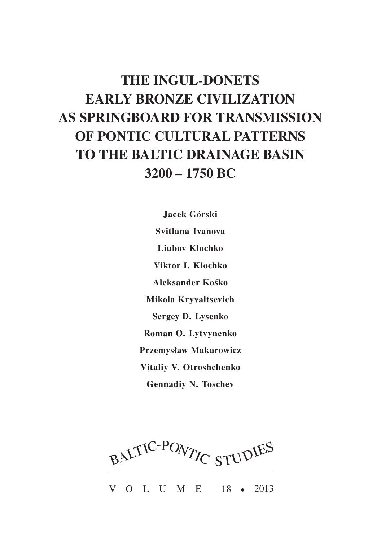# **THE INGUL-DONETS EARLY BRONZE CIVILIZATION AS SPRINGBOARD FOR TRANSMISSION OF PONTIC CULTURAL PATTERNS TO THE BALTIC DRAINAGE BASIN 3200 – 1750 BC**

**Jacek Górski Svitlana Ivanova Liubov Klochko Viktor I. Klochko Aleksander Kośko Mikola Kryvaltsevich Sergey D. Lysenko Roman O. Lytvynenko Przemysław Makarowicz Vitaliy V. Otroshchenko Gennadiy N. Toschev**

BALTIC-PONTIC STUDIES VOLUME 18 **•** 2013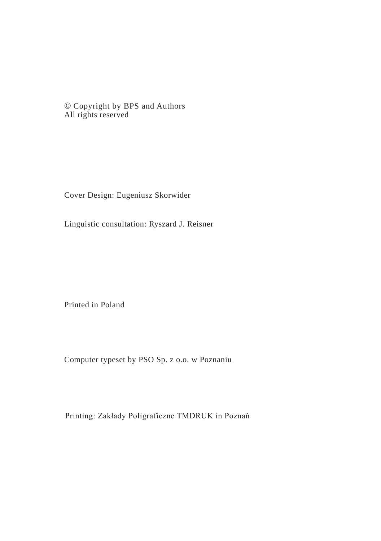© Copyright by BPS and Authors All rights reserved

Cover Design: Eugeniusz Skorwider

Linguistic consultation: Ryszard J. Reisner

Printed in Poland

Computer typeset by PSO Sp. z o.o. w Poznaniu

Printing: Zakłady Poligraficzne TMDRUK in Poznań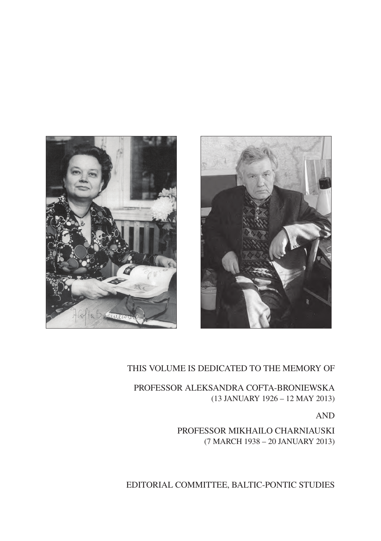

# THIS VOLUME IS DEDICATED TO THE MEMORY OF

PROFESSOR ALEKSANDRA COFTA-BRONIEWSKA (13 JANUARY 1926 – 12 MAY 2013)

AND

PROFESSOR MIKHAILO CHARNIAUSKI (7 MARCH 1938 – 20 JANUARY 2013)

EDITORIAL COMMITTEE, BALTIC-PONTIC STUDIES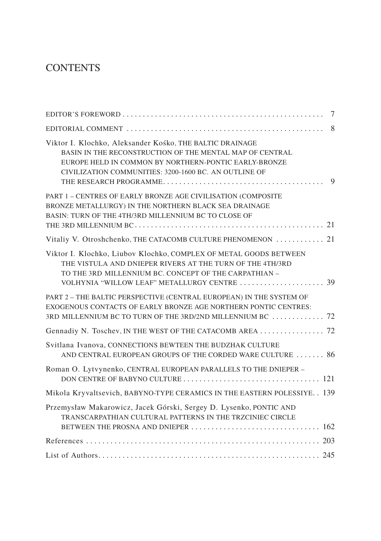# **CONTENTS**

| Viktor I. Klochko, Aleksander Kośko, THE BALTIC DRAINAGE<br>BASIN IN THE RECONSTRUCTION OF THE MENTAL MAP OF CENTRAL<br>EUROPE HELD IN COMMON BY NORTHERN-PONTIC EARLY-BRONZE<br>CIVILIZATION COMMUNITIES: 3200-1600 BC. AN OUTLINE OF |
|----------------------------------------------------------------------------------------------------------------------------------------------------------------------------------------------------------------------------------------|
| PART 1 - CENTRES OF EARLY BRONZE AGE CIVILISATION (COMPOSITE<br>BRONZE METALLURGY) IN THE NORTHERN BLACK SEA DRAINAGE<br>BASIN: TURN OF THE 4TH/3RD MILLENNIUM BC TO CLOSE OF                                                          |
| Vitaliy V. Otroshchenko, THE CATACOMB CULTURE PHENOMENON  21                                                                                                                                                                           |
| Viktor I. Klochko, Liubov Klochko, COMPLEX OF METAL GOODS BETWEEN<br>THE VISTULA AND DNIEPER RIVERS AT THE TURN OF THE 4TH/3RD<br>TO THE 3RD MILLENNIUM BC. CONCEPT OF THE CARPATHIAN -                                                |
| PART 2 - THE BALTIC PERSPECTIVE (CENTRAL EUROPEAN) IN THE SYSTEM OF<br>EXOGENOUS CONTACTS OF EARLY BRONZE AGE NORTHERN PONTIC CENTRES:<br>3RD MILLENNIUM BC TO TURN OF THE 3RD/2ND MILLENNIUM BC  72                                   |
| Gennadiy N. Toschev, IN THE WEST OF THE CATACOMB AREA  72                                                                                                                                                                              |
| Svitlana Ivanova, CONNECTIONS BEWTEEN THE BUDZHAK CULTURE<br>AND CENTRAL EUROPEAN GROUPS OF THE CORDED WARE CULTURE  86                                                                                                                |
| Roman O. Lytvynenko, CENTRAL EUROPEAN PARALLELS TO THE DNIEPER -                                                                                                                                                                       |
| Mikola Kryvaltsevich, BABYNO-TYPE CERAMICS IN THE EASTERN POLESSIYE. . 139                                                                                                                                                             |
| Przemysław Makarowicz, Jacek Górski, Sergey D. Lysenko, PONTIC AND<br>TRANSCARPATHIAN CULTURAL PATTERNS IN THE TRZCINIEC CIRCLE                                                                                                        |
|                                                                                                                                                                                                                                        |
|                                                                                                                                                                                                                                        |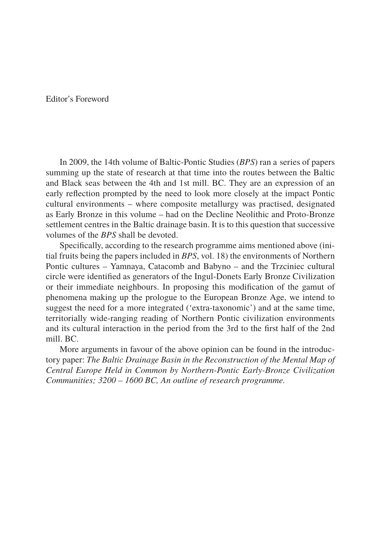Editor's Foreword

In 2009, the 14th volume of Baltic-Pontic Studies (*BPS*) ran a series of papers summing up the state of research at that time into the routes between the Baltic and Black seas between the 4th and 1st mill. BC. They are an expression of an early reflection prompted by the need to look more closely at the impact Pontic cultural environments – where composite metallurgy was practised, designated as Early Bronze in this volume – had on the Decline Neolithic and Proto-Bronze settlement centres in the Baltic drainage basin. It is to this question that successive volumes of the *BPS* shall be devoted.

Specifically, according to the research programme aims mentioned above (initial fruits being the papers included in *BPS*, vol. 18) the environments of Northern Pontic cultures – Yamnaya, Catacomb and Babyno – and the Trzciniec cultural circle were identified as generators of the Ingul-Donets Early Bronze Civilization or their immediate neighbours. In proposing this modification of the gamut of phenomena making up the prologue to the European Bronze Age, we intend to suggest the need for a more integrated ('extra-taxonomic') and at the same time, territorially wide-ranging reading of Northern Pontic civilization environments and its cultural interaction in the period from the 3rd to the first half of the 2nd mill. BC.

More arguments in favour of the above opinion can be found in the introductory paper: *The Baltic Drainage Basin in the Reconstruction of the Mental Map of Central Europe Held in Common by Northern-Pontic Early-Bronze Civilization Communities; 3200 – 1600 BC, An outline of research programme.*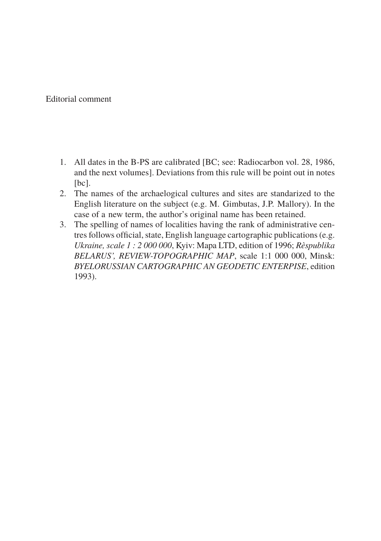Editorial comment

- 1. All dates in the B-PS are calibrated [BC; see: Radiocarbon vol. 28, 1986, and the next volumes]. Deviations from this rule will be point out in notes  $[bc]$ .
- 2. The names of the archaelogical cultures and sites are standarized to the English literature on the subject (e.g. M. Gimbutas, J.P. Mallory). In the case of a new term, the author's original name has been retained.
- 3. The spelling of names of localities having the rank of administrative centres follows official, state, English language cartographic publications (e.g. *Ukraine, scale 1 : 2 000 000*, Kyiv: Mapa LTD, edition of 1996; *Rèspublika BELARUS', REVIEW-TOPOGRAPHIC MAP*, scale 1:1 000 000, Minsk: *BYELORUSSIAN CARTOGRAPHIC AN GEODETIC ENTERPISE*, edition 1993).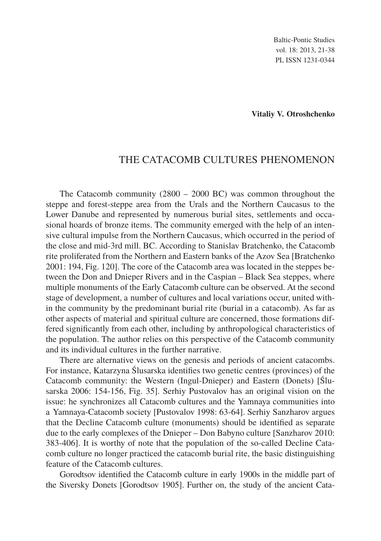Baltic-Pontic Studies vol. 18: 2013, 21-38 PL ISSN 1231-0344

#### **Vitaliy V. Otroshchenko**

# THE CATACOMB CULTURES PHENOMENON

The Catacomb community (2800 – 2000 BC) was common throughout the steppe and forest-steppe area from the Urals and the Northern Caucasus to the Lower Danube and represented by numerous burial sites, settlements and occasional hoards of bronze items. The community emerged with the help of an intensive cultural impulse from the Northern Caucasus, which occurred in the period of the close and mid-3rd mill. BC. According to Stanislav Bratchenko, the Catacomb rite proliferated from the Northern and Eastern banks of the Azov Sea [Bratchenko 2001: 194, Fig. 120]. The core of the Catacomb area was located in the steppes between the Don and Dnieper Rivers and in the Caspian – Black Sea steppes, where multiple monuments of the Early Catacomb culture can be observed. At the second stage of development, a number of cultures and local variations occur, united within the community by the predominant burial rite (burial in a catacomb). As far as other aspects of material and spiritual culture are concerned, those formations differed significantly from each other, including by anthropological characteristics of the population. The author relies on this perspective of the Catacomb community and its individual cultures in the further narrative.

There are alternative views on the genesis and periods of ancient catacombs. For instance, Katarzyna Ślusarska identifies two genetic centres (provinces) of the Catacomb community: the Western (Ingul-Dnieper) and Eastern (Donets) [Ślusarska 2006: 154-156, Fig. 35]. Serhiy Pustovalov has an original vision on the issue: he synchronizes all Catacomb cultures and the Yamnaya communities into a Yamnaya-Catacomb society [Pustovalov 1998: 63-64]. Serhiy Sanzharov argues that the Decline Catacomb culture (monuments) should be identified as separate due to the early complexes of the Dnieper – Don Babyno culture [Sanzharov 2010: 383-406]. It is worthy of note that the population of the so-called Decline Catacomb culture no longer practiced the catacomb burial rite, the basic distinguishing feature of the Catacomb cultures.

Gorodtsov identified the Catacomb culture in early 1900s in the middle part of the Siversky Donets [Gorodtsov 1905]. Further on, the study of the ancient Cata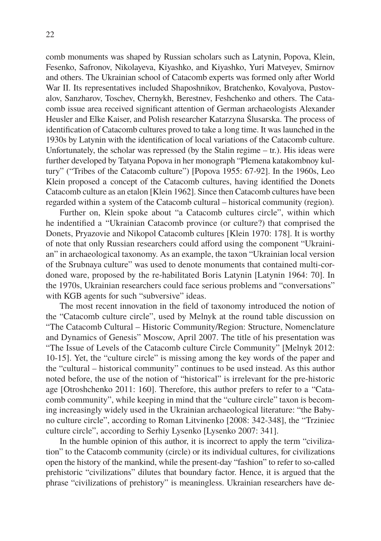comb monuments was shaped by Russian scholars such as Latynin, Popova, Klein, Fesenko, Safronov, Nikolayeva, Kiyashko, and Kiyashko, Yuri Matveyev, Smirnov and others. The Ukrainian school of Catacomb experts was formed only after World War II. Its representatives included Shaposhnikov, Bratchenko, Kovalyova, Pustovalov, Sanzharov, Toschev, Chernykh, Berestnev, Feshchenko and others. The Catacomb issue area received significant attention of German archaeologists Alexander Heusler and Elke Kaiser, and Polish researcher Katarzyna Ślusarska. The process of identification of Catacomb cultures proved to take a long time. It was launched in the 1930s by Latynin with the identification of local variations of the Catacomb culture. Unfortunately, the scholar was repressed (by the Stalin regime  $-$  tr.). His ideas were further developed by Tatyana Popova in her monograph "Plemena katakombnoy kultury" ("Tribes of the Catacomb culture") [Popova 1955: 67-92]. In the 1960s, Leo Klein proposed a concept of the Catacomb cultures, having identified the Donets Catacomb culture as an etalon [Klein 1962]. Since then Catacomb cultures have been regarded within a system of the Catacomb cultural – historical community (region).

Further on, Klein spoke about "a Catacomb cultures circle", within which he indentified a "Ukrainian Catacomb province (or culture?) that comprised the Donets, Pryazovie and Nikopol Catacomb cultures [Klein 1970: 178]. It is worthy of note that only Russian researchers could afford using the component "Ukrainian" in archaeological taxonomy. As an example, the taxon "Ukrainian local version of the Srubnaya culture" was used to denote monuments that contained multi-cordoned ware, proposed by the re-habilitated Boris Latynin [Latynin 1964: 70]. In the 1970s, Ukrainian researchers could face serious problems and "conversations" with KGB agents for such "subversive" ideas.

The most recent innovation in the field of taxonomy introduced the notion of the "Catacomb culture circle", used by Melnyk at the round table discussion on "The Catacomb Cultural – Historic Community/Region: Structure, Nomenclature and Dynamics of Genesis" Moscow, April 2007. The title of his presentation was "The Issue of Levels of the Catacomb culture Circle Community" [Melnyk 2012: 10-15]. Yet, the "culture circle" is missing among the key words of the paper and the "cultural – historical community" continues to be used instead. As this author noted before, the use of the notion of "historical" is irrelevant for the pre-historic age [Otroshchenko 2011: 160]. Therefore, this author prefers to refer to a "Catacomb community", while keeping in mind that the "culture circle" taxon is becoming increasingly widely used in the Ukrainian archaeological literature: "the Babyno culture circle", according to Roman Litvinenko [2008: 342-348], the "Trziniec culture circle", according to Serhiy Lysenko [Lysenko 2007: 341].

In the humble opinion of this author, it is incorrect to apply the term "civilization" to the Catacomb community (circle) or its individual cultures, for civilizations open the history of the mankind, while the present-day "fashion" to refer to so-called prehistoric "civilizations" dilutes that boundary factor. Hence, it is argued that the phrase "civilizations of prehistory" is meaningless. Ukrainian researchers have de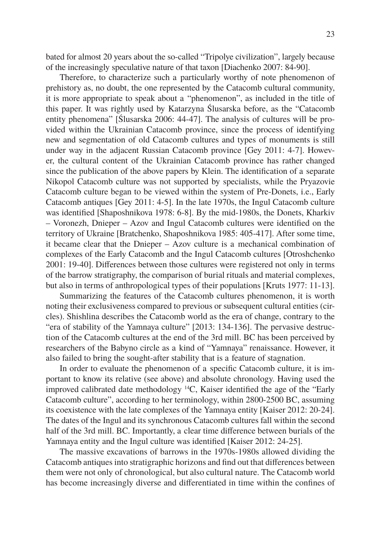bated for almost 20 years about the so-called "Tripolye civilization", largely because of the increasingly speculative nature of that taxon [Diachenko 2007: 84-90].

Therefore, to characterize such a particularly worthy of note phenomenon of prehistory as, no doubt, the one represented by the Catacomb cultural community, it is more appropriate to speak about a "phenomenon", as included in the title of this paper. It was rightly used by Katarzyna Ślusarska before, as the "Catacomb entity phenomena" [Ślusarska 2006: 44-47]. The analysis of cultures will be provided within the Ukrainian Catacomb province, since the process of identifying new and segmentation of old Catacomb cultures and types of monuments is still under way in the adjacent Russian Catacomb province [Gey 2011: 4-7]. However, the cultural content of the Ukrainian Catacomb province has rather changed since the publication of the above papers by Klein. The identification of a separate Nikopol Catacomb culture was not supported by specialists, while the Pryazovie Catacomb culture began to be viewed within the system of Pre-Donets, i.e., Early Catacomb antiques [Gey 2011: 4-5]. In the late 1970s, the Ingul Catacomb culture was identified [Shaposhnikova 1978: 6-8]. By the mid-1980s, the Donets, Kharkiv – Voronezh, Dnieper – Azov and Ingul Catacomb cultures were identified on the territory of Ukraine [Bratchenko, Shaposhnikova 1985: 405-417]. After some time, it became clear that the Dnieper – Azov culture is a mechanical combination of complexes of the Early Catacomb and the Ingul Catacomb cultures [Otroshchenko 2001: 19-40]. Differences between those cultures were registered not only in terms of the barrow stratigraphy, the comparison of burial rituals and material complexes, but also in terms of anthropological types of their populations [Kruts 1977: 11-13].

Summarizing the features of the Catacomb cultures phenomenon, it is worth noting their exclusiveness compared to previous or subsequent cultural entities (circles). Shishlina describes the Catacomb world as the era of change, contrary to the "era of stability of the Yamnaya culture" [2013: 134-136]. The pervasive destruction of the Catacomb cultures at the end of the 3rd mill. BC has been perceived by researchers of the Babyno circle as a kind of "Yamnaya" renaissance. However, it also failed to bring the sought-after stability that is a feature of stagnation.

In order to evaluate the phenomenon of a specific Catacomb culture, it is important to know its relative (see above) and absolute chronology. Having used the improved calibrated date methodology 14C, Kaiser identified the age of the "Early Catacomb culture", according to her terminology, within 2800-2500 BC, assuming its coexistence with the late complexes of the Yamnaya entity [Kaiser 2012: 20-24]. The dates of the Ingul and its synchronous Catacomb cultures fall within the second half of the 3rd mill. BC. Importantly, a clear time difference between burials of the Yamnaya entity and the Ingul culture was identified [Kaiser 2012: 24-25].

The massive excavations of barrows in the 1970s-1980s allowed dividing the Catacomb antiques into stratigraphic horizons and find out that differences between them were not only of chronological, but also cultural nature. The Catacomb world has become increasingly diverse and differentiated in time within the confines of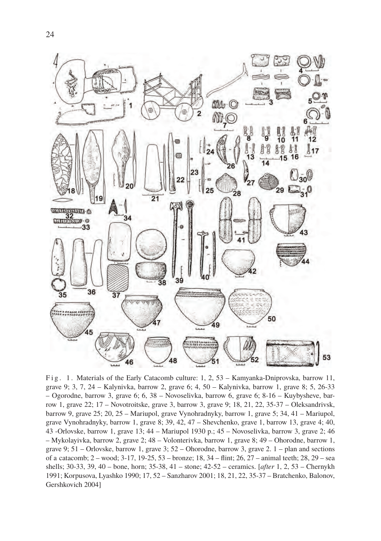

Fig. 1. Materials of the Early Catacomb culture: 1, 2, 53 – Kamyanka-Dniprovska, barrow 11, grave 9; 3, 7, 24 – Kalynivka, barrow 2, grave 6; 4, 50 – Kalynivka, barrow 1, grave 8; 5, 26-33 – Ogorodne, barrow 3, grave 6; 6, 38 – Novoselivka, barrow 6, grave 6; 8-16 – Kuybysheve, barrow 1, grave 22; 17 – Novotroitske, grave 3, barrow 3, grave 9; 18, 21, 22, 35-37 – Oleksandrivsk, barrow 9, grave 25; 20, 25 – Mariupol, grave Vynohradnyky, barrow 1, grave 5; 34, 41 – Mariupol, grave Vynohradnyky, barrow 1, grave 8; 39, 42, 47 – Shevchenko, grave 1, barrow 13, grave 4; 40, 43 -Orlovske, barrow 1, grave 13; 44 – Mariupol 1930 p.; 45 – Novoselivka, barrow 3, grave 2; 46 – Mykolayivka, barrow 2, grave 2; 48 – Volonterivka, barrow 1, grave 8; 49 – Ohorodne, barrow 1, grave 9; 51 – Orlovske, barrow 1, grave 3; 52 – Ohorodne, barrow 3, grave 2. 1 – plan and sections of a catacomb; 2 – wood; 3-17, 19-25, 53 – bronze; 18, 34 – flint; 26, 27 – animal teeth; 28, 29 – sea shells; 30-33, 39, 40 – bone, horn; 35-38, 41 – stone; 42-52 – ceramics. [*after* 1, 2, 53 – Chernykh 1991; Korpusova, Lyashko 1990; 17, 52 – Sanzharov 2001; 18, 21, 22, 35-37 – Bratchenko, Balonov, Gershkovich 2004]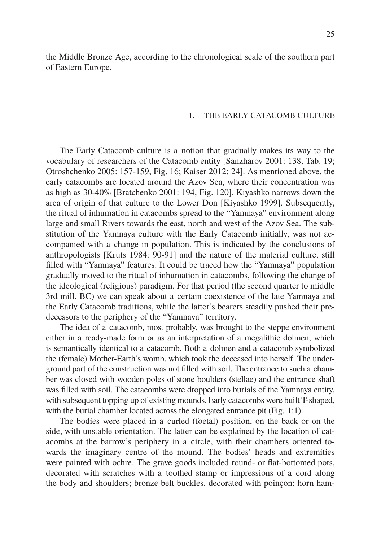the Middle Bronze Age, according to the chronological scale of the southern part of Eastern Europe.

#### 1. The Early Catacomb culture

The Early Catacomb culture is a notion that gradually makes its way to the vocabulary of researchers of the Catacomb entity [Sanzharov 2001: 138, Tab. 19; Otroshchenko 2005: 157-159, Fig. 16; Kaiser 2012: 24]. As mentioned above, the early catacombs are located around the Azov Sea, where their concentration was as high as 30-40% [Bratchenko 2001: 194, Fig. 120]. Kiyashko narrows down the area of origin of that culture to the Lower Don [Kiyashko 1999]. Subsequently, the ritual of inhumation in catacombs spread to the "Yamnaya" environment along large and small Rivers towards the east, north and west of the Azov Sea. The substitution of the Yamnaya culture with the Early Catacomb initially, was not accompanied with a change in population. This is indicated by the conclusions of anthropologists [Kruts 1984: 90-91] and the nature of the material culture, still filled with "Yamnaya" features. It could be traced how the "Yamnaya" population gradually moved to the ritual of inhumation in catacombs, following the change of the ideological (religious) paradigm. For that period (the second quarter to middle 3rd mill. BC) we can speak about a certain coexistence of the late Yamnaya and the Early Catacomb traditions, while the latter's bearers steadily pushed their predecessors to the periphery of the "Yamnaya" territory.

The idea of a catacomb, most probably, was brought to the steppe environment either in a ready-made form or as an interpretation of a megalithic dolmen, which is semantically identical to a catacomb. Both a dolmen and a catacomb symbolized the (female) Mother-Earth's womb, which took the deceased into herself. The underground part of the construction was not filled with soil. The entrance to such a chamber was closed with wooden poles of stone boulders (stellae) and the entrance shaft was filled with soil. The catacombs were dropped into burials of the Yamnaya entity, with subsequent topping up of existing mounds. Early catacombs were built T-shaped, with the burial chamber located across the elongated entrance pit (Fig. 1:1).

The bodies were placed in a curled (foetal) position, on the back or on the side, with unstable orientation. The latter can be explained by the location of catacombs at the barrow's periphery in a circle, with their chambers oriented towards the imaginary centre of the mound. The bodies' heads and extremities were painted with ochre. The grave goods included round- or flat-bottomed pots, decorated with scratches with a toothed stamp or impressions of a cord along the body and shoulders; bronze belt buckles, decorated with poinçon; horn ham-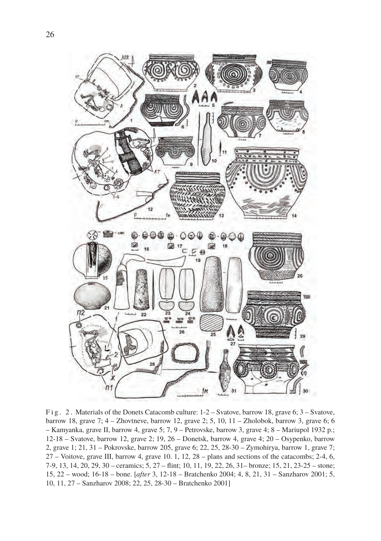

Fig. 2. Materials of the Donets Catacomb culture: 1-2 – Svatove, barrow 18, grave 6; 3 – Svatove, barrow 18, grave 7; 4 – Zhovtneve, barrow 12, grave 2; 5, 10, 11 – Zholobok, barrow 3, grave 6; 6 – Kamyanka, grave II, barrow 4, grave 5; 7, 9 – Petrovske, barrow 3, grave 4; 8 – Mariupol 1932 p.; 12-18 – Svatove, barrow 12, grave 2; 19, 26 – Donetsk, barrow 4, grave 4; 20 – Osypenko, barrow 2, grave 1; 21, 31 – Pokrovske, barrow 205, grave 6; 22, 25, 28-30 – Zymohirya, barrow 1, grave 7;  $27 -$  Voitove, grave III, barrow 4, grave 10. 1, 12,  $28 -$  plans and sections of the catacombs;  $2-4$ , 6, 7-9, 13, 14, 20, 29, 30 – ceramics; 5, 27 – flint; 10, 11, 19, 22, 26, 31– bronze; 15, 21, 23-25 – stone; 15, 22 – wood; 16-18 – bone. [*after* 3, 12-18 – Bratchenko 2004; 4, 8, 21, 31 – Sanzharov 2001; 5, 10, 11, 27 – Sanzharov 2008; 22, 25, 28-30 – Bratchenko 2001]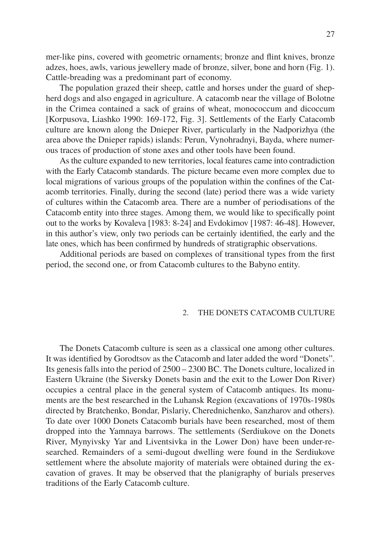mer-like pins, covered with geometric ornaments; bronze and flint knives, bronze adzes, hoes, awls, various jewellery made of bronze, silver, bone and horn (Fig. 1). Cattle-breading was a predominant part of economy.

The population grazed their sheep, cattle and horses under the guard of shepherd dogs and also engaged in agriculture. A catacomb near the village of Bolotne in the Crimea contained a sack of grains of wheat, monococcum and dicoccum [Korpusova, Liashko 1990: 169-172, Fig. 3]. Settlements of the Early Catacomb culture are known along the Dnieper River, particularly in the Nadporizhya (the area above the Dnieper rapids) islands: Perun, Vynohradnyi, Bayda, where numerous traces of production of stone axes and other tools have been found.

As the culture expanded to new territories, local features came into contradiction with the Early Catacomb standards. The picture became even more complex due to local migrations of various groups of the population within the confines of the Catacomb territories. Finally, during the second (late) period there was a wide variety of cultures within the Catacomb area. There are a number of periodisations of the Catacomb entity into three stages. Among them, we would like to specifically point out to the works by Kovaleva [1983: 8-24] and Evdokimov [1987: 46-48]. However, in this author's view, only two periods can be certainly identified, the early and the late ones, which has been confirmed by hundreds of stratigraphic observations.

Additional periods are based on complexes of transitional types from the first period, the second one, or from Catacomb cultures to the Babyno entity.

#### 2. THE DONETS CATACOMB CULTURE

The Donets Catacomb culture is seen as a classical one among other cultures. It was identified by Gorodtsov as the Catacomb and later added the word "Donets". Its genesis falls into the period of 2500 – 2300 BC. The Donets culture, localized in Eastern Ukraine (the Siversky Donets basin and the exit to the Lower Don River) occupies a central place in the general system of Catacomb antiques. Its monuments are the best researched in the Luhansk Region (excavations of 1970s-1980s directed by Bratchenko, Bondar, Pislariy, Cherednichenko, Sanzharov and others). To date over 1000 Donets Catacomb burials have been researched, most of them dropped into the Yamnaya barrows. The settlements (Serdiukove on the Donets River, Mynyivsky Yar and Liventsivka in the Lower Don) have been under-researched. Remainders of a semi-dugout dwelling were found in the Serdiukove settlement where the absolute majority of materials were obtained during the excavation of graves. It may be observed that the planigraphy of burials preserves traditions of the Early Catacomb culture.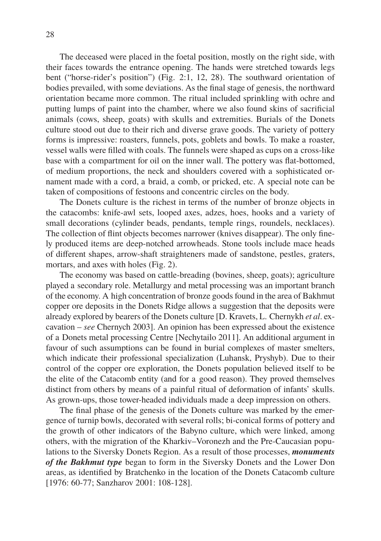The deceased were placed in the foetal position, mostly on the right side, with their faces towards the entrance opening. The hands were stretched towards legs bent ("horse-rider's position") (Fig. 2:1, 12, 28). The southward orientation of bodies prevailed, with some deviations. As the final stage of genesis, the northward orientation became more common. The ritual included sprinkling with ochre and putting lumps of paint into the chamber, where we also found skins of sacrificial animals (cows, sheep, goats) with skulls and extremities. Burials of the Donets culture stood out due to their rich and diverse grave goods. The variety of pottery forms is impressive: roasters, funnels, pots, goblets and bowls. To make a roaster, vessel walls were filled with coals. The funnels were shaped as cups on a cross-like base with a compartment for oil on the inner wall. The pottery was flat-bottomed, of medium proportions, the neck and shoulders covered with a sophisticated ornament made with a cord, a braid, a comb, or pricked, etc. A special note can be taken of compositions of festoons and concentric circles on the body.

The Donets culture is the richest in terms of the number of bronze objects in the catacombs: knife-awl sets, looped axes, adzes, hoes, hooks and a variety of small decorations (cylinder beads, pendants, temple rings, roundels, necklaces). The collection of flint objects becomes narrower (knives disappear). The only finely produced items are deep-notched arrowheads. Stone tools include mace heads of different shapes, arrow-shaft straighteners made of sandstone, pestles, graters, mortars, and axes with holes (Fig. 2).

The economy was based on cattle-breading (bovines, sheep, goats); agriculture played a secondary role. Metallurgy and metal processing was an important branch of the economy. A high concentration of bronze goods found in the area of Bakhmut copper ore deposits in the Donets Ridge allows a suggestion that the deposits were already explored by bearers of the Donets culture [D. Kravets, L. Chernykh *et al*. excavation – *see* Chernych 2003]. An opinion has been expressed about the existence of a Donets metal processing Centre [Nechytailo 2011]. An additional argument in favour of such assumptions can be found in burial complexes of master smelters, which indicate their professional specialization (Luhansk, Pryshyb). Due to their control of the copper ore exploration, the Donets population believed itself to be the elite of the Catacomb entity (and for a good reason). They proved themselves distinct from others by means of a painful ritual of deformation of infants' skulls. As grown-ups, those tower-headed individuals made a deep impression on others.

The final phase of the genesis of the Donets culture was marked by the emergence of turnip bowls, decorated with several rolls; bi-conical forms of pottery and the growth of other indicators of the Babyno culture, which were linked, among others, with the migration of the Kharkiv–Voronezh and the Pre-Caucasian populations to the Siversky Donets Region. As a result of those processes, *monuments of the Bakhmut type* began to form in the Siversky Donets and the Lower Don areas, as identified by Bratchenko in the location of the Donets Catacomb culture [1976: 60-77; Sanzharov 2001: 108-128].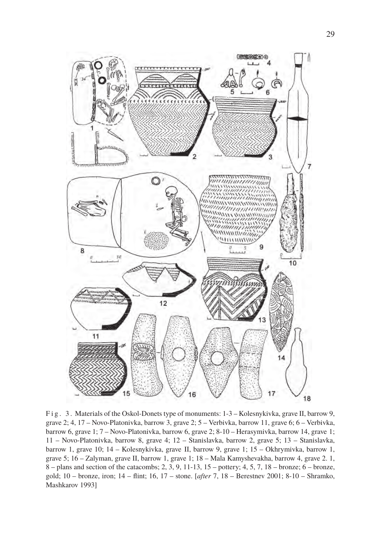

Fig. 3. Materials of the Oskol-Donets type of monuments:  $1-3 -$ Kolesnykivka, grave II, barrow 9, grave 2; 4, 17 – Novo-Platonivka, barrow 3, grave 2; 5 – Verbivka, barrow 11, grave 6; 6 – Verbivka, barrow 6, grave 1; 7 – Novo-Platonivka, barrow 6, grave 2; 8-10 – Herasymivka, barrow 14, grave 1; 11 – Novo-Platonivka, barrow 8, grave 4; 12 – Stanislavka, barrow 2, grave 5; 13 – Stanislavka, barrow 1, grave 10; 14 – Kolesnykivka, grave II, barrow 9, grave 1; 15 – Okhrymivka, barrow 1, grave 5; 16 – Zalyman, grave II, barrow 1, grave 1; 18 – Mala Kamyshevakha, barrow 4, grave 2. 1, 8 – plans and section of the catacombs; 2, 3, 9, 11-13, 15 – pottery; 4, 5, 7, 18 – bronze; 6 – bronze, gold; 10 – bronze, iron; 14 – flint; 16, 17 – stone. [*after* 7, 18 – Berestnev 2001; 8-10 – Shramko, Mashkarov 1993]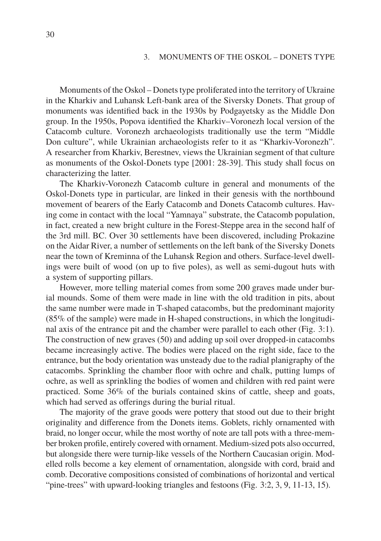#### 3. Monuments of the Oskol – Donets type

Monuments of the Oskol – Donets type proliferated into the territory of Ukraine in the Kharkiv and Luhansk Left-bank area of the Siversky Donets. That group of monuments was identified back in the 1930s by Podgayetsky as the Middle Don group. In the 1950s, Popova identified the Kharkiv–Voronezh local version of the Catacomb culture. Voronezh archaeologists traditionally use the term "Middle Don culture", while Ukrainian archaeologists refer to it as "Kharkiv-Voronezh". A researcher from Kharkiv, Berestnev, views the Ukrainian segment of that culture as monuments of the Oskol-Donets type [2001: 28-39]. This study shall focus on characterizing the latter.

The Kharkiv-Voronezh Catacomb culture in general and monuments of the Oskol-Donets type in particular, are linked in their genesis with the northbound movement of bearers of the Early Catacomb and Donets Catacomb cultures. Having come in contact with the local "Yamnaya" substrate, the Catacomb population, in fact, created a new bright culture in the Forest-Steppe area in the second half of the 3rd mill. BC. Over 30 settlements have been discovered, including Prokazine on the Aidar River, a number of settlements on the left bank of the Siversky Donets near the town of Kreminna of the Luhansk Region and others. Surface-level dwellings were built of wood (on up to five poles), as well as semi-dugout huts with a system of supporting pillars.

However, more telling material comes from some 200 graves made under burial mounds. Some of them were made in line with the old tradition in pits, about the same number were made in T-shaped catacombs, but the predominant majority (85% of the sample) were made in H-shaped constructions, in which the longitudinal axis of the entrance pit and the chamber were parallel to each other (Fig. 3:1). The construction of new graves (50) and adding up soil over dropped-in catacombs became increasingly active. The bodies were placed on the right side, face to the entrance, but the body orientation was unsteady due to the radial planigraphy of the catacombs. Sprinkling the chamber floor with ochre and chalk, putting lumps of ochre, as well as sprinkling the bodies of women and children with red paint were practiced. Some 36% of the burials contained skins of cattle, sheep and goats, which had served as offerings during the burial ritual.

The majority of the grave goods were pottery that stood out due to their bright originality and difference from the Donets items. Goblets, richly ornamented with braid, no longer occur, while the most worthy of note are tall pots with a three-member broken profile, entirely covered with ornament. Medium-sized pots also occurred, but alongside there were turnip-like vessels of the Northern Caucasian origin. Modelled rolls become a key element of ornamentation, alongside with cord, braid and comb. Decorative compositions consisted of combinations of horizontal and vertical "pine-trees" with upward-looking triangles and festoons (Fig. 3:2, 3, 9, 11-13, 15).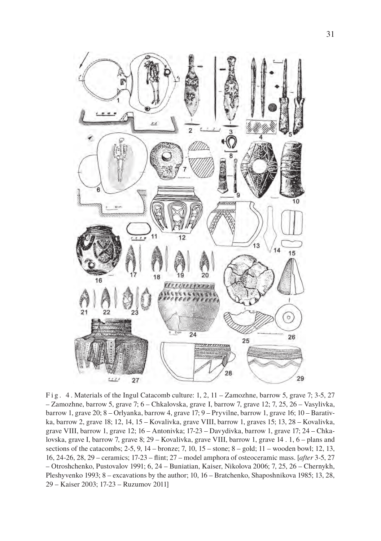

Fig. 4. Materials of the Ingul Catacomb culture: 1, 2, 11 – Zamozhne, barrow 5, grave 7; 3-5, 27 – Zamozhne, barrow 5, grave 7; 6 – Chkalovska, grave I, barrow 7, grave 12; 7, 25, 26 – Vasylivka, barrow 1, grave 20; 8 – Orlyanka, barrow 4, grave 17; 9 – Pryvilne, barrow 1, grave 16; 10 – Barativka, barrow 2, grave 18; 12, 14, 15 – Kovalivka, grave VIII, barrow 1, graves 15; 13, 28 – Kovalivka, grave VIII, barrow 1, grave 12; 16 – Antonivka; 17-23 – Davydivka, barrow 1, grave 17; 24 – Chkalovska, grave I, barrow 7, grave 8; 29 – Kovalivka, grave VIII, barrow 1, grave 14 . 1, 6 – plans and sections of the catacombs; 2-5, 9,  $14$  – bronze; 7, 10,  $15$  – stone;  $8$  – gold;  $11$  – wooden bowl; 12, 13, 16, 24-26, 28, 29 – ceramics; 17-23 – flint; 27 – model amphora of osteoceramic mass. [*after* 3-5, 27 – Otroshchenko, Pustovalov 1991; 6, 24 – Buniatian, Kaiser, Nikolova 2006; 7, 25, 26 – Chernykh, Pleshyvenko 1993; 8 – excavations by the author; 10, 16 – Bratchenko, Shaposhnikova 1985; 13, 28, 29 – Kaiser 2003; 17-23 – Ruzumov 2011]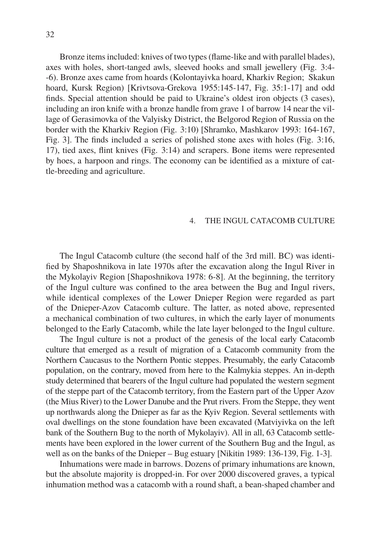Bronze items included: knives of two types (flame-like and with parallel blades), axes with holes, short-tanged awls, sleeved hooks and small jewellery (Fig. 3:4- -6). Bronze axes came from hoards (Kolontayivka hoard, Kharkiv Region; Skakun hoard, Kursk Region) [Krivtsova-Grekova 1955:145-147, Fig. 35:1-17] and odd finds. Special attention should be paid to Ukraine's oldest iron objects (3 cases), including an iron knife with a bronze handle from grave 1 of barrow 14 near the village of Gerasimovka of the Valyisky District, the Belgorod Region of Russia on the border with the Kharkiv Region (Fig. 3:10) [Shramko, Mashkarov 1993: 164-167, Fig. 3]. The finds included a series of polished stone axes with holes (Fig. 3:16, 17), tied axes, flint knives (Fig. 3:14) and scrapers. Bone items were represented by hoes, a harpoon and rings. The economy can be identified as a mixture of cattle-breeding and agriculture.

#### 4. The Ingul Catacomb culture

The Ingul Catacomb culture (the second half of the 3rd mill. BC) was identified by Shaposhnikova in late 1970s after the excavation along the Ingul River in the Mykolayiv Region [Shaposhnikova 1978: 6-8]. At the beginning, the territory of the Ingul culture was confined to the area between the Bug and Ingul rivers, while identical complexes of the Lower Dnieper Region were regarded as part of the Dnieper-Azov Catacomb culture. The latter, as noted above, represented a mechanical combination of two cultures, in which the early layer of monuments belonged to the Early Catacomb, while the late layer belonged to the Ingul culture.

The Ingul culture is not a product of the genesis of the local early Catacomb culture that emerged as a result of migration of a Catacomb community from the Northern Caucasus to the Northern Pontic steppes. Presumably, the early Catacomb population, on the contrary, moved from here to the Kalmykia steppes. An in-depth study determined that bearers of the Ingul culture had populated the western segment of the steppe part of the Catacomb territory, from the Eastern part of the Upper Azov (the Mius River) to the Lower Danube and the Prut rivers. From the Steppe, they went up northwards along the Dnieper as far as the Kyiv Region. Several settlements with oval dwellings on the stone foundation have been excavated (Matviyivka on the left bank of the Southern Bug to the north of Mykolayiv). All in all, 63 Catacomb settlements have been explored in the lower current of the Southern Bug and the Ingul, as well as on the banks of the Dnieper – Bug estuary [Nikitin 1989: 136-139, Fig. 1-3].

Inhumations were made in barrows. Dozens of primary inhumations are known, but the absolute majority is dropped-in. For over 2000 discovered graves, a typical inhumation method was a catacomb with a round shaft, a bean-shaped chamber and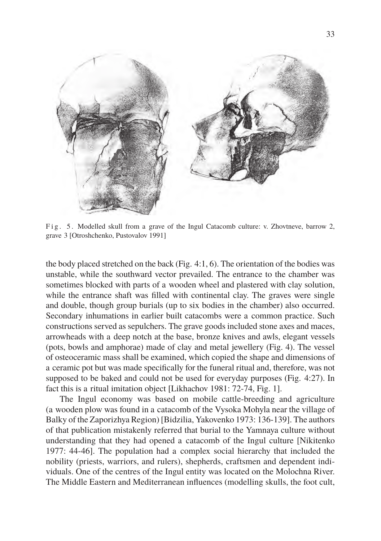

Fig. 5. Modelled skull from a grave of the Ingul Catacomb culture: v. Zhovtneve, barrow 2, grave 3 [Otroshchenko, Pustovalov 1991]

the body placed stretched on the back (Fig. 4:1, 6). The orientation of the bodies was unstable, while the southward vector prevailed. The entrance to the chamber was sometimes blocked with parts of a wooden wheel and plastered with clay solution, while the entrance shaft was filled with continental clay. The graves were single and double, though group burials (up to six bodies in the chamber) also occurred. Secondary inhumations in earlier built catacombs were a common practice. Such constructions served as sepulchers. The grave goods included stone axes and maces, arrowheads with a deep notch at the base, bronze knives and awls, elegant vessels (pots, bowls and amphorae) made of clay and metal jewellery (Fig. 4). The vessel of osteoceramic mass shall be examined, which copied the shape and dimensions of a ceramic pot but was made specifically for the funeral ritual and, therefore, was not supposed to be baked and could not be used for everyday purposes (Fig. 4:27). In fact this is a ritual imitation object [Likhachov 1981: 72-74, Fig. 1].

The Ingul economy was based on mobile cattle-breeding and agriculture (a wooden plow was found in a catacomb of the Vysoka Mohyla near the village of Balky of the Zaporizhya Region) [Bidzilia, Yakovenko 1973: 136-139]. The authors of that publication mistakenly referred that burial to the Yamnaya culture without understanding that they had opened a catacomb of the Ingul culture [Nikitenko 1977: 44-46]. The population had a complex social hierarchy that included the nobility (priests, warriors, and rulers), shepherds, craftsmen and dependent individuals. One of the centres of the Ingul entity was located on the Molochna River. The Middle Eastern and Mediterranean influences (modelling skulls, the foot cult,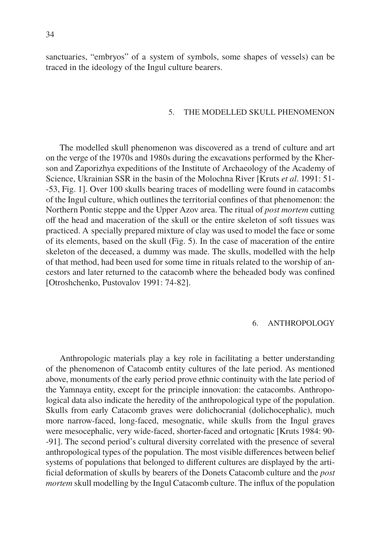sanctuaries, "embryos" of a system of symbols, some shapes of vessels) can be traced in the ideology of the Ingul culture bearers.

#### 5. The modelled skull phenomenon

The modelled skull phenomenon was discovered as a trend of culture and art on the verge of the 1970s and 1980s during the excavations performed by the Kherson and Zaporizhya expeditions of the Institute of Archaeology of the Academy of Science, Ukrainian SSR in the basin of the Molochna River [Kruts *et al*. 1991: 51- -53, Fig. 1]. Over 100 skulls bearing traces of modelling were found in catacombs of the Ingul culture, which outlines the territorial confines of that phenomenon: the Northern Pontic steppe and the Upper Azov area. The ritual of *post mortem* cutting off the head and maceration of the skull or the entire skeleton of soft tissues was practiced. A specially prepared mixture of clay was used to model the face or some of its elements, based on the skull (Fig. 5). In the case of maceration of the entire skeleton of the deceased, a dummy was made. The skulls, modelled with the help of that method, had been used for some time in rituals related to the worship of ancestors and later returned to the catacomb where the beheaded body was confined [Otroshchenko, Pustovalov 1991: 74-82].

#### 6. Anthropology

Anthropologic materials play a key role in facilitating a better understanding of the phenomenon of Catacomb entity cultures of the late period. As mentioned above, monuments of the early period prove ethnic continuity with the late period of the Yamnaya entity, except for the principle innovation: the catacombs. Anthropological data also indicate the heredity of the anthropological type of the population. Skulls from early Catacomb graves were dolichocranial (dolichocephalic), much more narrow-faced, long-faced, mesognatic, while skulls from the Ingul graves were mesocephalic, very wide-faced, shorter-faced and ortognatic [Kruts 1984: 90- -91]. The second period's cultural diversity correlated with the presence of several anthropological types of the population. The most visible differences between belief systems of populations that belonged to different cultures are displayed by the artificial deformation of skulls by bearers of the Donets Catacomb culture and the *post mortem* skull modelling by the Ingul Catacomb culture. The influx of the population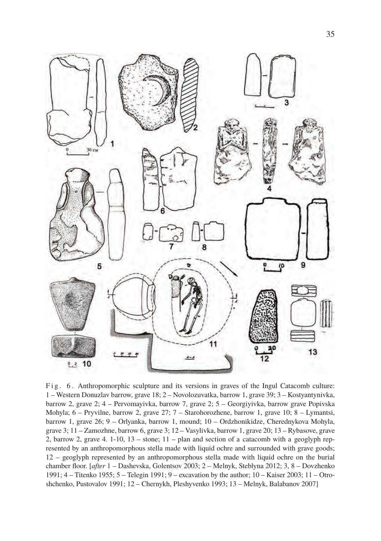

Fig. 6. Anthropomorphic sculpture and its versions in graves of the Ingul Catacomb culture: 1 – Western Donuzlav barrow, grave 18; 2 – Novolozuvatka, barrow 1, grave 39; 3 – Kostyantynivka, barrow 2, grave 2; 4 – Pervomayivka, barrow 7, grave 2; 5 – Georgiyivka, barrow grave Popivska Mohyla; 6 – Pryvilne, barrow 2, grave 27; 7 – Starohorozhene, barrow 1, grave 10; 8 – Lymantsi, barrow 1, grave 26; 9 – Orlyanka, barrow 1, mound; 10 – Ordzhonikidze, Cherednykova Mohyla, grave 3; 11 – Zamozhne, barrow 6, grave 3; 12 – Vasylivka, barrow 1, grave 20; 13 – Rybasove, grave 2, barrow 2, grave 4. 1-10, 13 – stone; 11 – plan and section of a catacomb with a geoglyph represented by an anthropomorphous stella made with liquid ochre and surrounded with grave goods; 12 – geoglyph represented by an anthropomorphous stella made with liquid ochre on the burial chamber floor. [*after* 1 – Dashevska, Golentsov 2003; 2 – Melnyk, Steblyna 2012; 3, 8 – Dovzhenko 1991; 4 – Titenko 1955; 5 – Telegin 1991; 9 – excavation by the author; 10 – Kaiser 2003; 11 – Otroshchenko, Pustovalov 1991; 12 – Chernykh, Pleshyvenko 1993; 13 – Melnyk, Balabanov 2007]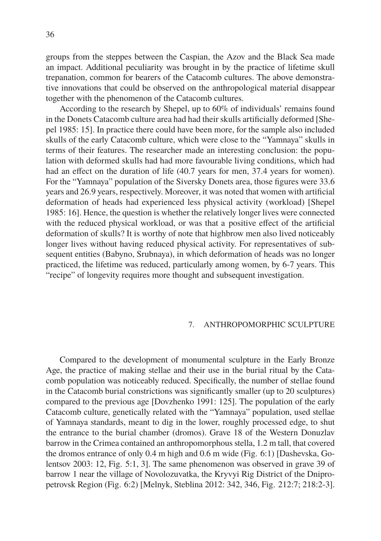groups from the steppes between the Caspian, the Azov and the Black Sea made an impact. Additional peculiarity was brought in by the practice of lifetime skull trepanation, common for bearers of the Catacomb cultures. The above demonstrative innovations that could be observed on the anthropological material disappear together with the phenomenon of the Catacomb cultures.

According to the research by Shepel, up to 60% of individuals' remains found in the Donets Catacomb culture area had had their skulls artificially deformed [Shepel 1985: 15]. In practice there could have been more, for the sample also included skulls of the early Catacomb culture, which were close to the "Yamnaya" skulls in terms of their features. The researcher made an interesting conclusion: the population with deformed skulls had had more favourable living conditions, which had had an effect on the duration of life (40.7 years for men, 37.4 years for women). For the "Yamnaya" population of the Siversky Donets area, those figures were 33.6 years and 26.9 years, respectively. Moreover, it was noted that women with artificial deformation of heads had experienced less physical activity (workload) [Shepel 1985: 16]. Hence, the question is whether the relatively longer lives were connected with the reduced physical workload, or was that a positive effect of the artificial deformation of skulls? It is worthy of note that highbrow men also lived noticeably longer lives without having reduced physical activity. For representatives of subsequent entities (Babyno, Srubnaya), in which deformation of heads was no longer practiced, the lifetime was reduced, particularly among women, by 6-7 years. This "recipe" of longevity requires more thought and subsequent investigation.

#### 7. Anthropomorphic sculpture

Compared to the development of monumental sculpture in the Early Bronze Age, the practice of making stellae and their use in the burial ritual by the Catacomb population was noticeably reduced. Specifically, the number of stellae found in the Catacomb burial constrictions was significantly smaller (up to 20 sculptures) compared to the previous age [Dovzhenko 1991: 125]. The population of the early Catacomb culture, genetically related with the "Yamnaya" population, used stellae of Yamnaya standards, meant to dig in the lower, roughly processed edge, to shut the entrance to the burial chamber (dromos). Grave 18 of the Western Donuzlav barrow in the Crimea contained an anthropomorphous stella, 1.2 m tall, that covered the dromos entrance of only 0.4 m high and 0.6 m wide (Fig. 6:1) [Dashevska, Golentsov 2003: 12, Fig. 5:1, 3]. The same phenomenon was observed in grave 39 of barrow 1 near the village of Novolozuvatka, the Kryvyi Rig District of the Dnipropetrovsk Region (Fig. 6:2) [Melnyk, Steblina 2012: 342, 346, Fig. 212:7; 218:2-3].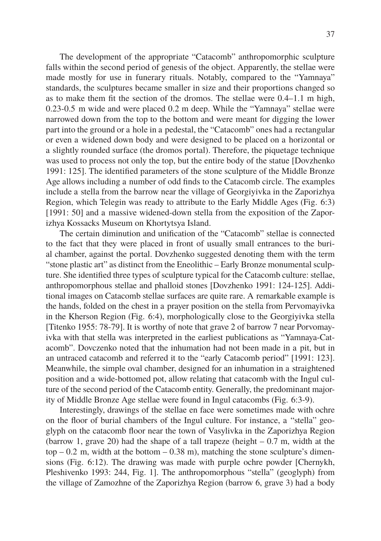The development of the appropriate "Catacomb" anthropomorphic sculpture falls within the second period of genesis of the object. Apparently, the stellae were made mostly for use in funerary rituals. Notably, compared to the "Yamnaya" standards, the sculptures became smaller in size and their proportions changed so as to make them fit the section of the dromos. The stellae were 0.4–1.1 m high, 0.23-0.5 m wide and were placed 0.2 m deep. While the "Yamnaya" stellae were narrowed down from the top to the bottom and were meant for digging the lower part into the ground or a hole in a pedestal, the "Catacomb" ones had a rectangular or even a widened down body and were designed to be placed on a horizontal or a slightly rounded surface (the dromos portal). Therefore, the piquetage technique was used to process not only the top, but the entire body of the statue [Dovzhenko 1991: 125]. The identified parameters of the stone sculpture of the Middle Bronze Age allows including a number of odd finds to the Catacomb circle. The examples include a stella from the barrow near the village of Georgiyivka in the Zaporizhya Region, which Telegin was ready to attribute to the Early Middle Ages (Fig. 6:3) [1991: 50] and a massive widened-down stella from the exposition of the Zaporizhya Kossacks Museum on Khortytsya Island.

The certain diminution and unification of the "Catacomb" stellae is connected to the fact that they were placed in front of usually small entrances to the burial chamber, against the portal. Dovzhenko suggested denoting them with the term "stone plastic art" as distinct from the Eneolithic – Early Bronze monumental sculpture. She identified three types of sculpture typical for the Catacomb culture: stellae, anthropomorphous stellae and phalloid stones [Dovzhenko 1991: 124-125]. Additional images on Catacomb stellae surfaces are quite rare. A remarkable example is the hands, folded on the chest in a prayer position on the stella from Pervomayivka in the Kherson Region (Fig. 6:4), morphologically close to the Georgiyivka stella [Titenko 1955: 78-79]. It is worthy of note that grave 2 of barrow 7 near Porvomayivka with that stella was interpreted in the earliest publications as "Yamnaya-Catacomb". Dovczenko noted that the inhumation had not been made in a pit, but in an untraced catacomb and referred it to the "early Catacomb period" [1991: 123]. Meanwhile, the simple oval chamber, designed for an inhumation in a straightened position and a wide-bottomed pot, allow relating that catacomb with the Ingul culture of the second period of the Catacomb entity. Generally, the predominant majority of Middle Bronze Age stellae were found in Ingul catacombs (Fig. 6:3-9).

Interestingly, drawings of the stellae en face were sometimes made with ochre on the floor of burial chambers of the Ingul culture. For instance, a "stella" geoglyph on the catacomb floor near the town of Vasylivka in the Zaporizhya Region (barrow 1, grave 20) had the shape of a tall trapeze (height  $-0.7$  m, width at the  $top - 0.2$  m, width at the bottom  $-0.38$  m), matching the stone sculpture's dimensions (Fig. 6:12). The drawing was made with purple ochre powder [Chernykh, Pleshivenko 1993: 244, Fig. 1]. The anthropomorphous "stella" (geoglyph) from the village of Zamozhne of the Zaporizhya Region (barrow 6, grave 3) had a body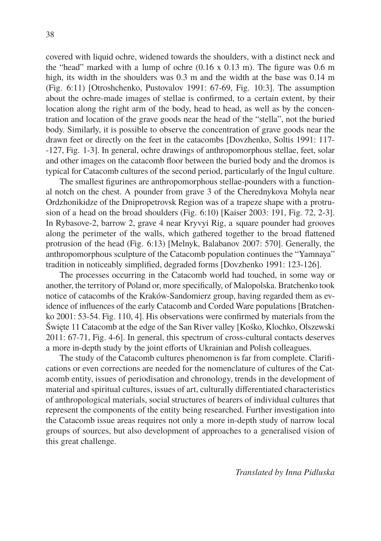covered with liquid ochre, widened towards the shoulders, with a distinct neck and the "head" marked with a lump of ochre (0.16 x 0.13 m). The figure was 0.6 m high, its width in the shoulders was  $0.3 \text{ m}$  and the width at the base was  $0.14 \text{ m}$ (Fig. 6:11) [Otroshchenko, Pustovalov 1991: 67-69, Fig. 10:3]. The assumption about the ochre-made images of stellae is confirmed, to a certain extent, by their location along the right arm of the body, head to head, as well as by the concentration and location of the grave goods near the head of the "stella", not the buried body. Similarly, it is possible to observe the concentration of grave goods near the drawn feet or directly on the feet in the catacombs [Dovzhenko, Soltis 1991: 117- -127, Fig. 1-3]. In general, ochre drawings of anthropomorphous stellae, feet, solar and other images on the catacomb floor between the buried body and the dromos is typical for Catacomb cultures of the second period, particularly of the Ingul culture.

The smallest figurines are anthropomorphous stellae-pounders with a functional notch on the chest. A pounder from grave 3 of the Cherednykova Mohyla near Ordzhonikidze of the Dnipropetrovsk Region was of a trapeze shape with a protrusion of a head on the broad shoulders (Fig. 6:10) [Kaiser 2003: 191, Fig. 72, 2-3]. In Rybasove-2, barrow 2, grave 4 near Kryvyi Rig, a square pounder had grooves along the perimeter of the walls, which gathered together to the broad flattened protrusion of the head (Fig. 6:13) [Melnyk, Balabanov 2007: 570]. Generally, the anthropomorphous sculpture of the Catacomb population continues the "Yamnaya" tradition in noticeably simplified, degraded forms [Dovzhenko 1991: 123-126].

The processes occurring in the Catacomb world had touched, in some way or another, the territory of Poland or, more specifically, of Malopolska. Bratchenko took notice of catacombs of the Kraków-Sandomierz group, having regarded them as evidence of influences of the early Catacomb and Corded Ware populations [Bratchenko 2001: 53-54. Fig. 110, 4]. His observations were confirmed by materials from the Święte 11 Catacomb at the edge of the San River valley [Kośko, Klochko, Olszewski 2011: 67-71, Fig. 4-6]. In general, this spectrum of cross-cultural contacts deserves a more in-depth study by the joint efforts of Ukrainian and Polish colleagues.

The study of the Catacomb cultures phenomenon is far from complete. Clarifications or even corrections are needed for the nomenclature of cultures of the Catacomb entity, issues of periodisation and chronology, trends in the development of material and spiritual cultures, issues of art, culturally differentiated characteristics of anthropological materials, social structures of bearers of individual cultures that represent the components of the entity being researched. Further investigation into the Catacomb issue areas requires not only a more in-depth study of narrow local groups of sources, but also development of approaches to a generalised vision of this great challenge.

*Translated by Inna Pidluska*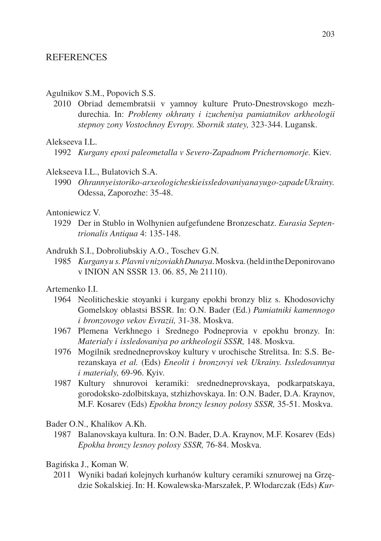# **REFERENCES**

#### Agulnikov S.M., Popovich S.S.

2010 Obriad demembratsii v yamnoy kulture Pruto-Dnestrovskogo mezhdurechia. In: *Problemy okhrany i izucheniya pamiatnikov arkheologii stepnoy zony Vostochnoy Evropy. Sbornik statey,* 323-344. Lugansk.

# Alekseeva I.L.

1992 *Kurgany epoxi paleometalla v Severo-Zapadnom Prichernomorje.* Kiev.

#### Alekseeva I.L., Bulatovich S.A.

1990 *Ohrannye istoriko-arxeologicheskie issledovaniya na yugo-zapade Ukrainy.*  Odessa, Zaporozhe: 35-48.

#### Antoniewicz V.

1929 Der in Stublo in Wolhynien aufgefundene Bronzeschatz. *Eurasia Septentrionalis Antiqua* 4: 135-148.

#### Andrukh S.I., Dobroliubskiy A.O., Toschev G.N.

1985 *Kurgany u s. Plavni v nizoviakh Dunaya*.Moskva.(held in the Deponirovano v INION AN SSSR 13. 06. 85, № 21110).

#### Artemenko I.I.

- 1964 Neoliticheskie stoyanki i kurgany epokhi bronzy bliz s. Khodosovichy Gomelskoy oblastsi BSSR. In: O.N. Bader (Ed.) *Pamiatniki kamennogo i bronzovogo vekov Evrazii,* 31-38. Moskva.
- 1967 Plemena Verkhnego i Srednego Podneprovia v epokhu bronzy. In: *Materialy i issledovaniya po arkheologii SSSR,* 148. Moskva.
- 1976 Mogilnik srednedneprovskoy kultury v urochische Strelitsa. In: S.S. Berezanskaya *et al.* (Eds) *Eneolit i bronzovyi vek Ukrainy. Issledovannya i materialy,* 69-96. Kyiv.
- 1987 Kultury shnurovoi keramiki: srednedneprovskaya, podkarpatskaya, gorodoksko-zdolbitskaya, stzhizhovskaya. In: O.N. Bader, D.A. Kraynov, M.F. Kosarev (Eds) *Epokha bronzy lesnoy polosy SSSR,* 35-51. Moskva.

#### Bader O.N., Khalikov A.Kh.

1987 Balanovskaya kultura. In: O.N. Bader, D.A. Kraynov, M.F. Kosarev (Eds) *Epokha bronzy lesnoy polosy SSSR,* 76-84. Moskva.

# Bagińska J., Koman W.

2011 Wyniki badań kolejnych kurhanów kultury ceramiki sznurowej na Grzędzie Sokalskiej. In: H. Kowalewska-Marszałek, P. Włodarczak (Eds) *Kur-*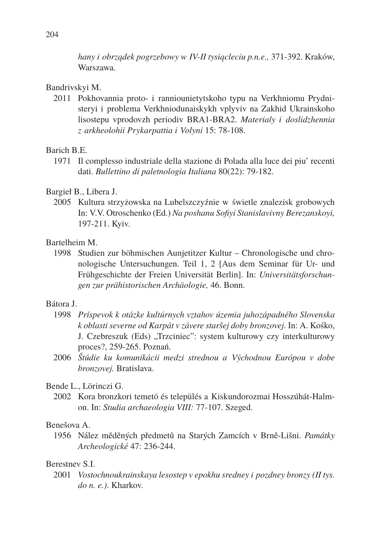*hany i obrządek pogrzebowy w IV-II tysiącleciu p.n.e.,* 371-392. Kraków, Warszawa.

# Bandrivskyi M.

2011 Pokhovannia proto- i ranniounietytskoho typu na Verkhniomu Prydnisteryi i problema Verkhniodunaiskykh vplyviv na Zakhid Ukrainskoho lisostepu vprodovzh periodiv BRA1-BRA2. *Materialy i doslidzhennia z arkheolohii Prykarpattia i Volyni* 15: 78-108.

# Barich B.E.

1971 Il complesso industriale della stazione di Polada alla luce dei piu' recenti dati. *Bullettino di paletnologia Italiana* 80(22): 79-182.

# Bargieł B., Libera J.

2005 Kultura strzyżowska na Lubelszczyźnie w świetle znalezisk grobowych In: V.V. Otroschenko (Ed.) *Na poshanu Sofiyi Stanislavivny Berezanskoyi,*  197-211. Kyiv.

# Bartelheim M.

1998 Studien zur böhmischen Aunjetitzer Kultur – Chronologische und chronologische Untersuchungen. Teil 1, 2 [Aus dem Seminar für Ur- und Frühgeschichte der Freien Universität Berlin]. In: *Universitätsforschungen zur prähistorischen Archäologie,* 46. Bonn.

# Bátora J.

- 1998 *Príspevok k otázke kultúrnych vztahov územia juhozápadného Slovenska k oblasti severne od Karpát v závere staršej doby bronzovej.* In: A. Kośko, J. Czebreszuk (Eds) "Trzciniec": system kulturowy czy interkulturowy proces?, 259-265. Poznań.
- 2006 *Štúdie ku komunikácii medzi strednou a Východnou Európou v dobe bronzovej.* Bratislava.

# Bende L., Lörinczi G.

2002 Kora bronzkori temetö és település a Kiskundorozmai Hosszúhát-Halmon. In: *Studia archaeologia VIII:* 77-107. Szeged.

# Benešova A.

1956 Nález měděných předmetů na Starých Zamcích v Brně-Lišni. *Památky Archeologické* 47: 236-244.

# Berestnev S.I.

2001 *Vostochnoukrainskaya lesostep v epokhu sredney i pozdney bronzy (II tys. do n. e.)*. Kharkov.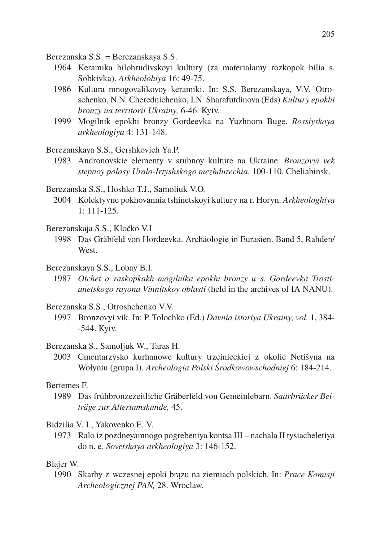- Berezanska S.S. = Berezanskaya S.S.
	- 1964 Keramika bilohrudivskoyi kultury (za materialamy rozkopok bilia s. Sobkivka). *Arkheolohiya* 16: 49-75.
	- 1986 Kultura mnogovalikovoy keramiki. In: S.S. Berezanskaya, V.V. Otroschenko, N.N. Cherednichenko, I.N. Sharafutdinova (Eds) *Kultury epokhi bronzy na territorii Ukrainy,* 6-46. Kyiv.
	- 1999 Mogilnik epokhi bronzy Gordeevka na Yuzhnom Buge. *Rossiyskaya arkheologiya* 4: 131-148.
- Berezanskaya S.S., Gershkovich Ya.P.
	- 1983 Andronovskie elementy v srubnoy kulture na Ukraine. *Bronzovyi vek stepnoy polosy Uralo-Irtyshskogo mezhdurechia*. 100-110. Cheliabinsk.
- Berezanska S.S., Hoshko T.J., Samoliuk V.O.
	- 2004 Kolektyvne pokhovannia tshinetskoyi kultury na r. Horyn. *Arkheologhiya*  1: 111-125.
- Berezanskaja S.S., Kločko V.I
	- 1998 Das Gräbfeld von Hordeevka. Archäologie in Eurasien. Band 5, Rahden/ West.
- Berezanskaya S.S., Lobay B.I.
	- 1987 *Otchet o raskopkakh mogilnika epokhi bronzy u s. Gordeevka Trostianetskogo rayona Vinnitskoy oblasti* (held in the archives of IA NANU).
- Berezanska S.S., Otroshchenko V.V.
	- 1997 Bronzovyi vik. In: P. Tolochko (Ed.) *Davnia istoriya Ukrainy, vol.* 1, 384- -544. Kyiv.
- Berezanska S., Samoljuk W., Taras H.
	- 2003 Cmentarzysko kurhanowe kultury trzcinieckiej z okolic Netišyna na Wołyniu (grupa I). *Archeologia Polski Środkowowschodniej* 6: 184-214.

### Bertemes F.

- 1989 Das frühbronzezeitliche Gräberfeld von Gemeinlebarn. *Saarbrücker Beiträge zur Altertumskunde,* 45.
- Bidzilia V. I., Yakovenko E. V.
	- 1973 Ralo iz pozdneyamnogo pogrebeniya kontsa III nachala II tysiacheletiya do n. e. *Sovetskaya arkheologiya* 3: 146-152.

# Blajer W.

1990 Skarby z wczesnej epoki brązu na ziemiach polskich. In: *Prace Komisji Archeologicznej PAN,* 28. Wrocław.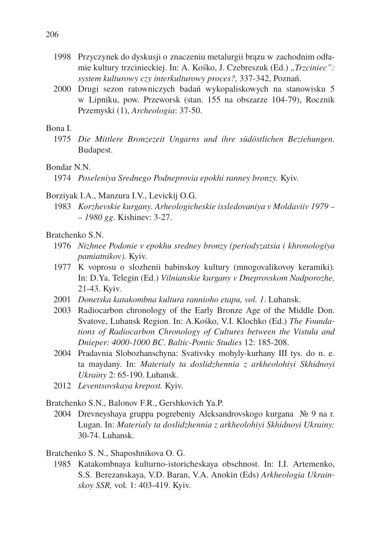- 1998 Przyczynek do dyskusji o znaczeniu metalurgii brązu w zachodnim odłamie kultury trzcinieckiej. In: A. Kośko, J. Czebreszuk (Ed.) "*Trzciniec"*: *system kulturowy czy interkulturowy proces?,* 337-342, Poznań.
- 2000 Drugi sezon ratowniczych badań wykopaliskowych na stanowisku 5 w Lipniku, pow. Przeworsk (stan. 155 na obszarze 104-79), Rocznik Przemyski (1), *Archeologia*: 37-50.

# Bona I.

1975 *Die Mittlere Bronzezeit Ungarns und ihre südöstlichen Beziehungen.*  Budapest.

#### Bondar N.N.

1974 *Poseleniya Srednego Podneprovia epokhi ranney bronzy.* Kyiv.

#### Borziyak I.A., Manzura I.V., Levickij O.G.

1983 *Korzhevskie kurgany. Arheologicheskie issledovaniya v Moldaviiv 1979 – – 1980 gg*. Kishinev: 3-27.

# Bratchenko S.N.

- 1976 *Nizhnee Podonie v epokhu sredney bronzy (periodyzatsia i khronologiya pamiatnikov).* Kyiv.
- 1977 K voprosu o slozhenii babinskoy kultury (mnogovalikovoy keramiki)*.*  In: D.Ya. Telegin (Ed.) *Vilnianskie kurgany v Dneprovskom Nadporozhe,*  21-43. Kyiv.
- 2001 *Donetska katakombna kultura rannioho etapu, vol. 1*. Luhansk.
- 2003 Radiocarbon chronology of the Early Bronze Age of the Middle Don. Svatove, Luhansk Region. In: A.Kośko, V.I. Klochko (Ed.) *The Foundations of Radiocarbon Chronology of Cultures between the Vistula and Dnieper: 4000-1000 BC*. *Baltic-Pontic Studies* 12: 185-208.
- 2004 Pradavnia Slobozhanschyna: Svativsky mohyly-kurhany III tys. do n. e. ta maydany. In: *Materialy ta doslidzhennia z arkheolohiyi Skhidnoyi Ukrainy* 2: 65-190. Luhansk.
- 2012 *Leventsovskaya krepost.* Kyiv.

Bratchenko S.N., Balonov F.R., Gershkovich Ya.P.

- 2004 Drevneyshaya gruppa pogrebeniy Aleksandrovskogo kurgana № 9 na r. Lugan. In: *Materialy ta doslidzhennia z arkheolohiyi Skhidnoyi Ukrainy:*  30-74. Luhansk.
- Bratchenko S. N., Shaposhnikova O. G.
	- 1985 Katakombnaya kulturno-istoricheskaya obschnost. In: I.I. Artemenko, S.S. Berezanskaya, V.D. Baran, V.A. Anokin (Eds) *Arkheologia Ukrainskoy SSR,* vol*.* 1: 403-419. Kyiv.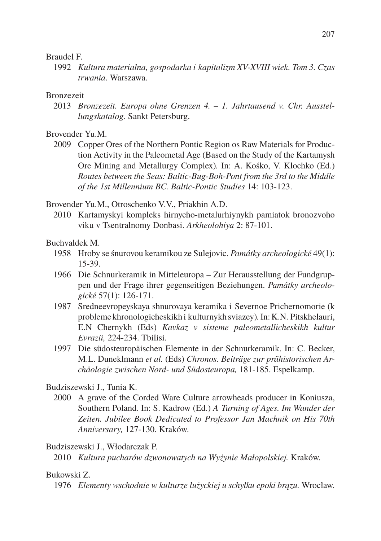# Braudel F.

1992 *Kultura materialna, gospodarka i kapitalizm XV-XVIII wiek. Tom 3. Czas trwania*. Warszawa.

# Bronzezeit

2013 *Bronzezeit. Europa ohne Grenzen 4. – 1. Jahrtausend v. Chr. Ausstellungskatalog.* Sankt Petersburg.

# Brovender Yu.M.

2009 Copper Ores of the Northern Pontic Region os Raw Materials for Production Activity in the Paleometal Age (Based on the Study of the Kartamysh Ore Mining and Metallurgy Complex)*.* In: A. Kośko, V. Klochko (Ed.) *Routes between the Seas: Baltic-Bug-Boh-Pont from the 3rd to the Middle of the 1st Millennium BC. Baltic-Pontic Studies* 14: 103-123.

# Brovender Yu.M., Otroschenko V.V., Priakhin A.D.

2010 Kartamyskyi kompleks hirnycho-metalurhiynykh pamiatok bronozvoho viku v Tsentralnomy Donbasi. *Arkheolohiya* 2: 87-101.

# Buchvaldek M.

- 1958 Hroby se śnurovou keramikou ze Sulejovic. *Památky archeologické* 49(1): 15-39.
- 1966 Die Schnurkeramik in Mitteleuropa Zur Herausstellung der Fundgruppen und der Frage ihrer gegenseitigen Beziehungen. *Památky archeologické* 57(1): 126-171.
- 1987 Sredneevropeyskaya shnurovaya keramika i Severnoe Prichernomorie (k probleme khronologicheskikh i kulturnykh sviazey)*.* In: K.N. Pitskhelauri, E.N Chernykh (Eds) *Kavkaz v sisteme paleometallicheskikh kultur Evrazii,* 224-234. Tbilisi.
- 1997 Die südosteuropäischen Elemente in der Schnurkeramik. In: C. Becker, M.L. Duneklmann *et al.* (Eds) *Chronos. Beiträge zur prähistorischen Archäologie zwischen Nord- und Südosteuropa,* 181-185. Espelkamp.

## Budziszewski J., Tunia K.

2000 A grave of the Corded Ware Culture arrowheads producer in Koniusza, Southern Poland. In: S. Kadrow (Ed.) *A Turning of Ages. Im Wander der Zeiten. Jubilee Book Dedicated to Professor Jan Machnik on His 70th Anniversary,* 127-130. Kraków.

## Budziszewski J., Włodarczak P.

2010 *Kultura pucharów dzwonowatych na Wyżynie Małopolskiej.* Kraków.

# Bukowski Z.

1976 *Elementy wschodnie w kulturze łużyckiej u schyłku epoki brązu.* Wrocław.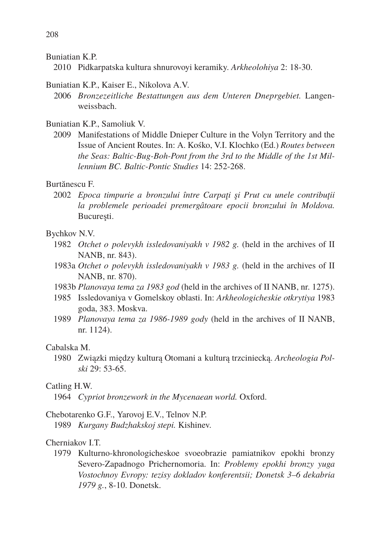#### Buniatian K.P.

2010 Pidkarpatska kultura shnurovoyi keramiky. *Arkheolohiya* 2: 18-30.

#### Buniatian K.P., Kaiser E., Nikolova A.V.

2006 *Bronzezeitliche Bestattungen aus dem Unteren Dneprgebiet.* Langenweissbach.

# Buniatian K.P., Samoliuk V.

2009 Manifestations of Middle Dnieper Culture in the Volyn Territory and the Issue of Ancient Routes. In: A. Kośko, V.I. Klochko (Ed.) *Routes between the Seas: Baltic-Bug-Boh-Pont from the 3rd to the Middle of the 1st Millennium BC. Baltic-Pontic Studies* 14: 252-268.

#### Burtănescu F.

2002 *Epoca timpurie a bronzului între Carpaţi şi Prut cu unele contribuţii la problemele perioadei premergâtoare epocii bronzului în Moldova.*  Bucureşti.

#### Bychkov N.V.

- 1982 *Otchet o polevykh issledovaniyakh v 1982 g.* (held in the archives of II NANB, nr. 843).
- 1983a *Otchet o polevykh issledovaniyakh v 1983 g.* (held in the archives of II NANB, nr. 870).
- 1983b *Planovaya tema za 1983 god* (held in the archives of II NANB, nr. 1275).
- 1985 Issledovaniya v Gomelskoy oblasti. In: *Arkheologicheskie otkrytiya* 1983 goda, 383. Moskva.
- 1989 *Planovaya tema za 1986-1989 gody* (held in the archives of II NANB, nr. 1124).

# Cabalska M.

1980 Związki między kulturą Otomani a kulturą trzciniecką. *Archeologia Polski* 29: 53-65.

# Catling H.W.

1964 *Cypriot bronzework in the Mycenaean world.* Oxford.

#### Chebotarenko G.F., Yarovoj E.V., Telnov N.P.

1989 *Kurgany Budzhakskoj stepi.* Kishinev.

# Cherniakov I.T.

1979 Kulturno-khronologicheskoe svoeobrazie pamiatnikov epokhi bronzy Severo-Zapadnogo Prichernomoria. In: *Problemy epokhi bronzy yuga Vostochnoy Evropy: tezisy dokladov konferentsii; Donetsk 3–6 dekabria 1979 g.*, 8-10. Donetsk.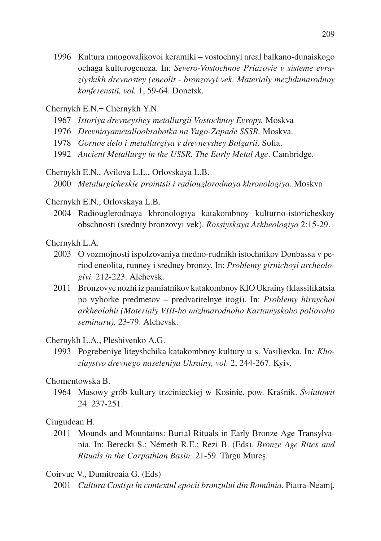1996 Kultura mnogovalikovoi keramiki – vostochnyi areal balkano-dunaiskogo ochaga kulturogeneza. In: *Severo-Vostochnoe Priazovie v sisteme evraziyskikh drevnostey (eneolit - bronzovyi vek. Materialy mezhdunarodnoy konferenstii, vol.* 1, 59-64. Donetsk.

### Chernykh E.N.= Chernykh Y.N.

- 1967 *Istoriya drevneyshey metallurgii Vostochnoy Evropy.* Moskva
- 1976 *Drevniayametalloobrabotka na Yugo-Zapade SSSR.* Moskva.
- 1978 *Gornoe delo i metallurgiya v drevneyshey Bolgarii.* Sofia.
- 1992 *Ancient Metallurgy in the USSR. The Early Metal Age*. Cambridge.

Chernykh E.N., Avilova L.L., Orlovskaya L.B.

2000 *Metalurgicheskie prointsii i radiouglorodnaya khronologiya.* Moskva

#### Chernykh E.N., Orlovskaya L.B.

2004 Radiouglerodnaya khronologiya katakombnoy kulturno-istoricheskoy obschnosti (sredniy bronzovyi vek). *Rossiyskaya Arkheologiya* 2:15-29.

# Chernykh L.A.

- 2003 O vozmojnosti ispolzovaniya medno-rudnikh istochnikov Donbassa v period eneolita, runney i sredney bronzy. In: *Problemy girnichoyi archeologiyi.* 212-223. Alchevsk.
- 2011 Bronzovye nozhi iz pamiatnikov katakombnoy KIO Ukrainy (klassifikatsia po vyborke predmetov – predvaritelnye itogi). In: *Problemy hirnychoi arkheolohii (Materialy VIII-ho mizhnarodnoho Kartamyskoho poliovoho seminaru),* 23-79. Alchevsk.

#### Chernykh L.A., Pleshivenko A.G.

1993 Pogrebeniye liteyshchika katakombnoy kultury u s. Vasilievka. In*: Khoziaystvo drevnego naseleniya Ukrainy, vol.* 2, 244-267. Kyiv.

## Chomentowska B.

1964 Masowy grób kultury trzcinieckiej w Kosinie, pow. Kraśnik. *Światowit*   $24 \cdot 237 - 251$ 

#### Ciugudean H.

2011 Mounds and Mountains: Burial Rituals in Early Bronze Age Transylvania. In: Berecki S.; Németh R.E.; Rezi B. (Eds)*. Bronze Age Rites and Rituals in the Carpathian Basin:* 21-59. Tàrgu Mureș.

#### Coirvuc V., Dumitroaia G. (Eds)

2001 *Cultura Costişa în contextul epocii bronzului din România.* Piatra-Neamţ.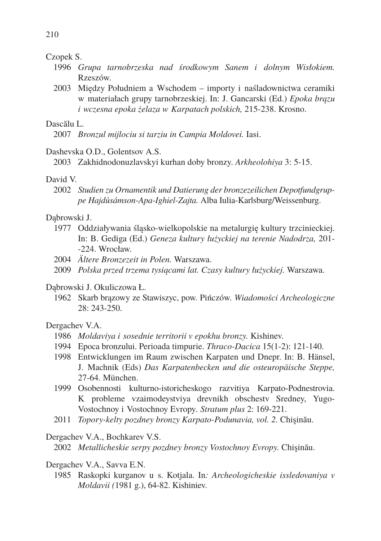#### Czopek S.

- 1996 *Grupa tarnobrzeska nad środkowym Sanem i dolnym Wisłokiem.*  Rzeszów.
- 2003 Między Południem a Wschodem importy i naśladownictwa ceramiki w materiałach grupy tarnobrzeskiej. In: J. Gancarski (Ed.) *Epoka brązu i wczesna epoka żelaza w Karpatach polskich,* 215-238. Krosno.

#### Dascălu L.

2007 *Bronzul mijlociu si tarziu in Campia Moldovei.* Iasi.

#### Dashevska O.D., Golentsov A.S.

2003 Zakhidnodonuzlavskyi kurhan doby bronzy. *Arkheolohiya* 3: 5-15.

# David V.

2002 *Studien zu Ornamentik und Datierung der bronzezeilichen Depotfundgruppe Hajdùsámson-Apa-Ighiel-Zajta.* Alba Iulia-Karlsburg/Weissenburg.

#### Dąbrowski J.

- 1977 Oddziaływania śląsko-wielkopolskie na metalurgię kultury trzcinieckiej. In: B. Gediga (Ed.) *Geneza kultury łużyckiej na terenie Nadodrza,* 201- -224. Wrocław.
- 2004 *Ältere Bronzezeit in Polen.* Warszawa.
- 2009 *Polska przed trzema tysiącami lat. Czasy kultury łużyckiej*. Warszawa.

#### Dąbrowski J. Okuliczowa Ł.

1962 Skarb brązowy ze Stawiszyc, pow. Pińczów. *Wiadomości Archeologiczne*  28: 243-250.

# Dergachev V.A.

- 1986 *Moldaviya i sosednie territorii v epokhu bronzy.* Kishinev.
- 1994 Epoca bronzului. Perioada timpurie. *Thraco-Dacica* 15(1-2): 121-140.
- 1998 Entwicklungen im Raum zwischen Karpaten und Dnepr. In: B. Hänsel, J. Machnik (Eds) *Das Karpatenbecken und die osteuropäische Steppe,*  27-64. München.
- 1999 Osobennosti kulturno-istoricheskogo razvitiya Karpato-Podnestrovia. K probleme vzaimodeystviya drevnikh obschestv Sredney, Yugo-Vostochnoy i Vostochnoy Evropy*. Stratum plus* 2: 169-221.
- 2011 *Topory-kelty pozdney bronzy Karpato-Podunavia, vol. 2.* Chişinău.

#### Dergachev V.A., Bochkarev V.S.

2002 *Metallicheskie serpy pozdney bronzy Vostochnoy Evropy.* Chişinău.

- Dergachev V.A., Savva E.N.
	- 1985 Raskopki kurganov u s. Kotjala. In*: Archeologicheskie issledovaniya v Moldavii (*1981 g.), 64-82. Kishiniev.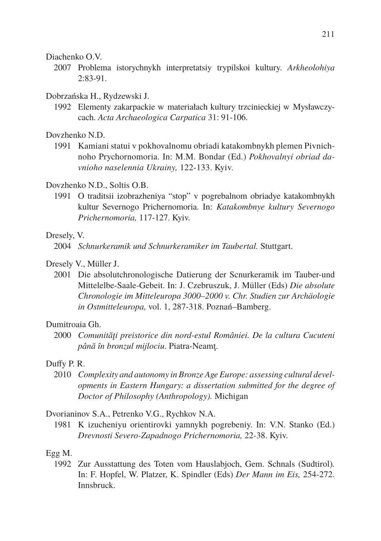Diachenko O.V.

2007 Problema istorychnykh interpretatsiy trypilskoi kultury. *Arkheolohiya*  2:83-91.

# Dobrzańska H., Rydzewski J.

1992 Elementy zakarpackie w materiałach kultury trzcinieckiej w Mysławczycach. *Acta Archaeologica Carpatica* 31: 91-106.

Dovzhenko N.D.

1991 Kamiani statui v pokhovalnomu obriadi katakombnykh plemen Pivnichnoho Prychornomoria. In: M.M. Bondar (Ed.) *Pokhovalnyi obriad davnioho naselennia Ukrainy,* 122-133. Kyiv.

# Dovzhenko N.D., Soltis O.B.

1991 O traditsii izobrazheniya "stop" v pogrebalnom obriadye katakombnykh kultur Severnogo Prichernomoria. In: *Katakombnye kultury Severnogo Prichernomoria,* 117-127. Kyiv.

# Dresely, V.

2004 *Schnurkeramik und Schnurkeramiker im Taubertal.* Stuttgart.

# Dresely V., Müller J.

2001 Die absolutchronologische Datierung der Scnurkeramik im Tauber-und Mittelelbe-Saale-Gebeit. In: J. Czebruszuk, J. Müller (Eds) *Die absolute Chronologie im Mitteleuropa 3000–2000 v. Chr. Studien zur Archäologie in Ostmitteleuropa,* vol. 1, 287-318. Poznań–Bamberg.

# Dumitroaia Gh.

2000 *Comunităţi preistorice din nord-estul României. De la cultura Cucuteni până în bronzul mijlociu*. Piatra-Neamţ.

# Duffy P. R.

2010 *Complexity and autonomy in Bronze Age Europe: assessing cultural developments in Eastern Hungary: a dissertation submitted for the degree of Doctor of Philosophy (Anthropology).* Michigan

# Dvorianinov S.A., Petrenko V.G., Rychkov N.A.

1981 K izucheniyu orientirovki yamnykh pogrebeniy. In: V.N. Stanko (Ed.) *Drevnosti Severo-Zapadnogo Prichernomoria,* 22-38. Kyiv.

# Egg M.

1992 Zur Ausstattung des Toten vom Hauslabjoch, Gem. Schnals (Sudtirol)*.*  In: F. Hopfel, W. Platzer, K. Spindler (Eds) *Der Mann im Eis,* 254-272. Innsbruck.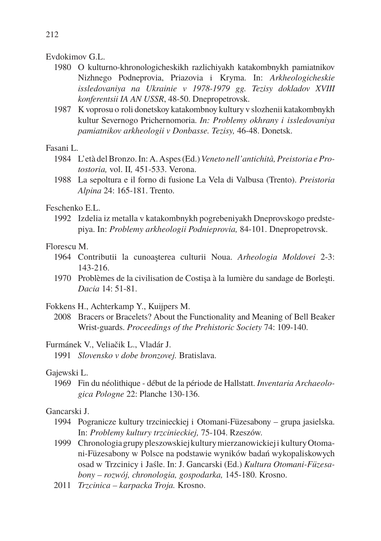# Evdokimov G.L.

- 1980 O kulturno-khronologicheskikh razlichiyakh katakombnykh pamiatnikov Nizhnego Podneprovia, Priazovia i Kryma. In: *Arkheologicheskie issledovaniya na Ukrainie v 1978-1979 gg. Tezisy dokladov XVIII konferentsii IA AN USSR*, 48-50. Dnepropetrovsk.
- 1987 K voprosu o roli donetskoy katakombnoy kultury v slozhenii katakombnykh kultur Severnogo Prichernomoria. *In: Problemy okhrany i issledovaniya pamiatnikov arkheologii v Donbasse. Tezisy,* 46-48. Donetsk.

# Fasani L.

- 1984 L'età del Bronzo.In: A. Aspes (Ed.) *Veneto nell'antichità, Preistoria e Protostoria,* vol. II*,* 451-533. Verona.
- 1988 La sepoltura e il forno di fusione La Vela di Valbusa (Trento). *Preistoria Alpina* 24: 165-181. Trento.

### Feschenko E.L.

1992 Izdelia iz metalla v katakombnykh pogrebeniyakh Dneprovskogo predstepiya. In: *Problemy arkheologii Podnieprovia,* 84-101. Dnepropetrovsk.

# Florescu M.

- 1964 Contributii la cunoaşterea culturii Noua. *Arheologia Moldovei* 2-3: 143-216.
- 1970 Problèmes de la civilisation de Costişa à la lumière du sandage de Borleşti. *Dacia* 14: 51-81.

## Fokkens H., Achterkamp Y., Kuijpers M.

2008 Bracers or Bracelets? About the Functionality and Meaning of Bell Beaker Wrist-guards. *Proceedings of the Prehistoric Society* 74: 109-140.

### Furmánek V., Veliačik L., Vladár J.

1991 *Slovensko v dobe bronzovej.* Bratislava.

### Gajewski L.

1969 Fin du néolithique - début de la période de Hallstatt. *Inventaria Archaeologica Pologne* 22: Planche 130-136.

## Gancarski J.

- 1994 Pogranicze kultury trzcinieckiej i Otomani-Füzesabony grupa jasielska. In: *Problemy kultury trzcinieckiej,* 75-104. Rzeszów.
- 1999 Chronologia grupy pleszowskiej kultury mierzanowickiej i kultury Otomani-Füzesabony w Polsce na podstawie wyników badań wykopaliskowych osad w Trzcinicy i Jaśle. In: J. Gancarski (Ed.) *Kultura Otomani-Füzesabony – rozwój, chronologia, gospodarka,* 145-180. Krosno.
- 2011 *Trzcinica karpacka Troja.* Krosno.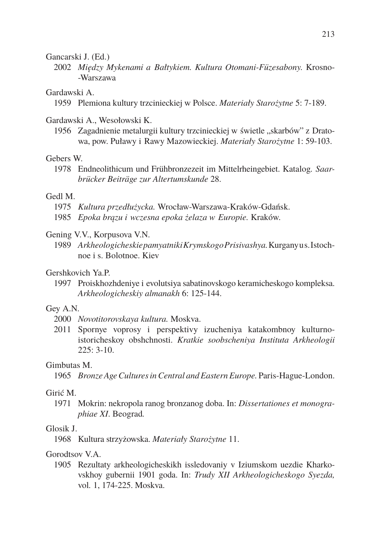#### Gancarski J. (Ed.)

2002 *Między Mykenami a Bałtykiem. Kultura Otomani-Füzesabony.* Krosno- -Warszawa

# Gardawski A.

1959 Plemiona kultury trzcinieckiej w Polsce. *Materiały Starożytne* 5: 7-189.

### Gardawski A., Wesołowski K.

1956 Zagadnienie metalurgii kultury trzcinieckiej w świetle "skarbów" z Dratowa, pow. Puławy i Rawy Mazowieckiej. *Materiały Starożytne* 1: 59-103.

## Gebers W.

1978 Endneolithicum und Frühbronzezeit im Mittelrheingebiet. Katalog*. Saarbrücker Beiträge zur Altertumskunde* 28.

### Gedl M.

- 1975 *Kultura przedłużycka.* Wrocław-Warszawa-Kraków-Gdańsk.
- 1985 *Epoka brązu i wczesna epoka żelaza w Europie.* Kraków.

#### Gening V.V., Korpusova V.N.

1989 Arkheologicheskie pamyatniki Krymskogo Prisivashya. Kurgany us. Istochnoe i s. Bolotnoe. Kiev

# Gershkovich Ya.P.

1997 Proiskhozhdeniye i evolutsiya sabatinovskogo keramicheskogo kompleksa. *Arkheologicheskiy almanakh* 6: 125-144.

# Gey A.N.

- 2000 *Novotitorovskaya kultura.* Moskva.
- 2011 Spornye voprosy i perspektivy izucheniya katakombnoy kulturnoistoricheskoy obshchnosti. *Kratkie soobscheniya Instituta Arkheologii*  225: 3-10.

### Gimbutas M.

1965 *Bronze Age Cultures in Central and Eastern Europe.* Paris-Hague-London.

# Girić M.

1971 Mokrin: nekropola ranog bronzanog doba. In: *Dissertationes et monographiae XI*. Beograd*.*

#### Glosik J.

1968 Kultura strzyżowska. *Materiały Starożytne* 11.

### Gorodtsov V.A.

1905 Rezultaty arkheologicheskikh issledovaniy v Iziumskom uezdie Kharkovskhoy gubernii 1901 goda. In: *Trudy XII Arkheologicheskogo Syezda,*  vol*.* 1, 174-225. Moskva.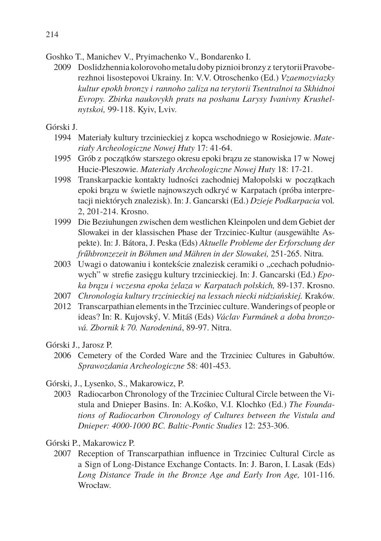Goshko T., Manichev V., Pryimachenko V., Bondarenko I.

2009 Doslidzhennia kolorovoho metalu doby piznioi bronzy z terytorii Pravoberezhnoi lisostepovoi Ukrainy. In: V.V. Otroschenko (Ed.) *Vzaemozviazky kultur epokh bronzy i rannoho zaliza na terytorii Tsentralnoi ta Skhidnoi Evropy. Zbirka naukovykh prats na poshanu Larysy Ivanivny Krushelnytskoi,* 99-118. Kyiv, Lviv.

Górski J.

- 1994 Materiały kultury trzcinieckiej z kopca wschodniego w Rosiejowie. *Materiały Archeologiczne Nowej Huty* 17: 41-64.
- 1995 Grób z początków starszego okresu epoki brązu ze stanowiska 17 w Nowej Hucie-Pleszowie. *Materiały Archeologiczne Nowej Huty* 18: 17-21.
- 1998 Transkarpackie kontakty ludności zachodniej Małopolski w początkach epoki brązu w świetle najnowszych odkryć w Karpatach (próba interpretacji niektórych znalezisk). In: J. Gancarski (Ed.) *Dzieje Podkarpacia* vol*.*  2, 201-214. Krosno.
- 1999 Die Beziuhungen zwischen dem westlichen Kleinpolen und dem Gebiet der Slowakei in der klassischen Phase der Trzciniec-Kultur (ausgewählte Aspekte). In: J. Bátora, J. Peska (Eds) *Aktuelle Probleme der Erforschung der frűhbronzezeit in Böhmen und Mähren in der Slowakei,* 251-265. Nitra.
- 2003 Uwagi o datowaniu i kontekście znalezisk ceramiki o "cechach południowych" w strefie zasięgu kultury trzcinieckiej. In: J. Gancarski (Ed.) *Epoka brązu i wczesna epoka żelaza w Karpatach polskich,* 89-137. Krosno.
- 2007 *Chronologia kultury trzcinieckiej na lessach niecki nidziańskiej.* Kraków.
- 2012 Transcarpathian elements in the Trzciniec culture. Wanderings of people or ideas? In: R. Kujovský, V. Mitáš (Eds) *Václav Furmánek a doba bronzová. Zbornik k 70. Narodeniná*, 89-97. Nitra.
- Górski J., Jarosz P.
	- 2006 Cemetery of the Corded Ware and the Trzciniec Cultures in Gabułtów. *Sprawozdania Archeologiczne* 58: 401-453.
- Górski, J., Lysenko, S., Makarowicz, P.
	- 2003 Radiocarbon Chronology of the Trzciniec Cultural Circle between the Vistula and Dnieper Basins. In: A.Kośko, V.I. Klochko (Ed.) *The Foundations of Radiocarbon Chronology of Cultures between the Vistula and Dnieper: 4000-1000 BC. Baltic-Pontic Studies* 12: 253-306.
- Górski P., Makarowicz P.
	- 2007 Reception of Transcarpathian influence in Trzciniec Cultural Circle as a Sign of Long-Distance Exchange Contacts. In: J. Baron, I. Lasak (Eds) *Long Distance Trade in the Bronze Age and Early Iron Age,* 101-116. Wrocław.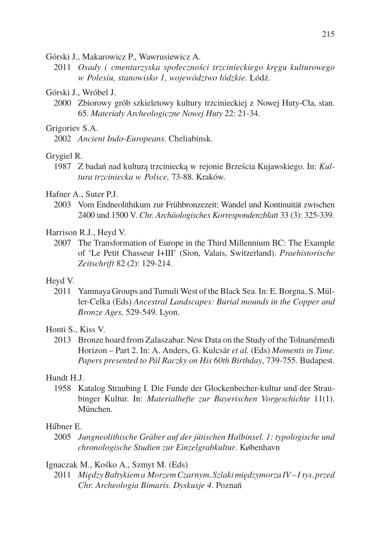Górski J., Makarowicz P., Wawrusiewicz A.

2011 *Osady i cmentarzyska społeczności trzcinieckiego kręgu kulturowego w Polesiu, stanowisko 1, województwo łódzkie.* Łódź.

### Górski J., Wróbel J.

2000 Zbiorowy grób szkieletowy kultury trzcinieckiej z Nowej Huty-Cła, stan. 65. *Materiały Archeologiczne Nowej Huty* 22: 21-34.

### Grigoriev S.A.

2002 *Ancient Indo-Europeans.* Cheliabinsk.

# Grygiel R.

1987 Z badań nad kulturą trzciniecką w rejonie Brześcia Kujawskiego. In: *Kultura trzciniecka w Polsce,* 73-88. Kraków.

# Hafner A., Suter P.J.

2003 Vom Endneolithikum zur Frühbronzezeit: Wandel und Kontinuität zwischen 2400 und 1500 V. *Chr. Archäologisches Korrespondenzblatt* 33 (3): 325-339.

### Harrison R.J., Heyd V.

2007 The Transformation of Europe in the Third Millennium BC: The Example of 'Le Petit Chasseur I+III' (Sion, Valais, Switzerland). *Praehistorische Zeitschrift* 82 (2): 129-214.

# Heyd V.

2011 Yamnaya Groups and Tumuli West of the Black Sea. In: E. Borgna, S. Müller-Celka (Eds) *Ancestral Landscapes: Burial mounds in the Copper and Bronze Ages,* 529-549. Lyon.

# Honti S., Kiss V.

2013 Bronze hoard from Zalaszabar. New Data on the Study of the Tolnanémedi Horizon – Part 2. In: A. Anders, G. Kulcsár *et al.* (Eds) *Moments in Time. Papers presented to Pál Raczky on His 60th Birthday*, 739-755. Budapest.

# Hundt H.J.

1958 Katalog Straubing I. Die Funde der Glockenbecher-kultur und der Straubinger Kultur. In: *Materialhefte zur Bayerischen Vorgeschichte* 11(1). München.

# Hűbner E.

2005 *Jungneolithische Gräber auf der jütischen Halbinsel. 1: typologische und chronologische Studien zur Einzelgrabkultur*. København

# Ignaczak M., Kośko A., Szmyt M. (Eds)

2011 *Między Bałtykiem a Morzem Czarnym. Szlaki międzymorza IV – I tys. przed Chr. Archeologia Bimaris. Dyskusje 4*. Poznań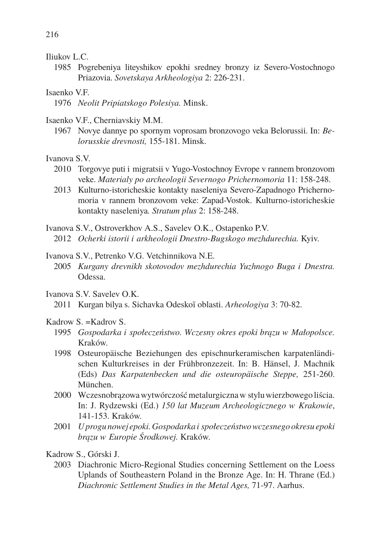### Iliukov L.C.

1985 Pogrebeniya liteyshikov epokhi sredney bronzy iz Severo-Vostochnogo Priazovia. *Sovetskaya Arkheologiya* 2: 226-231.

### Isaenko V.F.

1976 *Neolit Pripiatskogo Polesiya.* Minsk.

- Isaenko V.F., Cherniavskiy M.M.
	- 1967 Novye dannye po spornym voprosam bronzovogo veka Belorussii. In: *Belorusskie drevnosti,* 155-181. Minsk.

# Ivanova S.V.

- 2010 Torgovye puti i migratsii v Yugo-Vostochnoy Evrope v rannem bronzovom veke. *Materialy po archeologii Severnogo Prichernomoria* 11: 158-248.
- 2013 Kulturno-istoricheskie kontakty naseleniya Severo-Zapadnogo Prichernomoria v rannem bronzovom veke: Zapad-Vostok. Kulturno-istoricheskie kontakty naseleniya*. Stratum plus* 2: 158-248.
- Ivanova S.V., Ostroverkhov A.S., Savelev O.K., Ostapenko P.V. 2012 *Ocherki istorii i arkheologii Dnestro-Bugskogo mezhdurechia.* Kyiv.
- Ivanova S.V., Petrenko V.G. Vetchinnikova N.E.
	- 2005 *Kurgany drevnikh skotovodov mezhdurechia Yuzhnogo Buga i Dnestra.*  Odessa.
- Ivanova S.V. Savelev O.K.
	- 2011 Kurgan bilya s. Sichavka Odeskoї oblasti. *Arheologiya* 3: 70-82.

# Kadrow S. =Kadrov S.

- 1995 *Gospodarka i społeczeństwo. Wczesny okres epoki brązu w Małopolsce.*  Kraków.
- 1998 Osteuropäische Beziehungen des epischnurkeramischen karpatenländischen Kulturkreises in der Frühbronzezeit. In: B. Hänsel, J. Machnik (Eds) *Das Karpatenbecken und die osteuropäische Steppe,* 251-260. München.
- 2000 Wczesnobrązowa wytwórczość metalurgiczna w stylu wierzbowego liścia. In: J. Rydzewski (Ed.) *150 lat Muzeum Archeologicznego w Krakowie*, 141-153. Kraków.
- 2001 *U progu nowej epoki. Gospodarka i społeczeństwo wczesnego okresu epoki brązu w Europie Środkowej.* Kraków.
- Kadrow S., Górski J.
	- 2003 Diachronic Micro-Regional Studies concerning Settlement on the Loess Uplands of Southeastern Poland in the Bronze Age. In: H. Thrane (Ed.) *Diachronic Settlement Studies in the Metal Ages,* 71-97. Aarhus.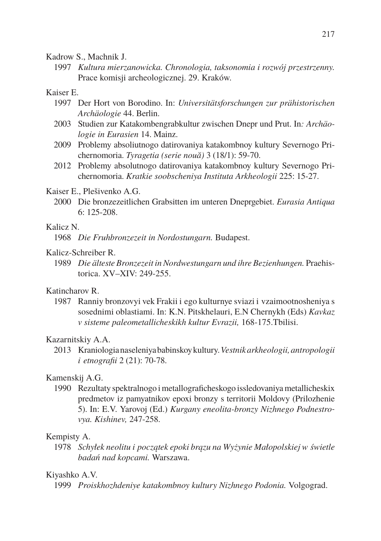### Kadrow S., Machnik J.

1997 *Kultura mierzanowicka. Chronologia, taksonomia i rozwój przestrzenny.*  Prace komisji archeologicznej. 29. Kraków.

# Kaiser E.

- 1997 Der Hort von Borodino. In: *Universitätsforschungen zur prähistorischen Archäologie* 44. Berlin.
- 2003 Studien zur Katakombengrabkultur zwischen Dnepr und Prut. In*: Archäologie in Eurasien* 14. Mainz.
- 2009 Problemy absoliutnogo datirovaniya katakombnoy kultury Severnogo Prichernomoria. *Tyragetia (serie nouă)* 3 (18/1): 59-70.
- 2012 Problemy absolutnogo datirovaniya katakombnoy kultury Severnogo Prichernomoria. *Kratkie soobscheniya Instituta Arkheologii* 225: 15-27.

# Kaiser E., Plešivenko A.G.

2000 Die bronzezeitlichen Grabsitten im unteren Dneprgebiet. *Eurasia Antiqua*  6: 125-208.

# Kalicz N.

1968 *Die Fruhbronzezeit in Nordostungarn.* Budapest.

# Kalicz-Schreiber R.

1989 *Die älteste Bronzezeit in Nordwestungarn und ihre Bezienhungen.* Praehistorica. XV–XIV: 249-255.

# Katincharov R.

1987 Ranniy bronzovyi vek Frakii i ego kulturnye sviazi i vzaimootnosheniya s sosednimi oblastiami. In: K.N. Pitskhelauri, E.N Chernykh (Eds) *Kavkaz v sisteme paleometallicheskikh kultur Evrazii,* 168-175.Tbilisi.

# Kazarnitskiy A.A.

2013 Kraniologia naseleniya babinskoy kultury. *Vestnik arkheologii, antropologii i etnografii* 2 (21): 70-78.

# Kamenskij A.G.

1990 Rezultaty spektralnogo i metallograficheskogo issledovaniya metallicheskix predmetov iz pamyatnikov epoxi bronzy s territorii Moldovy (Prilozhenie 5). In: E.V. Yarovoj (Ed.) *Kurgany eneolita-bronzy Nizhnego Podnestrovya. Kishinev,* 247-258.

# Kempisty A.

1978 *Schyłek neolitu i początek epoki brązu na Wyżynie Małopolskiej w świetle badań nad kopcami.* Warszawa.

# Kiyashko A.V.

1999 *Proiskhozhdeniye katakombnoy kultury Nizhnego Podonia.* Volgograd.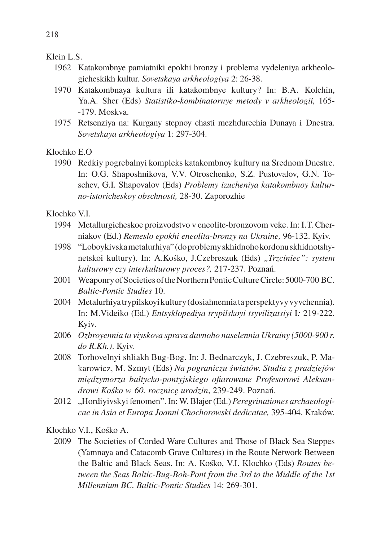## Klein L.S.

- 1962 Katakombnye pamiatniki epokhi bronzy i problema vydeleniya arkheologicheskikh kultur. *Sovetskaya arkheologiya* 2: 26-38.
- 1970 Katakombnaya kultura ili katakombnye kultury? In: B.A. Kolchin, Ya.A. Sher (Eds) *Statistiko-kombinatornye metody v arkheologii,* 165- -179. Moskva.
- 1975 Retsenziya na: Kurgany stepnoy chasti mezhdurechia Dunaya i Dnestra. *Sovetskaya arkheologiya* 1: 297-304.

## Klochko E.O

1990 Redkiy pogrebalnyi kompleks katakombnoy kultury na Srednom Dnestre. In: O.G. Shaposhnikova, V.V. Otroschenko, S.Z. Pustovalov, G.N. Toschev, G.I. Shapovalov (Eds) *Problemy izucheniya katakombnoy kulturno-istoricheskoy obschnosti,* 28-30. Zaporozhie

# Klochko V.I.

- 1994 Metallurgicheskoe proizvodstvo v eneolite-bronzovom veke. In: I.T. Cherniakov (Ed.) *Remeslo epokhi eneolita-bronzy na Ukraine,* 96-132. Kyiv.
- 1998 "Loboykivska metalurhiya" (do problemy skhidnoho kordonu skhidnotshynetskoi kultury). In: A.Kośko, J.Czebreszuk (Eds) "*Trzciniec": system kulturowy czy interkulturowy proces?,* 217-237. Poznań.
- 2001 Weaponry of Societies of the Northern Pontic Culture Circle: 5000-700 BC. *Baltic-Pontic Studies* 10.
- 2004 Metalurhiya trypilskoyi kultury (dosiahnennia ta perspektyvy vyvchennia). In: M.Videiko (Ed.) *Entsyklopediya trypilskoyi tsyvilizatsiyi* I*:* 219-222. Kyiv.
- 2006 *Ozbroyennia ta viyskova sprava davnoho naselennia Ukrainy (5000-900 r. do R.Kh.)*. Kyiv.
- 2008 Torhovelnyi shliakh Bug-Bog. In: J. Bednarczyk, J. Czebreszuk, P. Makarowicz, M. Szmyt (Eds) *Na pograniczu światów. Studia z pradziejów międzymorza bałtycko-pontyjskiego ofiarowane Profesorowi Aleksandrowi Kośko w 60. rocznicę urodzin*, 239-249. Poznań.
- 2012 "Hordiyivskyi fenomen". In: W. Blajer (Ed.) *Peregrinationes archaeologicae in Asia et Europa Joanni Chochorowski dedicatae,* 395-404. Kraków.
- Klochko V.I., Kośko A.
	- 2009 The Societies of Corded Ware Cultures and Those of Black Sea Steppes (Yamnaya and Catacomb Grave Cultures) in the Route Network Between the Baltic and Black Seas. In: A. Kośko, V.I. Klochko (Eds) *Routes between the Seas Baltic-Bug-Boh-Pont from the 3rd to the Middle of the 1st Millennium BC. Baltic-Pontic Studies* 14: 269-301.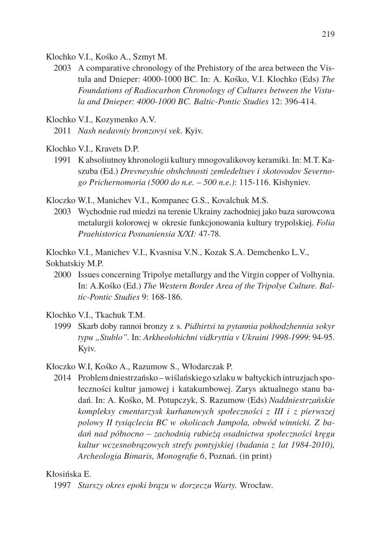- Klochko V.I., Kośko A., Szmyt M.
	- 2003 A comparative chronology of the Prehistory of the area between the Vistula and Dnieper: 4000-1000 BC. In: A. Kośko, V.I. Klochko (Eds) *The Foundations of Radiocarbon Chronology of Cultures between the Vistula and Dnieper: 4000-1000 BC. Baltic-Pontic Studies* 12: 396-414.
- Klochko V.I., Kozymenko A.V.
	- 2011 *Nash nedavniy bronzovyi vek.* Kyiv.
- Klochko V.I., Kravets D.P.
	- 1991 K absoliutnoy khronologii kultury mnogovalikovoy keramiki. In: M.T. Kaszuba (Ed.) *Drevneyshie obshchnosti zemledeltsev i skotovodov Severnogo Prichernomoria (5000 do n.e. – 500 n.e.)*: 115-116. Kishyniev.
- Kloczko W.I., Manichev V.I., Kompanec G.S., Kovalchuk M.S.
	- 2003 Wychodnie rud miedzi na terenie Ukrainy zachodniej jako baza surowcowa metalurgii kolorowej w okresie funkcjonowania kultury trypolskiej. *Folia Praehistorica Posnaniensia X/XI:* 47-78.
- Klochko V.I., Manichev V.I., Kvasnisa V.N., Kozak S.A. Demchenko L.V., Sokhatskiy M.P.
	- 2000 Issues concerning Tripolye metallurgy and the Virgin copper of Volhynia. In: A.Kośko (Ed.) *The Western Border Area of the Tripolye Culture. Baltic-Pontic Studies* 9: 168-186.
- Klochko V.I., Tkachuk T.M.
	- 1999 Skarb doby rannoi bronzy z s. *Pidhirtsi ta pytannia pokhodzhennia sokyr typu "Stublo".* In: *Arkheolohichni vidkryttia v Ukraini 1998-1999*: 94-95. Kyiv.
- Kłoczko W.I, Kośko A., Razumow S., Włodarczak P.
	- 2014 Problem dniestrzańsko wiślańskiego szlaku w bałtyckich intruzjach społeczności kultur jamowej i katakumbowej. Zarys aktualnego stanu badań. In: A. Kośko, M. Potupczyk, S. Razumow (Eds) *Naddniestrzańskie kompleksy cmentarzysk kurhanowych społeczności z III i z pierwszej polowy II tysiąclecia BC w okolicach Jampola, obwód winnicki. Z badań nad północno – zachodnią rubieżą osadnictwa społeczności kręgu kultur wczesnobrązowych strefy pontyjskiej (badania z lat 1984-2010), Archeologia Bimaris, Monografie 6*, Poznań. (in print)

# Kłosińska E.

1997 *Starszy okres epoki brązu w dorzeczu Warty.* Wrocław.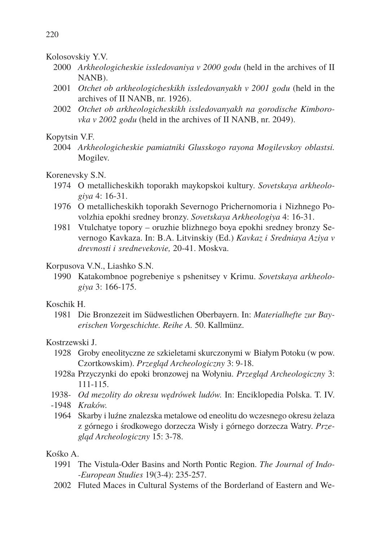## Kolosovskiy Y.V.

- 2000 *Arkheologicheskie issledovaniya v 2000 godu* (held in the archives of II NANB).
- 2001 *Otchet ob arkheologicheskikh issledovanyakh v 2001 godu* (held in the archives of II NANB, nr. 1926).
- 2002 *Otchet ob arkheologicheskikh issledovanyakh na gorodische Kimborovka v 2002 godu* (held in the archives of II NANB, nr. 2049).

### Kopytsin V.F.

2004 *Arkheologicheskie pamiatniki Glusskogo rayona Mogilevskoy oblastsi.*  Mogilev.

### Korenevsky S.N.

- 1974 O metallicheskikh toporakh maykopskoi kultury. *Sovetskaya arkheologiya* 4: 16-31.
- 1976 O metallicheskikh toporakh Severnogo Prichernomoria i Nizhnego Povolzhia epokhi sredney bronzy. *Sovetskaya Arkheologiya* 4: 16-31.
- 1981 Vtulchatye topory oruzhie blizhnego boya epokhi sredney bronzy Severnogo Kavkaza. In: B.A. Litvinskiy (Ed.) *Kavkaz i Sredniaya Aziya v drevnosti i srednevekovie,* 20-41. Moskva.

### Korpusova V.N., Liashko S.N.

1990 Katakombnoe pogrebeniye s pshenitsey v Krimu. *Sovetskaya arkheologiya* 3: 166-175.

# Koschik H.

1981 Die Bronzezeit im Südwestlichen Oberbayern. In: *Materialhefte zur Bayerischen Vorgeschichte. Reihe A.* 50. Kallmünz.

# Kostrzewski J.

- 1928 Groby eneolityczne ze szkieletami skurczonymi w Białym Potoku (w pow. Czortkowskim). *Przegląd Archeologiczny* 3: 9-18.
- 1928a Przyczynki do epoki bronzowej na Wołyniu. *Przegląd Archeologiczny* 3: 111-115.
- 1938*- Od mezolity do okresu wędrówek ludów.* In: Enciklopedia Polska. T. IV.
- -1948 *Kraków.*
- 1964 Skarby i luźne znalezska metalowe od eneolitu do wczesnego okresu żelaza z górnego i środkowego dorzecza Wisły i górnego dorzecza Watry. *Przegląd Archeologiczny* 15: 3-78.

# Kośko A.

- 1991 The Vistula-Oder Basins and North Pontic Region. *The Journal of Indo- -European Studies* 19(3-4): 235-257.
- 2002 Fluted Maces in Cultural Systems of the Borderland of Eastern and We-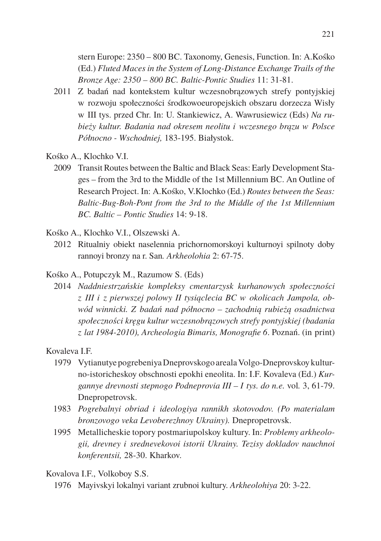stern Europe: 2350 – 800 BC. Taxonomy, Genesis, Function. In: A.Kośko (Ed.) *Fluted Maces in the System of Long-Distance Exchange Trails of the Bronze Age: 2350 – 800 BC. Baltic-Pontic Studies* 11: 31-81.

- 2011 Z badań nad kontekstem kultur wczesnobrązowych strefy pontyjskiej w rozwoju społeczności środkowoeuropejskich obszaru dorzecza Wisły w III tys. przed Chr. In: U. Stankiewicz, A. Wawrusiewicz (Eds) *Na rubieży kultur. Badania nad okresem neolitu i wczesnego brązu w Polsce Północno - Wschodniej,* 183-195. Białystok.
- Kośko A., Klochko V.I.
	- 2009 Transit Routes between the Baltic and Black Seas: Early Development Stages – from the 3rd to the Middle of the 1st Millennium BC. An Outline of Research Project. In: A.Kośko, V.Klochko (Ed.) *Routes between the Seas: Baltic-Bug-Boh-Pont from the 3rd to the Middle of the 1st Millennium BC. Baltic – Pontic Studies* 14: 9-18.
- Kośko A., Klochko V.I., Olszewski A.
	- 2012 Ritualniy obiekt naselennia prichornomorskoyi kulturnoyi spilnoty doby rannoyi bronzy na r. San*. Arkheolohia* 2: 67-75.
- Kośko A., Potupczyk M., Razumow S. (Eds)
	- 2014 *Naddniestrzańskie kompleksy cmentarzysk kurhanowych społeczności z III i z pierwszej polowy II tysiąclecia BC w okolicach Jampola, obwód winnicki. Z badań nad północno – zachodnią rubieżą osadnictwa społeczności kręgu kultur wczesnobrązowych strefy pontyjskiej (badania z lat 1984-2010), Archeologia Bimaris, Monografie 6*. Poznań. (in print)

Kovaleva I.F.

- 1979 Vytianutye pogrebeniya Dneprovskogo areala Volgo-Dneprovskoy kulturno-istoricheskoy obschnosti epokhi eneolita. In: I.F. Kovaleva (Ed.) *Kurgannye drevnosti stepnogo Podneprovia III – I tys. do n.e.* vol*.* 3, 61-79. Dnepropetrovsk.
- 1983 *Pogrebalnyi obriad i ideologiya rannikh skotovodov. (Po materialam bronzovogo veka Levoberezhnoy Ukrainy).* Dnepropetrovsk.
- 1995 Metallicheskie topory postmariupolskoy kultury. In: *Problemy arkheologii, drevney i srednevekovoi istorii Ukrainy. Tezisy dokladov nauchnoi konferentsii,* 28-30. Kharkov.

Kovalova I.F., Volkoboy S.S.

1976 Mayivskyi lokalnyi variant zrubnoi kultury. *Arkheolohiya* 20: 3-22.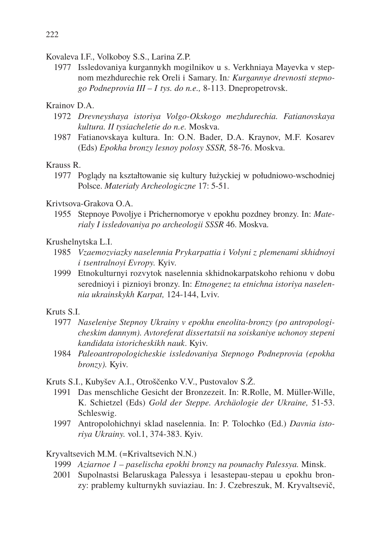## Kovaleva I.F., Volkoboy S.S., Larina Z.P.

1977 Issledovaniya kurgannykh mogilnikov u s. Verkhniaya Mayevka v stepnom mezhdurechie rek Oreli i Samary. In*: Kurgannye drevnosti stepnogo Podneprovia III – I tys. do n.e.,* 8-113. Dnepropetrovsk.

# Krainov D.A.

- 1972 *Drevneyshaya istoriya Volgo-Okskogo mezhdurechia. Fatianovskaya kultura. II tysiacheletie do n.e.* Moskva.
- 1987 Fatianovskaya kultura. In: O.N. Bader, D.A. Kraynov, M.F. Kosarev (Eds) *Epokha bronzy lesnoy polosy SSSR,* 58-76. Moskva.

### Krauss R.

1977 Poglądy na kształtowanie się kultury łużyckiej w południowo-wschodniej Polsce. *Materiały Archeologiczne* 17: 5-51.

### Krivtsova-Grakova O.A.

1955 Stepnoye Povoljye i Prichernomorye v epokhu pozdney bronzy. In: *Materialy I issledovaniya po archeologii SSSR* 46. Moskva.

## Krushelnytska L.I.

- 1985 *Vzaemozviazky naselennia Prykarpattia i Volyni z plemenami skhidnoyi i tsentralnoyi Evropy.* Kyiv.
- 1999 Etnokulturnyi rozvytok naselennia skhidnokarpatskoho rehionu v dobu serednioyi i piznioyi bronzy. In: *Etnogenez ta etnichna istoriya naselennia ukrainskykh Karpat,* 124-144, Lviv.

# Kruts S.I.

- 1977 *Naseleniye Stepnoy Ukrainy v epokhu eneolita-bronzy (po antropologicheskim dannym). Avtoreferat dissertatsii na soiskaniye uchonoy stepeni kandidata istoricheskikh nauk*. Kyiv.
- 1984 *Paleoantropologicheskie issledovaniya Stepnogo Podneprovia (epokha bronzy).* Kyiv.
- Kruts S.I., Kubyšev A.I., Otroščenko V.V., Pustovalov S.Ž.
	- 1991 Das menschliche Gesicht der Bronzezeit. In: R.Rolle, M. Müller-Wille, K. Schietzel (Eds) *Gold der Steppe. Archäologie der Ukraine,* 51-53. Schleswig.
	- 1997 Antropolohichnyi sklad naselennia. In: P. Tolochko (Ed.) *Davnia istoriya Ukrainy.* vol.1, 374-383. Kyiv.

# Kryvaltsevich M.M. (=Krivaltsevich N.N.)

- 1999 *Aziarnoe 1 paselischa epokhi bronzy na pounachy Palessya.* Minsk.
- 2001 Supolnastsi Belaruskaga Palessya i lesastepau-stepau u epokhu bronzy: prablemy kulturnykh suviaziau. In: J. Czebreszuk, M. Kryvaltsevič,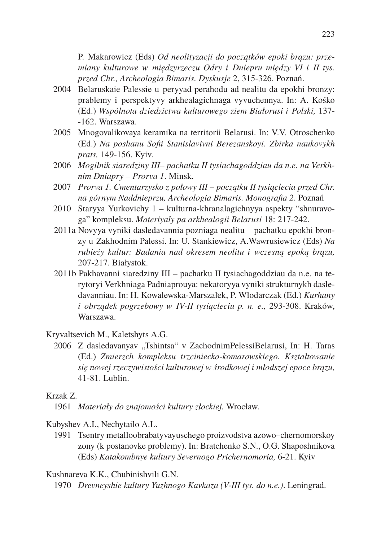P. Makarowicz (Eds) *Od neolityzacji do początków epoki brązu: przemiany kulturowe w międzyrzeczu Odry i Dniepru między VI i II tys. przed Chr., Archeologia Bimaris. Dyskusje* 2, 315-326. Poznań.

- 2004 Belaruskaie Palessie u peryyad perahodu ad nealitu da epokhi bronzy: prablemy i perspektyvy arkhealagichnaga vyvuchennya. In: A. Kośko (Ed.) *Wspólnota dziedzictwa kulturowego ziem Białorusi i Polski,* 137- -162. Warszawa.
- 2005 Mnogovalikovaya keramika na territorii Belarusi. In: V.V. Otroschenko (Ed.) *Na poshanu Sofii Stanislavivni Berezanskoyi. Zbirka naukovykh prats,* 149-156. Kyiv.
- 2006 *Mogilnik siaredziny III– pachatku II tysiachagoddziau da n.e. na Verkhnim Dniapry – Prorva 1*. Minsk.
- 2007 *Prorva 1. Cmentarzysko z połowy III początku II tysiąclecia przed Chr. na górnym Naddnieprzu, Archeologia Bimaris. Monografia 2*. Poznań
- 2010 Staryya Yurkovichy 1 kulturna-khranalagichnyya aspekty "shnuravoga" kompleksu. *Materiyaly pa arkhealogii Belarusi* 18: 217-242.
- 2011a Novyya vyniki dasledavannia pozniaga nealitu pachatku epokhi bronzy u Zakhodnim Palessi. In: U. Stankiewicz, A.Wawrusiewicz (Eds) *Na rubieży kultur: Badania nad okresem neolitu i wczesną epoką brązu,*  207-217. Białystok.
- 2011b Pakhavanni siaredziny III pachatku II tysiachagoddziau da n.e. na terytoryi Verkhniaga Padniaprouya: nekatoryya vyniki strukturnykh dasledavanniau. In: H. Kowalewska-Marszałek, P. Włodarczak (Ed.) *Kurhany i obrządek pogrzebowy w IV-II tysiącleciu p. n. e.,* 293-308. Kraków, Warszawa.

Kryvaltsevich M., Kaletshyts A.G.

2006 Z dasledavanyav "Tshintsa" v ZachodnimPelessiBelarusi, In: H. Taras (Ed.) *Zmierzch kompleksu trzciniecko-komarowskiego. Kształtowanie się nowej rzeczywistości kulturowej w środkowej i młodszej epoce brązu,*  41-81. Lublin.

Krzak Z.

1961 *Materiały do znajomości kultury złockiej.* Wrocław.

Kubyshev A.I., Nechytailo A.L.

1991 Tsentry metalloobrabatyvayuschego proizvodstva azowo–chernomorskoy zony (k postanovke problemy). In: Bratchenko S.N., O.G. Shaposhnikova (Eds) *Katakombnye kultury Severnogo Prichernomoria,* 6-21. Kyiv

Kushnareva K.K., Chubinishvili G.N.

1970 *Drevneyshie kultury Yuzhnogo Kavkaza (V-III tys. do n.e.)*. Leningrad.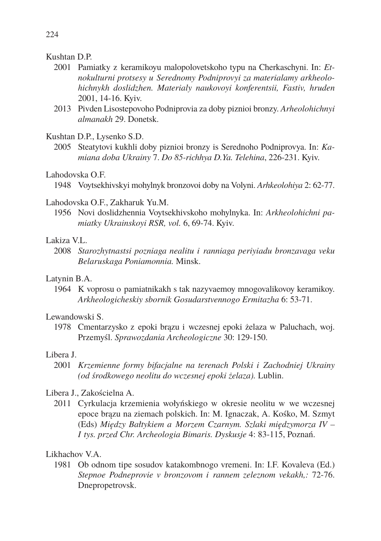# Kushtan D.P.

- 2001 Pamiatky z keramikoyu malopolovetskoho typu na Cherkaschyni. In: *Etnokulturni protsesy u Serednomy Podniprovyi za materialamy arkheolohichnykh doslidzhen. Materialy naukovoyi konferentsii, Fastiv, hruden*  2001, 14-16. Kyiv.
- 2013 Pivden Lisostepovoho Podniprovia za doby piznioi bronzy. *Arheolohichnyi almanakh* 29. Donetsk.

### Kushtan D.P., Lysenko S.D.

2005 Steatytovi kukhli doby piznioi bronzy is Serednoho Podniprovya. In: *Kamiana doba Ukrainy* 7. *Do 85-richhya D.Ya. Telehina*, 226-231. Kyiv.

### Lahodovska O.F.

1948 Voytsekhivskyi mohylnyk bronzovoi doby na Volyni. *Arhkeolohiya* 2: 62-77.

### Lahodovska O.F., Zakharuk Yu.M.

1956 Novi doslidzhennia Voytsekhivskoho mohylnyka. In: *Arkheolohichni pamiatky Ukrainskoyi RSR, vol.* 6, 69-74. Kyiv.

# Lakiza V.L.

2008 *Starozhytnastsi pozniaga nealitu i ranniaga periyiadu bronzavaga veku Belaruskaga Poniamonnia.* Minsk.

# Latynin B.A.

1964 K voprosu o pamiatnikakh s tak nazyvaemoy mnogovalikovoy keramikoy. *Arkheologicheskiy sbornik Gosudarstvennogo Ermitazha* 6: 53-71.

### Lewandowski S.

1978 Cmentarzysko z epoki brązu i wczesnej epoki żelaza w Paluchach, woj. Przemyśl. *Sprawozdania Archeologiczne* 30: 129-150.

# Libera J.

2001 *Krzemienne formy bifacjalne na terenach Polski i Zachodniej Ukrainy (od środkowego neolitu do wczesnej epoki żelaza).* Lublin.

# Libera J., Zakościelna A.

2011 Cyrkulacja krzemienia wołyńskiego w okresie neolitu w we wczesnej epoce brązu na ziemach polskich. In: M. Ignaczak, A. Kośko, M. Szmyt (Eds) *Między Bałtykiem a Morzem Czarnym. Szlaki międzymorza IV – I tys. przed Chr. Archeologia Bimaris. Dyskusje* 4: 83-115, Poznań.

## Likhachov V.A.

1981 Ob odnom tipe sosudov katakombnogo vremeni. In: I.F. Kovaleva (Ed.) *Stepnoe Podneprovie v bronzovom i rannem zeleznom vekakh,:* 72-76. Dnepropetrovsk.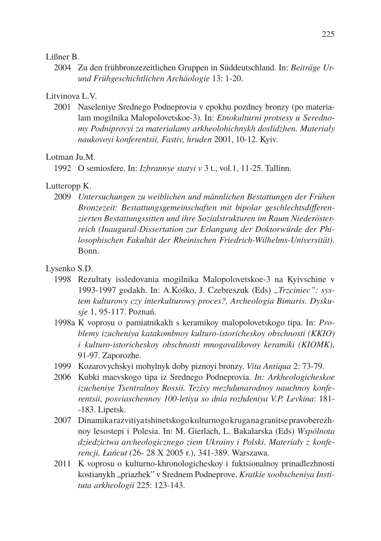## Lißner B.

2004 Zu den frühbronzezeitlichen Gruppen in Süddeutschland. In: *Beiträge Urund Frühgeschichtlichen Archäologie* 13: 1-20.

### Litvinova L.V.

2001 Naseleniye Srednego Podneprovia v epokhu pozdney bronzy (po materialam mogilnika Malopolovetskoe-3). In: *Etnokulturni protsesy u Serednomy Podniprovyi za materialamy arkheolohichnykh doslidzhen. Materialy naukovoyi konferentsii, Fastiv, hruden* 2001, 10-12. Kyiv.

### Lotman Ju.M.

1992 O semiosfere. In: *Izbrannye statyi v* 3 t., vol.1, 11-25. Tallinn.

### Lutteropp K.

2009 *Untersuchungen zu weiblichen und männlichen Bestattungen der Frühen Bronzezeit: Bestattungsgemeinschaften mit bipolar geschlechtsdifferenzierten Bestattungssitten und ihre Sozialstrukturen im Raum Niederösterreich (Inaugural-Dissertation zur Erlangung der Doktorwürde der Philosophischen Fakultät der Rheinischen Friedrich-Wilhelms-Universität).*  Bonn.

# Lysenko S.D.

- 1998 Rezultaty issledovania mogilnika Malopolovetskoe-3 na Kyivschine v 1993-1997 godakh. In: A.Kośko, J. Czebreszuk (Eds) *"Trzciniec": system kulturowy czy interkulturowy proces?, Archeologia Bimaris. Dyskusje* 1, 95-117. Poznań.
- 1998a K voprosu o pamiatnikakh s keramikoy malopolovetskogo tipa. In: *Problemy izucheniya katakombnoy kulturo-istoricheskoy obschnosti (KKIO) i kulturo-istoricheskoy obschnosti mnogovalikovoy keramiki (KIOMK),*  91-97. Zaporozhe.
- 1999 Kozarovychskyi mohylnyk doby piznoyi bronzy. *Vita Antiqua* 2: 73-79.
- 2006 Kubki maevskogo tipa iz Srednego Podneprovia. *In: Arkheologicheskoe izucheniye Tsentralnoy Rossii. Tezisy mezhdunarodnoy nauchnoy konferentsii, posviaschennoy 100-letiyu so dnia rozhdeniya V.P. Levkina*: 181- -183. Lipetsk.
- 2007 Dinamika razvitiya tshinetskogo kulturnogo kruga na granitse pravoberezhnoy lesostepi i Polesia. In: M. Gierlach, L. Bakalarska (Eds) *Wspólnota dziedzictwa archeologicznego ziem Ukrainy i Polski. Materiały z konferencji. Łańcut (*26- 28 X 2005 r.), 341-389. Warszawa.
- 2011 K voprosu o kulturno-khronologicheskoy i fuktsionalnoy prinadlezhnosti kostianykh "priazhek" v Srednem Podneprove. *Kratkie soobscheniya Instituta arkheologii* 225: 123-143.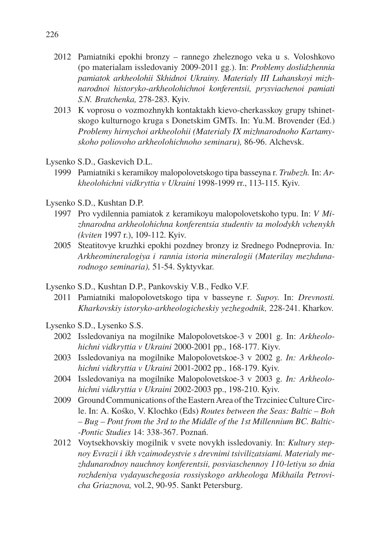- 2012 Pamiatniki epokhi bronzy rannego zheleznogo veka u s. Voloshkovo (po materialam issledovaniy 2009-2011 gg.). In: *Problemy doslidzhennia pamiatok arkheolohii Skhidnoi Ukrainy. Materialy III Luhanskoyi mizhnarodnoi historyko-arkheolohichnoi konferentsii, prysviachenoi pamiati S.N. Bratchenka,* 278-283. Kyiv.
- 2013 K voprosu o vozmozhnykh kontaktakh kievo-cherkasskoy grupy tshinetskogo kulturnogo kruga s Donetskim GMTs. In: Yu.M. Brovender (Ed.) *Problemy hirnychoi arkheolohii (Materialy IX mizhnarodnoho Kartamyskoho poliovoho arkheolohichnoho seminaru),* 86-96. Alchevsk.
- Lysenko S.D., Gaskevich D.L.
	- 1999 Pamiatniki s keramikoy malopolovetskogo tipa basseyna r. *Trubezh.* In: *Arkheolohichni vidkryttia v Ukraini* 1998-1999 rr., 113-115. Kyiv.
- Lysenko S.D., Kushtan D.P.
	- 1997 Pro vydilennia pamiatok z keramikoyu malopolovetskoho typu. In: *V Mizhnarodna arkheolohichna konferentsia studentiv ta molodykh vchenykh (kviten* 1997 r.), 109-112. Kyiv.
	- 2005 Steatitovye kruzhki epokhi pozdney bronzy iz Srednego Podneprovia. In*: Arkheomineralogiya i rannia istoria mineralogii (Materilay mezhdunarodnogo seminaria),* 51-54. Syktyvkar.
- Lysenko S.D., Kushtan D.P., Pankovskiy V.B., Fedko V.F.
	- 2011 Pamiatniki malopolovetskogo tipa v basseyne r. *Supoy.* In: *Drevnosti. Kharkovskiy istoryko-arkheologicheskiy yezhegodnik,* 228-241. Kharkov.
- Lysenko S.D., Lysenko S.S.
	- 2002 Issledovaniya na mogilnike Malopolovetskoe-3 v 2001 g. In: *Arkheolohichni vidkryttia v Ukraini* 2000-2001 pp., 168-177. Kiyv.
	- 2003 Issledovaniya na mogilnike Malopolovetskoe-3 v 2002 g. *In: Arkheolohichni vidkryttia v Ukraini* 2001-2002 pp., 168-179. Kyiv.
	- 2004 Issledovaniya na mogilnike Malopolovetskoe-3 v 2003 g. *In: Arkheolohichni vidkryttia v Ukraini* 2002-2003 pp., 198-210. Kyiv.
	- 2009 Ground Communications of the Eastern Area of the Trzciniec Culture Circle. In: A. Kośko, V. Klochko (Eds) *Routes between the Seas: Baltic – Boh – Bug – Pont from the 3rd to the Middle of the 1st Millennium BC. Baltic- -Pontic Studies* 14: 338-367. Poznań.
	- 2012 Voytsekhovskiy mogilnik v svete novykh issledovaniy. In: *Kultury stepnoy Evrazii i ikh vzaimodeystvie s drevnimi tsivilizatsiami. Materialy mezhdunarodnoy nauchnoy konferentsii, posviaschennoy 110-letiyu so dnia rozhdeniya vydayuschegosia rossiyskogo arkheologa Mikhaila Petrovicha Griaznova,* vol.2, 90-95. Sankt Petersburg.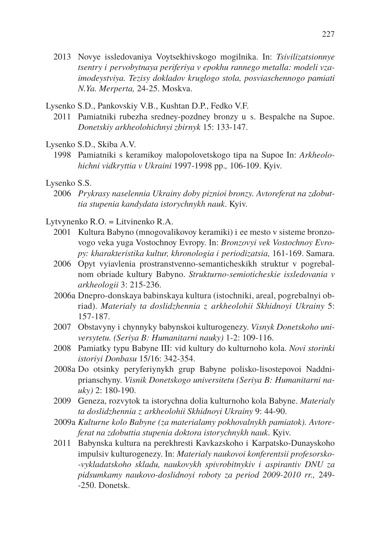2013 Novye issledovaniya Voytsekhivskogo mogilnika. In: *Tsivilizatsionnye tsentry i pervobytnaya periferiya v epokhu rannego metalla: modeli vzaimodeystviya. Tezisy dokladov kruglogo stola, posviaschennogo pamiati N.Ya. Merperta,* 24-25. Moskva.

Lysenko S.D., Pankovskiy V.B., Kushtan D.P., Fedko V.F.

- 2011 Pamiatniki rubezha sredney-pozdney bronzy u s. Bespalche na Supoe. *Donetskiy arkheolohichnyi zbirnyk* 15: 133-147.
- Lysenko S.D., Skiba A.V.
	- 1998 Pamiatniki s keramikoy malopolovetskogo tipa na Supoe In: *Arkheolohichni vidkryttia v Ukraini* 1997-1998 pp.*,* 106-109. Kyiv.
- Lysenko S.S.
	- 2006 *Prykrasy naselennia Ukrainy doby piznioi bronzy. Avtoreferat na zdobuttia stupenia kandydata istorychnykh nauk*. Kyiv.

Lytvynenko R.O. = Litvinenko R.A.

- 2001 Kultura Babyno (mnogovalikovoy keramiki) i ee mesto v sisteme bronzovogo veka yuga Vostochnoy Evropy. In: *Bronzovyi vek Vostochnoy Evropy: kharakteristika kultur, khronologia i periodizatsia,* 161-169. Samara.
- 2006 Opyt vyiavlenia prostranstvenno-semanticheskikh struktur v pogrebalnom obriade kultury Babyno. *Strukturno-semioticheskie issledovania v arkheologii* 3: 215-236.
- 2006a Dnepro-donskaya babinskaya kultura (istochniki, areal, pogrebalnyi obriad). *Materialy ta doslidzhennia z arkheolohii Skhidnoyi Ukrainy* 5: 157-187.
- 2007 Obstavyny i chynnyky babynskoi kulturogenezy. *Visnyk Donetskoho universytetu. (Seriya B: Humanitarni nauky)* 1-2: 109-116.
- 2008 Pamiatky typu Babyne III: vid kultury do kulturnoho kola. *Novi storinki istoriyi Donbasu* 15/16: 342-354.
- 2008a Do otsinky peryferiynykh grup Babyne polisko-lisostepovoi Naddniprianschyny. *Visnik Donetskogo universitetu (Seriya B: Humanitarni nauky)* 2: 180-190.
- 2009 Geneza, rozvytok ta istorychna dolia kulturnoho kola Babyne. *Materialy ta doslidzhennia z arkheolohii Skhidnoyi Ukrainy* 9: 44-90.
- 2009a *Kulturne kolo Babyne (za materialamy pokhovalnykh pamiatok). Avtoreferat na zdobuttia stupenia doktora istorychnykh nauk.* Kyiv.
- 2011 Babynska kultura na perekhresti Kavkazskoho i Karpatsko-Dunayskoho impulsiv kulturogenezy. In: *Materialy naukovoi konferentsii profesorsko- -vykladatskoho skladu, naukovykh spivrobitnykiv i aspirantiv DNU za pidsumkamy naukovo-doslidnoyi roboty za period 2009-2010 rr.,* 249- -250. Donetsk.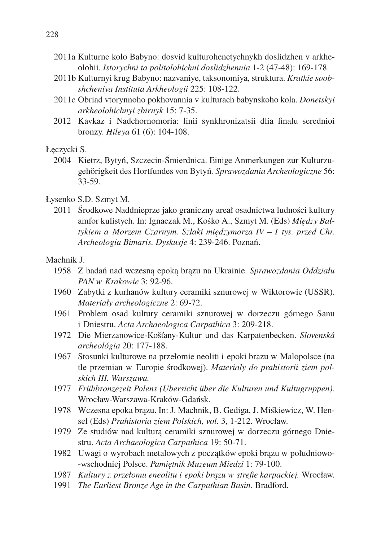- 2011a Kulturne kolo Babyno: dosvid kulturohenetychnykh doslidzhen v arkheolohii. *Istorychni ta politolohichni doslidzhennia* 1-2 (47-48): 169-178.
- 2011b Kulturnyi krug Babyno: nazvaniye, taksonomiya, struktura. *Kratkie soobshcheniya Instituta Arkheologii* 225: 108-122.
- 2011c Obriad vtorynnoho pokhovannia v kulturach babynskoho kola. *Donetskyi arkheolohichnyi zbirnyk* 15: 7-35.
- 2012 Kavkaz i Nadchornomoria: linii synkhronizatsii dlia finalu serednioi bronzy. *Hileya* 61 (6): 104-108.

Łęczycki S.

2004 Kietrz, Bytyń, Szczecin-Śmierdnica. Einige Anmerkungen zur Kulturzugehörigkeit des Hortfundes von Bytyń*. Sprawozdania Archeologiczne* 56: 33-59.

Łysenko S.D. Szmyt M.

2011 Środkowe Naddnieprze jako graniczny areał osadnictwa ludności kultury amfor kulistych. In: Ignaczak M., Kośko A., Szmyt M. (Eds) *Między Bałtykiem a Morzem Czarnym. Szlaki międzymorza IV – I tys. przed Chr. Archeologia Bimaris. Dyskusje* 4: 239-246. Poznań.

## Machnik J.

- 1958 Z badań nad wczesną epoką brązu na Ukrainie. *Sprawozdania Oddziału PAN w Krakowie* 3: 92-96.
- 1960 Zabytki z kurhanów kultury ceramiki sznurowej w Wiktorowie (USSR). *Materiały archeologiczne* 2: 69-72.
- 1961 Problem osad kultury ceramiki sznurowej w dorzeczu górnego Sanu i Dniestru. *Acta Archaeologica Carpathica* 3: 209-218.
- 1972 Die Mierzanowice-Košťany-Kultur und das Karpatenbecken. *Slovenská archeológia* 20: 177-188.
- 1967 Stosunki kulturowe na przełomie neoliti i epoki brazu w Malopolsce (na tle przemian w Europie środkowej). *Materialy do prahistorii ziem polskich III. Warszawa.*
- 1977 *Frühbronzezeit Polens (Ubersicht über die Kulturen und Kultugruppen).*  Wrocław-Warszawa-Kraków-Gdańsk.
- 1978 Wczesna epoka brązu. In: J. Machnik, B. Gediga, J. Miśkiewicz, W. Hensel (Eds) *Prahistoria ziem Polskich, vol.* 3, 1-212. Wrocław.
- 1979 Ze studiów nad kulturą ceramiki sznurowej w dorzeczu górnego Dniestru. *Acta Archaeologica Carpathica* 19: 50-71.
- 1982 Uwagi o wyrobach metalowych z początków epoki brązu w południowo- -wschodniej Polsce. *Pamiętnik Muzeum Miedzi* 1: 79-100.
- 1987 *Kultury z przełomu eneolitu i epoki brązu w strefie karpackiej.* Wrocław.
- 1991 *The Earliest Bronze Age in the Carpathian Basin.* Bradford.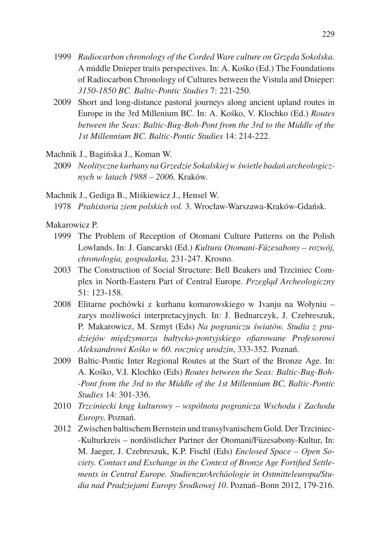- 1999 *Radiocarbon chronology of the Corded Ware culture on Grzęda Sokolska.*  A middle Dnieper traits perspectives. In: A. Kośko (Ed.) The Foundations of Radiocarbon Chronology of Cultures between the Vistula and Dnieper: *3150-1850 BC. Baltic-Pontic Studies* 7: 221-250.
- 2009 Short and long-distance pastoral journeys along ancient upland routes in Europe in the 3rd Millenium BC. In: A. Kośko, V. Klochko (Ed.) *Routes between the Seas: Baltic-Bug-Boh-Pont from the 3rd to the Middle of the 1st Millennium BC. Baltic-Pontic Studies* 14: 214-222.

Machnik J., Bagińska J., Koman W.

2009 *Neolityczne kurhany na Grzedzie Sokalskiej w świetle badań archeologicznych w latach 1988 – 2006.* Kraków.

Machnik J., Gediga B., Miśkiewicz J., Hensel W. 1978 *Prahistoria ziem polskich vol.* 3. Wrocław-Warszawa-Kraków-Gdańsk.

Makarowicz P.

- 1999 The Problem of Reception of Otomani Culture Patterns on the Polish Lowlands. In: J. Gancarski (Ed.) *Kultura Otomani-Füzesabony – rozwój, chronologia, gospodarka,* 231-247. Krosno.
- 2003 The Construction of Social Structure: Bell Beakers and Trzciniec Complex in North-Eastern Part of Central Europe. *Przegląd Archeologiczny*  51: 123-158.
- 2008 Elitarne pochówki z kurhanu komarowskiego w Ivanju na Wołyniu zarys możliwości interpretacyjnych. In: J. Bednarczyk, J. Czebreszuk, P. Makarowicz, M. Szmyt (Eds) *Na pograniczu światów. Studia z pradziejów międzymorza bałtycko-pontyjskiego ofiarowane Profesorowi Aleksandrowi Kośko w 60. rocznicę urodzin*, 333-352. Poznań.
- 2009 Baltic-Pontic Inter Regional Routes at the Start of the Bronze Age. In: A. Kośko, V.I. Klochko (Eds) *Routes between the Seas: Baltic-Bug-Boh- -Pont from the 3rd to the Middle of the 1st Millennium BC, Baltic-Pontic Studies* 14: 301-336.
- 2010 *Trzciniecki krąg kulturowy wspólnota pogranicza Wschodu i Zachodu Europy.* Poznań.
- 2012 Zwischen baltischem Bernstein und transylvanischem Gold. Der Trzciniec- -Kulturkreis – nordöstlicher Partner der Otomani/Füzesabony-Kultur, In: M. Jaeger, J. Czebreszuk, K.P. Fischl (Eds) *Enclosed Space – Open Society. Contact and Exchange in the Context of Bronze Age Fortified Settlements in Central Europe. StudienzurArchäologie in Ostmitteleuropa/Studia nad Pradziejami Europy Środkowej 10*. Poznań–Bonn 2012, 179-216.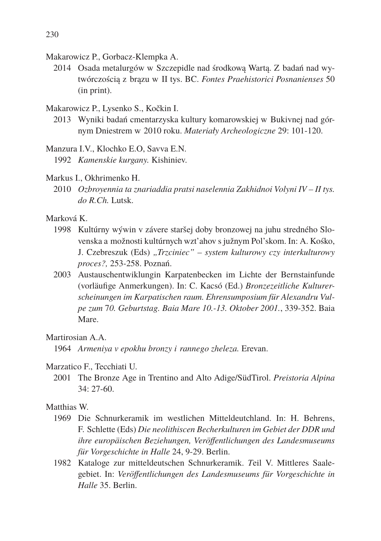- Makarowicz P., Gorbacz-Klempka A.
	- 2014 Osada metalurgów w Szczepidle nad środkową Wartą. Z badań nad wytwórczością z brązu w II tys. BC. *Fontes Praehistorici Posnanienses* 50 (in print).
- Makarowicz P., Lysenko S., Kočkin I.
	- 2013 Wyniki badań cmentarzyska kultury komarowskiej w Bukivnej nad górnym Dniestrem w 2010 roku. *Materiały Archeologiczne* 29: 101-120.

Manzura I.V., Klochko E.O, Savva E.N.

1992 *Kamenskie kurgany.* Kishiniev.

- Markus I., Okhrimenko H.
	- 2010 *Ozbroyennia ta znariaddia pratsi naselennia Zakhidnoi Volyni IV II tys. do R.Ch.* Lutsk.

Marková K.

- 1998 Kultúrny wýwin v závere staršej doby bronzowej na juhu stredného Slovenska a možnosti kultúrnych wzt'ahov s južnym Pol'skom. In: A. Kośko, J. Czebreszuk (Eds) "*Trzciniec" – system kulturowy czy interkulturowy proces?,* 253-258. Poznań.
- 2003 Austauschentwiklungin Karpatenbecken im Lichte der Bernstainfunde (vorläufige Anmerkungen). In: C. Kacsó (Ed.) *Bronzezeitliche Kulturerscheinungen im Karpatischen raum. Ehrensumposium für Alexandru Vulpe zum* 7*0. Geburtstag. Baia Mare 10.-13. Oktober 2001.*, 339-352. Baia Mare.

Martirosian A.A.

1964 *Armeniya v epokhu bronzy i rannego zheleza.* Erevan.

- Marzatico F., Tecchiati U.
	- 2001 The Bronze Age in Trentino and Alto Adige/SüdTirol. *Preistoria Alpina*  34: 27-60.

### Matthias W.

- 1969 Die Schnurkeramik im westlichen Mitteldeutchland. In: H. Behrens, F. Schlette (Eds) *Die neolithiscen Becherkulturen im Gebiet der DDR und ihre europäischen Beziehungen, Veröffentlichungen des Landesmuseums für Vorgeschichte in Halle* 24, 9-29. Berlin.
- 1982 Kataloge zur mitteldeutschen Schnurkeramik. *T*eil V. Mittleres Saalegebiet. In: *Veröffentlichungen des Landesmuseums für Vorgeschichte in Halle* 35. Berlin.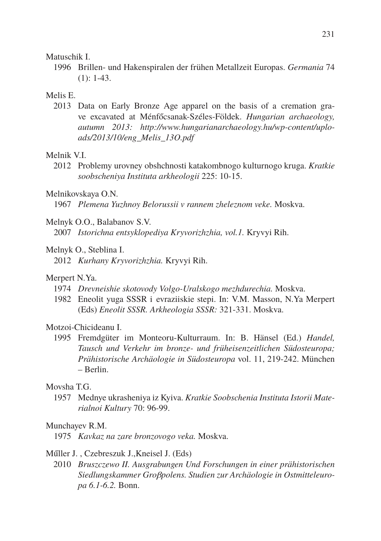### Matuschik I.

1996 Brillen- und Hakenspiralen der frühen Metallzeit Europas. *Germania* 74  $(1): 1-43.$ 

# Melis E.

2013 Data on Early Bronze Age apparel on the basis of a cremation grave excavated at Ménfőcsanak-Széles-Földek. *Hungarian archaeology, autumn 2013: http://www.hungarianarchaeology.hu/wp-content/uploads/2013/10/eng\_Melis\_13O.pdf* 

### Melnik V.I.

2012 Problemy urovney obshchnosti katakombnogo kulturnogo kruga. *Kratkie soobscheniya Instituta arkheologii* 225: 10-15.

#### Melnikovskaya O.N.

1967 *Plemena Yuzhnoy Belorussii v rannem zheleznom veke.* Moskva.

#### Melnyk O.O., Balabanov S.V.

2007 *Istorichna entsyklopediya Kryvorizhzhia, vol.1.* Kryvyi Rih.

#### Melnyk O., Steblina I.

2012 *Kurhany Kryvorizhzhia.* Kryvyi Rih.

#### Merpert N.Ya.

- 1974 *Drevneishie skotovody Volgo-Uralskogo mezhdurechia.* Moskva.
- 1982 Eneolit yuga SSSR i evraziiskie stepi. In: V.M. Masson, N.Ya Merpert (Eds) *Eneolit SSSR. Arkheologia SSSR:* 321-331. Moskva.

## Motzoi-Chicideanu I.

1995 Fremdgüter im Monteoru-Kulturraum. In: B. Hänsel (Ed.) *Handel, Tausch und Verkehr im bronze- und früheisenzeitlichen Südosteuropa; Prähistorische Archäologie in Südosteuropa* vol. 11, 219-242. München – Berlin.

### Movsha T.G.

1957 Mednye ukrasheniya iz Kyiva. *Kratkie Soobschenia Instituta Istorii Materialnoi Kultury* 70: 96-99.

#### Munchayev R.M.

1975 *Kavkaz na zare bronzovogo veka.* Moskva.

### Műller J. , Czebreszuk J.,Kneisel J. (Eds)

2010 *Bruszczewo II. Ausgrabungen Und Forschungen in einer prähistorischen Siedlungskammer Groβpolens. Studien zur Archäologie in Ostmitteleuropa 6.1-6.2.* Bonn.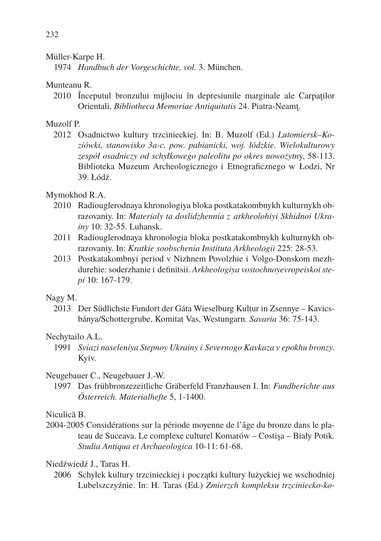# Müller-Karpe H.

1974 *Handbuch der Vorgeschichte, vol.* 3. München.

# Munteanu R.

2010 Începutul bronzului mijlociu în depresiunile marginale ale Carpaţilor Orientali. *Bibliotheca Memoriae Antiquitatis* 24. Piatra-Neamţ.

# Muzolf P.

2012 Osadnictwo kultury trzcinieckiej. In: B. Muzolf (Ed.) *Lutomiersk–Koziówki, stanowisko 3a-c, pow. pabianicki, woj. lódzkie. Wielokulturowy zespół osadniczy od schyłkowego paleolitu po okres nowożytn*y, 58-113. Biblioteka Muzeum Archeologicznego i Etnograficznego w Łodzi, Nr 39. Łódź.

# Mymokhod R.A.

- 2010 Radiouglerodnaya khronologiya bloka postkatakombnykh kulturnykh obrazovaniy. In: *Materialy ta doslidzhennia z arkheolohiyi Skhidnoi Ukrainy* 10: 32-55. Luhansk.
- 2011 Radiouglerodnaya khronologia bloka postkatakombnykh kulturnykh obrazovaniy. In: *Kratkie soobschenia Instituta Arkheologii* 225: 28-53.
- 2013 Postkatakombnyi period v Nizhnem Povolzhie i Volgo-Donskom mezhdurehie: soderzhanie i definitsii. *Arkheologiya vostochnoyevropeiskoi stepi* 10: 167-179.

# Nagy M.

2013 Der Südlichste Fundort der Gáta Wieselburg Kultur in Zsennye – Kavicsbánya/Schottergrube, Komitat Vas, Westungarn. *Savaria* 36: 75-143.

# Nechytailo A.L.

1991 *Sviazi naseleniya Stepnoy Ukrainy i Severnogo Kavkaza v epokhu bronzy.*  Kyiv.

# Neugebauer C., Neugebauer J.-W.

1997 Das frühbronzezeitliche Gräberfeld Franzhausen I. In: *Fundberichte aus Österreich. Materialhefte* 5, 1-1400.

# Niculică B.

2004-2005 Considérations sur la période moyenne de l'âge du bronze dans le plateau de Suceava. Le complexe culturel Komarów – Costişa – Biały Potik*. Studia Antiqua et Archaeologica* 10-11: 61-68.

Niedźwiedź J., Taras H.

2006 Schyłek kultury trzcinieckiej i początki kultury łużyckiej we wschodniej Lubelszczyźnie. In: H. Taras (Ed.) *Zmierzch kompleksu trzciniecko-ko-*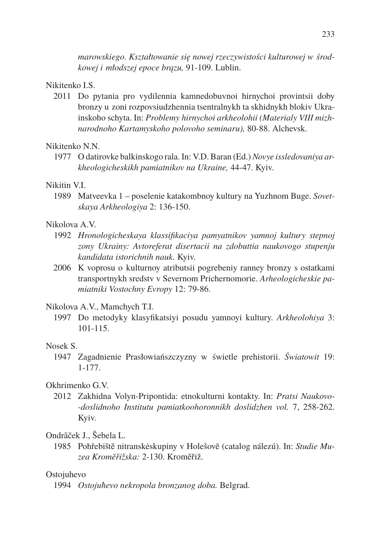*marowskiego. Kształtowanie się nowej rzeczywistości kulturowej w środkowej i młodszej epoce brązu,* 91-109. Lublin.

# Nikitenko I.S.

2011 Do pytania pro vydilennia kamnedobuvnoi hirnychoi provintsii doby bronzy u zoni rozpovsiudzhennia tsentralnykh ta skhidnykh blokiv Ukrainskoho schyta. In: *Problemy hirnychoi arkheolohii (Materialy VIII mizhnarodnoho Kartamyskoho polovoho seminaru),* 80-88. Alchevsk.

# Nikitenko N.N.

1977 O datirovke balkinskogo rala. In: V.D. Baran (Ed.) *Novye issledovaniya arkheologicheskikh pamiatnikov na Ukraine,* 44-47. Kyiv.

# Nikitin V.I.

1989 Matveevka 1 – poselenie katakombnoy kultury na Yuzhnom Buge. *Sovetskaya Arkheologiya* 2: 136-150.

# Nikolova A.V.

- 1992 *Hronologicheskaya klassifikaciya pamyatnikov yamnoj kultury stepnoj zony Ukrainy: Avtoreferat disertacii na zdobuttia naukovogo stupenju kandidata istorichnih nauk.* Kyiv.
- 2006 K voprosu o kulturnoy atributsii pogrebeniy ranney bronzy s ostatkami transportnykh sredstv v Severnom Prichernomorie. *Arheologicheskie pamiatniki Vostochny Evropy* 12: 79-86.

# Nikolova A.V., Mamchych T.I.

1997 Do metodyky klasyfikatsiyi posudu yamnoyi kultury. *Arkheolohiya* 3: 101-115.

# Nosek S.

1947 Zagadnienie Prasłowiańszczyzny w świetle prehistorii. *Światowit* 19: 1-177.

# Okhrimenko G.V.

2012 Zakhidna Volyn-Pripontida: etnokulturni kontakty. In: *Pratsi Naukovo- -doslidnoho Institutu pamiatkoohoronnikh doslidzhen vol.* 7, 258-262. Kyiv.

# Ondrãček J., Šebela L.

1985 Pohřebištĕ nitranskėskupiny v Holešovĕ (catalog nálezú). In: *Studie Muzea Kromĕřižska:* 2-130. Kromĕřiž.

# Ostojuhevo

1994 *Ostojиħеvо nekropola bronzanog doba.* Belgrad.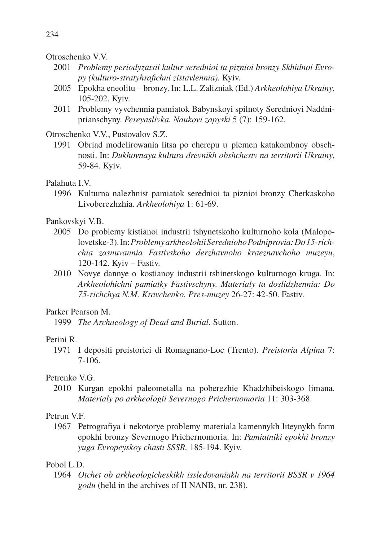# Otroschenko V.V.

- 2001 *Problemy periodyzatsii kultur serednioi ta piznioi bronzy Skhidnoi Evropy (kulturo-stratyhrafichni zistavlennia).* Kyiv.
- 2005 Epokha eneolitu bronzy. In: L.L. Zalizniak (Ed.) *Arkheolohiya Ukrainy,*  105-202. Kyiv.
- 2011 Problemy vyvchennia pamiatok Babynskoyi spilnoty Serednioyi Naddniprianschyny. *Pereyaslivka. Naukovi zapyski* 5 (7): 159-162.

Otroschenko V.V., Pustovalov S.Z.

1991 Obriad modelirowania litsa po cherepu u plemen katakombnoy obschnosti. In: *Dukhovnaya kultura drevnikh obshchestv na territorii Ukrainy,*  59-84. Kyiv.

### Palahuta I.V.

1996 Kulturna nalezhnist pamiatok serednioi ta piznioi bronzy Cherkaskoho Livoberezhzhia. *Arkheolohiya* 1: 61-69.

### Pankovskyi V.B.

- 2005 Do problemy kistianoi industrii tshynetskoho kulturnoho kola (Malopolovetske-3).In: *Problemy arkheolohii Serednioho Podniprovia: Do 15-richchia zasnuvannia Fastivskoho derzhavnoho kraeznavchoho muzeyu*, 120-142. Kyiv – Fastiv.
- 2010 Novye dannye o kostianoy industrii tshinetskogo kulturnogo kruga. In: *Arkheolohichni pamiatky Fastivschyny. Materialy ta doslidzhennia: Do 75-richchya N.M. Kravchenko. Pres-muzey* 26-27: 42-50. Fastiv.

# Parker Pearson M.

1999 *The Archaeology of Dead and Burial.* Sutton.

# Perini R.

1971 I depositi preistorici di Romagnano-Loc (Trento). *Preistoria Alpina* 7: 7-106.

# Petrenko V.G.

2010 Kurgan epokhi paleometalla na poberezhie Khadzhibeiskogo limana. *Materialy po arkheologii Severnogo Prichernomoria* 11: 303-368.

# Petrun V<sub>F</sub>

1967 Petrografiya i nekotorye problemy materiala kamennykh liteynykh form epokhi bronzy Severnogo Prichernomoria. In: *Pamiatniki epokhi bronzy yuga Evropeyskoy chasti SSSR,* 185-194. Kyiv.

# Pobol L.D.

1964 *Otchet ob arkheologicheskikh issledovaniakh na territorii BSSR v 1964 godu* (held in the archives of II NANB, nr. 238).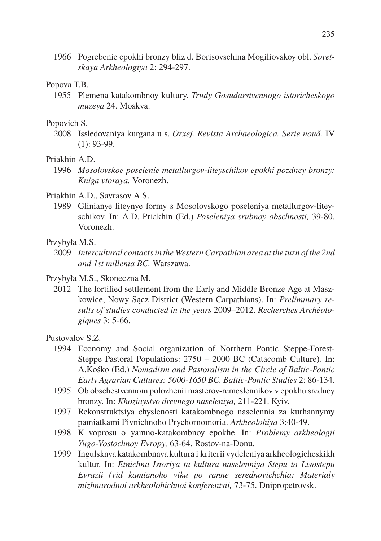1966 Pogrebenie epokhi bronzy bliz d. Borisovschina Mogiliovskoy obl. *Sovetskaya Arkheologiya* 2: 294-297.

#### Popova T.B.

1955 Plemena katakombnoy kultury. *Trudy Gosudarstvennogo istoricheskogo muzeya* 24. Moskva.

#### Popovich S.

2008 Issledovaniya kurgana u s. *Orxej. Revista Archaeologica. Serie nouǎ.* IV  $(1): 93-99.$ 

### Priakhin A.D.

1996 *Mosolovskoe poselenie metallurgov-liteyschikov epokhi pozdney bronzy: Kniga vtoraya.* Voronezh.

### Priakhin A.D., Savrasov A.S.

1989 Glinianye liteynye formy s Mosolovskogo poseleniya metallurgov-liteyschikov. In: A.D. Priakhin (Ed.) *Poseleniya srubnoy obschnosti,* 39-80. Voronezh.

# Przybyła M.S.

2009 *Intercultural contacts in the Western Carpathian area at the turn of the 2nd and 1st millenia BC.* Warszawa.

#### Przybyła M.S., Skoneczna M.

2012 The fortified settlement from the Early and Middle Bronze Age at Maszkowice, Nowy Sącz District (Western Carpathians). In: *Preliminary results of studies conducted in the years* 2009–2012. *Recherches Archéologiques* 3: 5-66.

### Pustovalov S.Z.

- 1994 Economy and Social organization of Northern Pontic Steppe-Forest-Steppe Pastoral Populations: 2750 – 2000 BC (Catacomb Culture)*.* In: A.Kośko (Ed.) *Nomadism and Pastoralism in the Circle of Baltic-Pontic Early Agrarian Cultures: 5000-1650 BC. Baltic-Pontic Studies* 2: 86-134.
- 1995 Ob obschestvennom polozhenii masterov-remeslennikov v epokhu sredney bronzy. In: *Khoziaystvo drevnego naseleniya,* 211-221. Kyiv.
- 1997 Rekonstruktsiya chyslenosti katakombnogo naselennia za kurhannymy pamiatkami Pivnichnoho Prychornomoria. *Arkheolohiya* 3:40-49.
- 1998 K voprosu o yamno-katakombnoy epokhe. In: *Problemy arkheologii Yugo-Vostochnoy Evropy,* 63-64. Rostov-na-Donu.
- 1999 Ingulskaya katakombnaya kultura i kriterii vydeleniya arkheologicheskikh kultur. In: *Etnichna Istoriya ta kultura naselenniya Stepu ta Lisostepu Evrazii (vid kamianoho viku po ranne serednovichchia: Materialy mizhnarodnoi arkheolohichnoi konferentsii,* 73-75. Dnipropetrovsk.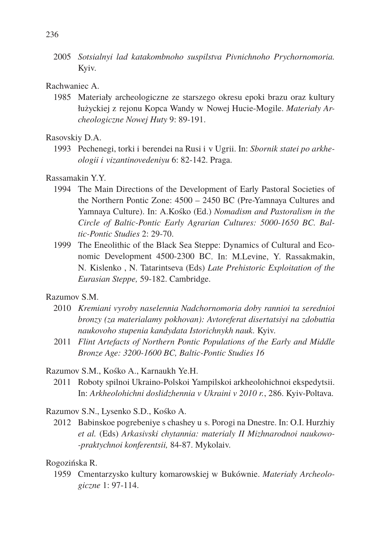2005 *Sotsialnyi lad katakombnoho suspilstva Pivnichnoho Prychornomoria.*  Kyiv.

# Rachwaniec A.

1985 Materiały archeologiczne ze starszego okresu epoki brazu oraz kultury łużyckiej z rejonu Kopca Wandy w Nowej Hucie-Mogile. *Materiały Archeologiczne Nowej Huty* 9: 89-191.

Rasovskiy D.A.

1993 Pechenegi, torki i berendei na Rusi i v Ugrii. In: *Sbornik statei po arkheologii i vizantinovedeniyu* 6: 82-142. Praga.

# Rassamakin Y.Y.

- 1994 The Main Directions of the Development of Early Pastoral Societies of the Northern Pontic Zone: 4500 – 2450 BC (Pre-Yamnaya Cultures and Yamnaya Culture). In: A.Kośko (Ed.) *Nomadism and Pastoralism in the Circle of Baltic-Pontic Early Agrarian Cultures: 5000-1650 BC. Baltic-Pontic Studies* 2: 29-70.
- 1999 The Eneolithic of the Black Sea Steppe: Dynamics of Cultural and Economic Development 4500-2300 BC. In: M.Levine, Y. Rassakmakin, N. Kislenko , N. Tatarintseva (Eds) *Late Prehistoric Exploitation of the Eurasian Steppe,* 59-182. Cambridge.

## Razumov S.M.

- 2010 *Kremiani vyroby naselennia Nadchornomoria doby rannioi ta serednioi bronzy (za materialamy pokhovan): Avtoreferat disertatsiyi na zdobuttia naukovoho stupenia kandydata Istorichnykh nauk.* Kyiv.
- 2011 *Flint Artefacts of Northern Pontic Populations of the Early and Middle Bronze Age: 3200-1600 BC, Baltic-Pontic Studies 16*

Razumov S.M., Kośko A., Karnaukh Ye.H.

2011 Roboty spilnoi Ukraino-Polskoi Yampilskoi arkheolohichnoi ekspedytsii. In: *Arkheolohichni doslidzhennia v Ukraini v 2010 r.*, 286. Kyiv-Poltava.

Razumov S.N., Lysenko S.D., Kośko A.

2012 Babinskoe pogrebeniye s chashey u s. Porogi na Dnestre. In: O.I. Hurzhiy *et al.* (Eds) *Arkasivski chytannia: materialy II Mizhnarodnoi naukowo- -praktychnoi konferentsii,* 84-87. Mykolaiv.

# Rogozińska R.

1959 Cmentarzysko kultury komarowskiej w Bukównie. *Materiały Archeologiczne* 1: 97-114.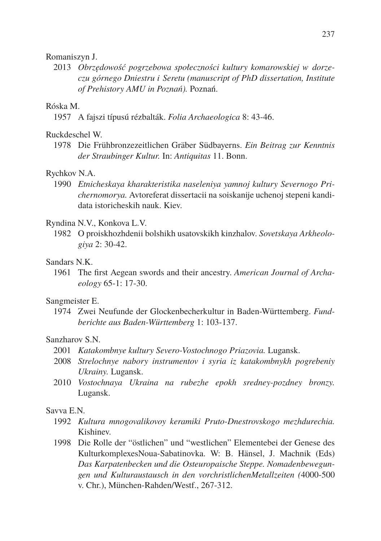#### Romaniszyn J.

2013 *Obrzędowość pogrzebowa społeczności kultury komarowskiej w dorzeczu górnego Dniestru i Seretu (manuscript of PhD dissertation, Institute of Prehistory AMU in Poznań).* Poznań.

# Róska M.

1957 A fajszi típusú rézbalták. *Folia Archaeologica* 8: 43-46.

#### Ruckdeschel W.

1978 Die Frühbronzezeitlichen Gräber Südbayerns. *Ein Beitrag zur Kenntnis der Straubinger Kultur.* In: *Antiquitas* 11. Bonn.

# Rychkov N.A.

1990 *Etnicheskaya kharakteristika naseleniya yamnoj kultury Severnogo Prichernomorya.* Avtoreferat dissertacii na soiskanije uchenoj stepeni kandidata istoricheskih nauk. Kiev.

#### Ryndina N.V., Konkova L.V.

1982 O proiskhozhdenii bolshikh usatovskikh kinzhalov. *Sovetskaya Arkheologiya* 2: 30-42.

# Sandars N.K.

1961 The first Aegean swords and their ancestry. *American Journal of Archaeology* 65-1: 17-30.

#### Sangmeister E.

1974 Zwei Neufunde der Glockenbecherkultur in Baden-Württemberg. *Fundberichte aus Baden-Württemberg* 1: 103-137.

## Sanzharov S.N.

- 2001 *Katakombnye kultury Severo-Vostochnogo Priazovia.* Lugansk.
- 2008 *Strelochnye nabory instrumentov i syria iz katakombnykh pogrebeniy Ukrainy.* Lugansk.
- 2010 *Vostochnaya Ukraina na rubezhe epokh sredney-pozdney bronzy.*  Lugansk.

### Savva E.N.

- 1992 *Kultura mnogovalikovoy keramiki Pruto-Dnestrovskogo mezhdurechia.*  Kishinev.
- 1998 Die Rolle der "östlichen" und "westlichen" Elementebei der Genese des KulturkomplexesNoua-Sabatinovka. W: B. Hänsel, J. Machnik (Eds) *Das Karpatenbecken und die Osteuropaische Steppe. Nomadenbewegungen und Kulturaustausch in den vorchristlichenMetallzeiten (*4000-500 v. Chr.), München-Rahden/Westf., 267-312.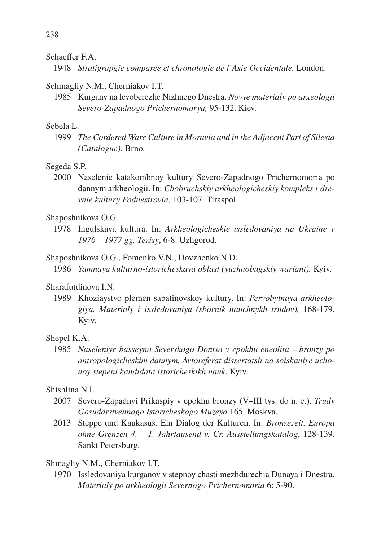# Schaeffer F.A.

1948 *Stratigrapgie comparee et chronologie de l`Asie Occidentale.* London.

### Schmagliy N.M., Cherniakov I.T.

1985 Kurgany na levoberezhe Nizhnego Dnestra. *Novye materialy po arxeologii Severo-Zapadnogo Prichernomorya,* 95-132. Kiev.

# Šebela L.

1999 *The Cordered Ware Culture in Moravia and in the Adjacent Part of Silesia (Catalogue).* Brno.

### Segeda S.P.

2000 Naselenie katakombnoy kultury Severo-Zapadnogo Prichernomoria po dannym arkheologii. In: *Chobruchskiy arkheologicheskiy kompleks i drevnie kultury Podnestrovia,* 103-107. Tiraspol.

### Shaposhnikova O.G.

1978 Ingulskaya kultura. In: *Arkheologicheskie issledovaniya na Ukraine v 1976 – 1977 gg. Tezisy*, 6-8. Uzhgorod.

## Shaposhnikova O.G., Fomenko V.N., Dovzhenko N.D.

1986 *Yamnaya kulturno-istoricheskaya oblast (yuzhnobugskiy wariant).* Kyiv.

### Sharafutdinova I.N.

1989 Khoziaystvo plemen sabatinovskoy kultury. In: *Pervobytnaya arkheologiya. Materialy i issledovaniya (sbornik nauchnykh trudov),* 168-179. Kyiv.

### Shepel K.A.

1985 *Naseleniye basseyna Severskogo Dontsa v epokhu eneolita – bronzy po antropologicheskim dannym. Avtoreferat dissertatsii na soiskaniye uchonoy stepeni kandidata istoricheskikh nauk*. Kyiv.

### Shishlina N.I.

- 2007 Severo-Zapadnyi Prikaspiy v epokhu bronzy (V–III tys. do n. e.). *Trudy Gosudarstvennogo Istoricheskogo Muzeya* 165. Moskva.
- 2013 Steppe und Kaukasus. Ein Dialog der Kulturen. In: *Bronzezeit. Europa ohne Grenzen 4. – 1. Jahrtausend v. Cr. Ausstellungskatalog*, 128-139. Sankt Petersburg.

# Shmagliy N.M., Cherniakov I.T.

1970 Issledovaniya kurganov v stepnoy chasti mezhdurechia Dunaya i Dnestra. *Materialy po arkheologii Severnogo Prichernomoria* 6: 5-90.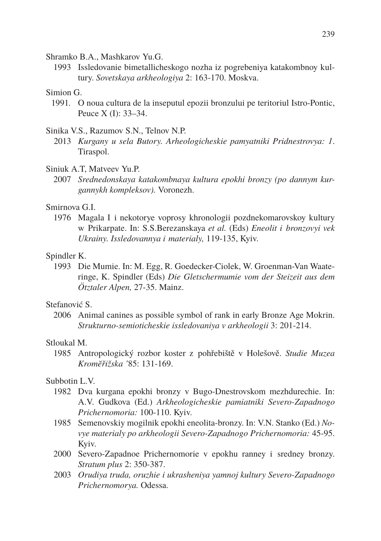Shramko B.A., Mashkarov Yu.G.

1993 Issledovanie bimetallicheskogo nozha iz pogrebeniya katakombnoy kultury. *Sovetskaya arkheologiya* 2: 163-170. Moskva.

### Simion G.

1991*.* O noua cultura de la inseputul epozii bronzului pe teritoriul Istro-Pontic, Peuce X (I): 33–34.

### Sinika V.S., Razumov S.N., Telnov N.P.

2013 *Kurgany u sela Butory. Arheologicheskie pamyatniki Pridnestrovya: 1*. Tiraspol.

# Siniuk A.T, Matveev Yu.P.

2007 *Srednedonskaya katakombnaya kultura epokhi bronzy (po dannym kurgannykh kompleksov).* Voronezh.

### Smirnova G.I.

1976 Magala I i nekotorye voprosy khronologii pozdnekomarovskoy kultury w Prikarpate. In: S.S.Berezanskaya *et al.* (Eds) *Eneolit i bronzovyi vek Ukrainy. Issledovannya i materialy,* 119-135, Kyiv.

#### Spindler K.

1993 Die Mumie. In: M. Egg, R. Goedecker-Ciolek, W. Groenman-Van Waateringe, K. Spindler (Eds) *Die Gletschermumie vom der Steizeit aus dem Ötztaler Alpen,* 27-35. Mainz.

## Stefanović S.

2006 Animal canines as possible symbol of rank in early Bronze Age Mokrin. *Strukturno-semioticheskie issledovaniya v arkheologii* 3: 201-214.

### Stloukal M.

1985 Antropologický rozbor koster z pohřebiště v Holešově. *Studie Muzea Kromĕřižska '*85: 131-169.

### Subbotin L.V.

- 1982 Dva kurgana epokhi bronzy v Bugo-Dnestrovskom mezhdurechie. In: A.V. Gudkova (Ed.) *Arkheologicheskie pamiatniki Severo-Zapadnogo Prichernomoria:* 100-110. Kyiv.
- 1985 Semenovskiy mogilnik epokhi eneolita-bronzy. In: V.N. Stanko (Ed.) *Novye materialy po arkheologii Severo-Zapadnogo Prichernomoria:* 45-95. Kyiv.
- 2000 Severo-Zapadnoe Prichernomorie v epokhu ranney i sredney bronzy. *Stratum plus* 2: 350-387.
- 2003 *Orudiya truda, oruzhie i ukrasheniya yamnoj kultury Severo-Zapadnogo Prichernomorya.* Odessa.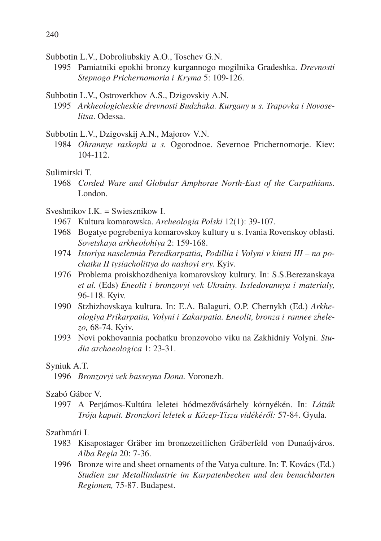- Subbotin L.V., Dobroliubskiy A.O., Toschev G.N.
	- 1995 Pamiatniki epokhi bronzy kurgannogo mogilnika Gradeshka. *Drevnosti Stepnogo Prichernomoria i Kryma* 5: 109-126.
- Subbotin L.V., Ostroverkhov A.S., Dzigovskiy A.N.
	- 1995 *Arkheologicheskie drevnosti Budzhaka. Kurgany u s. Trapovka i Novoselitsa*. Odessa.
- Subbotin L.V., Dzigovskij A.N., Majorov V.N.
	- 1984 *Ohrannye raskopki u s.* Ogorodnoe. Severnoe Prichernomorje. Kiev: 104-112.
- Sulimirski T.
	- 1968 *Corded Ware and Globular Amphorae North-East of the Carpathians.*  London.
- Sveshnikov I.K. = Swiesznikow I.
	- 1967 Kultura komarowska. *Archeologia Polski* 12(1): 39-107.
	- 1968 Bogatye pogrebeniya komarovskoy kultury u s. Ivania Rovenskoy oblasti. *Sovetskaya arkheolohiya* 2: 159-168.
	- 1974 *Istoriya naselennia Peredkarpattia, Podillia i Volyni v kintsi III na pochatku II tysiacholittya do nashoyi ery.* Kyiv.
	- 1976 Problema proiskhozdheniya komarovskoy kultury. In: S.S.Berezanskaya *et al.* (Eds) *Eneolit i bronzovyi vek Ukrainy. Issledovannya i materialy,*  96-118. Kyiv.
	- 1990 Stzhizhovskaya kultura. In: E.A. Balaguri, O.P. Chernykh (Ed.) *Arkheologiya Prikarpatia, Volyni i Zakarpatia. Eneolit, bronza i rannee zhelezo,* 68-74. Kyiv.
	- 1993 Novi pokhovannia pochatku bronzovoho viku na Zakhidniy Volyni. *Studia archaeologica* 1: 23-31.

#### Syniuk A.T.

1996 *Bronzovyi vek basseyna Dona.* Voronezh.

# Szabó Gábor V.

1997 A Perjámos-Kultúra leletei hódmezővásárhely környékén. In: *Látták Trója kapuit. Bronzkori leletek a Közep-Tisza vidékéről:* 57-84. Gyula.

# Szathmári I.

- 1983 Kisapostager Gräber im bronzezeitlichen Gräberfeld von Dunaújváros. *Alba Regia* 20: 7-36.
- 1996 Bronze wire and sheet ornaments of the Vatya culture. In: T. Kovács (Ed.) *Studien zur Metallindustrie im Karpatenbecken und den benachbarten Regionen,* 75-87. Budapest.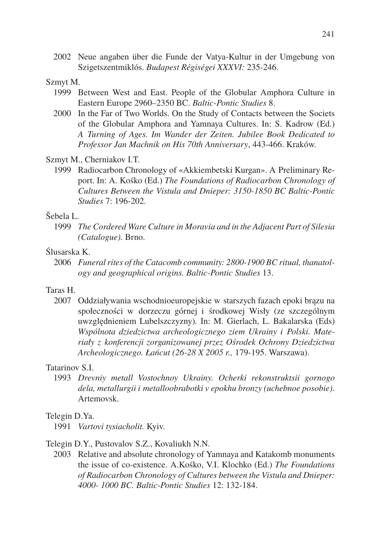2002 Neue angaben über die Funde der Vatya-Kultur in der Umgebung von Szigetszentmiklós. *Budapest Régiségei XXXVI:* 235-246.

# Szmyt M.

- 1999 Between West and East. People of the Globular Amphora Culture in Eastern Europe 2960–2350 BC. *Baltic-Pontic Studies* 8.
- 2000 In the Far of Two Worlds. On the Study of Contacts between the Societs of the Globular Amphora and Yamnaya Cultures. In: S. Kadrow (Ed.) *A Turning of Ages. Im Wander der Zeiten. Jubilee Book Dedicated to Professor Jan Machnik on His 70th Anniversary*, 443-466. Kraków.

### Szmyt M., Cherniakov I.T.

1999 Radiocarbon Chronology of «Akkiembetski Kurgan». A Preliminary Report. In: A. Kośko (Ed.) *The Foundations of Radiocarbon Chronology of Cultures Between the Vistula and Dnieper: 3150-1850 BC Baltic-Pontic Studies* 7: 196-202.

### Šebela L.

1999 *The Cordered Ware Culture in Moravia and in the Adjacent Part of Silesia (Catalogue).* Brno.

# Ślusarska K.

2006 *Funeral rites of the Catacomb community: 2800-1900 BC ritual, thanatology and geographical origins. Baltic-Pontic Studies* 13.

#### Taras H.

2007 Oddziaływania wschodnioeuropejskie w starszych fazach epoki brązu na społeczności w dorzeczu górnej i środkowej Wisły (ze szczególnym uwzględnieniem Lubelszczyzny)*.* In: M. Gierlach, L. Bakalarska (Eds) *Wspólnota dziedzictwa archeologicznego ziem Ukrainy i Polski. Materiały z konferencji zorganizowanej przez Ośrodek Ochrony Dziedzictwa Archeologicznego. Łańcut (26-28 X 2005 r.,* 179-195. Warszawa).

# Tatarinov S.I.

1993 *Drevniy metall Vostochnoy Ukrainy. Ocherki rekonstruktsii gornogo dela, metallurgii i metalloobrabotki v epokhu bronzy (uchebnoe posobie)*. Artemovsk.

#### Telegin D.Ya.

1991 *Vartovi tysiacholit.* Kyiv.

#### Telegin D.Y., Pustovalov S.Z., Kovaliukh N.N.

2003 Relative and absolute chronology of Yamnaya and Katakomb monuments the issue of co-existence. A.Kośko, V.I. Klochko (Ed.) *The Foundations of Radiocarbon Chronology of Cultures between the Vistula and Dnieper: 4000- 1000 BC. Baltic-Pontic Studies* 12: 132-184.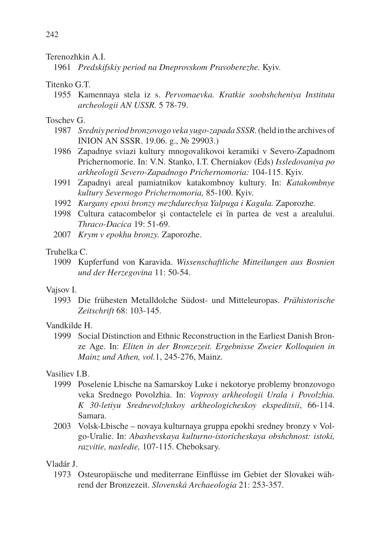### Terenozhkin A.I.

1961 *Predskifskiy period na Dneprovskom Pravoberezhe.* Kyiv.

# Titenko G.T.

1955 Kamennaya stela iz s. *Pervomaevka. Kratkie soobshcheniya Instituta archeologii AN USSR.* 5 78-79.

# Toschev G.

- 1987 *Sredniy period bronzovogo veka yugo-zapada SSSR.* (held in the archives of INION AN SSSR. 19.06. g., № 29903.)
- 1986 Zapadnye sviazi kultury mnogovalikovoi keramiki v Severo-Zapadnom Prichernomorie. In: V.N. Stanko, I.T. Cherniakov (Eds) *Issledovaniya po arkheologii Severo-Zapadnogo Prichernomoria:* 104-115. Kyiv.
- 1991 Zapadnyi areal pamiatnikov katakombnoy kultury. In: *Katakombnye kultury Severnogo Prichernomoria,* 85-100. Kyiv.
- 1992 *Kurgany epoxi bronzy mezhdurechya Yalpuga i Kagula.* Zaporozhe.
- 1998 Cultura catacombelor şi contactelele ei în partea de vest a arealului. *Thraco-Dacica* 19: 51-69.
- 2007 *Krym v epokhu bronzy.* Zaporozhe.

# Truhelka C.

1909 Kupferfund von Karavida. *Wissenschaftliche Mitteilungen aus Bosnien und der Herzegovina* 11: 50-54.

### Vajsov I.

1993 Die frühesten Metalldolche Südost- und Mitteleuropas. *Prähistorische Zeitschrift* 68: 103-145.

### Vandkilde H.

1999 Social Distinction and Ethnic Reconstruction in the Earliest Danish Bronze Age. In: *Eliten in der Bronzezeit. Ergebnisse Zweier Kolloquien in Mainz und Athen, vol.*1, 245-276, Mainz.

### Vasiliev I.B.

- 1999 Poselenie Lbische na Samarskoy Luke i nekotorye problemy bronzovogo veka Srednego Povolzhia. In: *Voprosy arkheologii Urala i Povolzhia. K 30-letiyu Srednevolzhskoy arkheologicheskoy ekspeditsii*, 66-114. Samara.
- 2003 Volsk-Lbische novaya kulturnaya gruppa epokhi sredney bronzy v Volgo-Uralie. In: *Abashevskaya kulturno-istoricheskaya obshchnost: istoki, razvitie, nasledie,* 107-115. Cheboksary.

# Vladár J.

1973 Osteuropäische und mediterrane Einflüsse im Gebiet der Slovakei während der Bronzezeit. *Slovenská Archaeologia* 21: 253-357.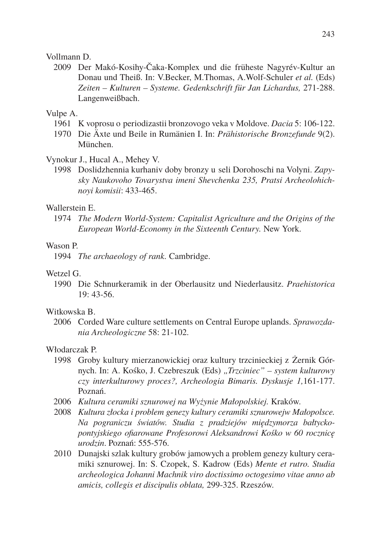## Vollmann D.

2009 Der Makó-Kosihy-Čaka-Komplex und die früheste Nagyrév-Kultur an Donau und Theiß. In: V.Becker, M.Thomas, A.Wolf-Schuler *et al.* (Eds) *Zeiten – Kulturen – Systeme. Gedenkschrift für Jan Lichardus,* 271-288. Langenweißbach.

### Vulpe A.

- 1961 K voprosu o periodizastii bronzovogo veka v Moldove. *Dacia* 5: 106-122.
- 1970 Die Äxte und Beile in Rumänien I. In: *Prähistorische Bronzefunde* 9(2). München.

### Vynokur J., Hucal A., Mehey V.

1998 Doslidzhennia kurhaniv doby bronzy u seli Dorohoschi na Volyni. *Zapysky Naukovoho Tovarystva imeni Shevchenka 235, Pratsi Archeolohichnoyi komisii*: 433-465.

#### Wallerstein E.

1974 *The Modern World-System: Capitalist Agriculture and the Origins of the European World-Economy in the Sixteenth Century.* New York.

### Wason P.

1994 *The archaeology of rank.* Cambridge.

#### Wetzel G.

1990 Die Schnurkeramik in der Oberlausitz und Niederlausitz. *Praehistorica*  19: 43-56.

### Witkowska B.

2006 Corded Ware culture settlements on Central Europe uplands. *Sprawozdania Archeologiczne* 58: 21-102.

### Włodarczak P.

- 1998 Groby kultury mierzanowickiej oraz kultury trzcinieckiej z Żernik Górnych. In: A. Kośko, J. Czebreszuk (Eds) "*Trzciniec" – system kulturowy czy interkulturowy proces?, Archeologia Bimaris. Dyskusje 1,*161-177. Poznań.
- 2006 *Kultura ceramiki sznurowej na Wyżynie Małopolskiej.* Kraków.
- 2008 *Kultura złocka i problem genezy kultury ceramiki sznurowejw Małopolsce. Na pograniczu światów. Studia z pradziejów międzymorza bałtyckopontyjskiego ofiarowane Profesorowi Aleksandrowi Kośko w 60 rocznicę urodzin*. Poznań: 555-576.
- 2010 Dunajski szlak kultury grobów jamowych a problem genezy kultury ceramiki sznurowej. In: S. Czopek, S. Kadrow (Eds) *Mente et rutro. Studia archeologica Johanni Machnik viro doctissimo octogesimo vitae anno ab amicis, collegis et discipulis oblata,* 299-325. Rzeszów.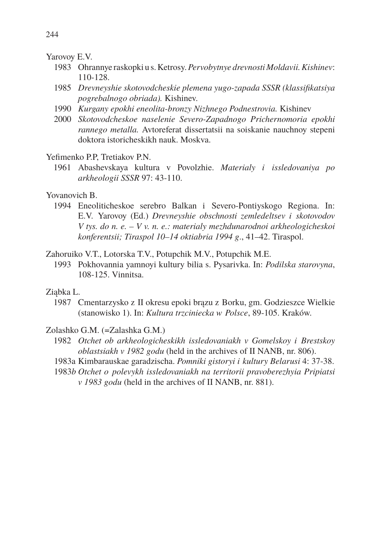### Yarovoy E.V.

- 1983 Ohrannye raskopki u s.Ketrosy.*Pervobytnye drevnosti Moldavii. Kishinev*: 110-128.
- 1985 *Drevneyshie skotovodcheskie plemena yugo-zapada SSSR (klassifikatsiya pogrebalnogo obriada).* Kishinev.
- 1990 *Kurgany epokhi eneolita-bronzy Nizhnego Podnestrovia.* Kishinev
- 2000 *Skotovodcheskoe naselenie Severo-Zapadnogo Prichernomoria epokhi rannego metalla.* Avtoreferat dissertatsii na soiskanie nauchnoy stepeni doktora istoricheskikh nauk. Moskva.
- Yefimenko P.P, Tretiakov P.N.
	- 1961 Abashevskaya kultura v Povolzhie. *Materialy i issledovaniya po arkheologii SSSR* 97: 43-110.

## Yovanovich B.

1994 Eneoliticheskoe serebro Balkan i Severo-Pontiyskogo Regiona. In: E.V. Yarovoy (Ed.) *Drevneyshie obschnosti zemledeltsev i skotovodov V tys. do n. e. – V v. n. e.: materialy mezhdunarodnoi arkheologicheskoi konferentsii; Tiraspol 10–14 oktiabria 1994 g*., 41–42. Tiraspol.

Zahoruiko V.T., Lotorska T.V., Potupchik M.V., Potupchik M.E.

1993 Pokhovannia yamnoyi kultury bilia s. Pysarivka. In: *Podilska starovyna*, 108-125. Vinnitsa.

# Ziąbka L.

1987 Cmentarzysko z II okresu epoki brązu z Borku, gm. Godzieszce Wielkie (stanowisko 1). In: *Kultura trzciniecka w Polsce*, 89-105. Kraków.

# Zolashko G.M. (=Zalashka G.M.)

- 1982 *Otchet ob arkheologicheskikh issledovaniakh v Gomelskoy i Brestskoy oblastsiakh v 1982 godu* (held in the archives of II NANB, nr. 806).
- 1983a Kimbarauskae garadzischa. *Pomniki gistoryi i kultury Belarusi* 4: 37-38.
- 1983*b Otchet o polevykh issledovaniakh na territorii pravoberezhyia Pripiatsi v 1983 godu* (held in the archives of II NANB, nr. 881).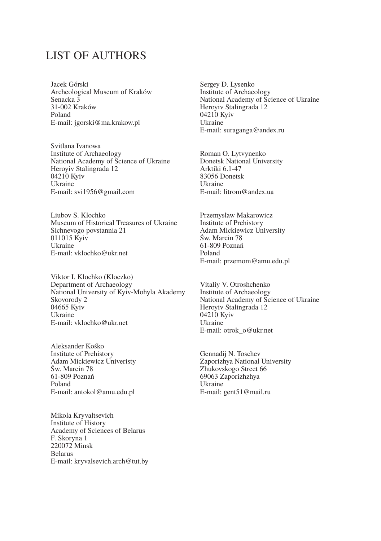# LIST OF AUTHORS

Jacek Górski Archeological Museum of Kraków Senacka 3 31-002 Kraków Poland E-mail: jgorski@ma.krakow.pl

Svitlana Ivanowa Institute of Archaeology National Academy of Science of Ukraine Heroyiv Stalingrada 12 04210 Kyiv Ukraine E-mail: svi1956@gmail.com

Liubov S. Klochko Museum of Historical Treasures of Ukraine Sichnevogo povstannia 21 011015 Kyiv Ukraine E-mail: vklochko@ukr.net

Viktor I. Klochko (Kloczko) Department of Archaeology National University of Kyiv-Mohyla Akademy Skovorody 2 04665 Kyiv Ukraine E-mail: vklochko@ukr.net

Aleksander Kośko Institute of Prehistory Adam Mickiewicz Univeristy Św. Marcin 78 61-809 Poznań Poland E-mail: antokol@amu.edu.pl

Mikola Kryvaltsevich Institute of History Academy of Sciences of Belarus F. Skoryna 1 220072 Minsk Belarus E-mail: kryvalsevich.arch@tut.by

Sergey D. Lysenko Institute of Archaeology National Academy of Science of Ukraine Heroyiv Stalingrada 12 04210 Kyiv Ukraine E-mail: suraganga@andex.ru

Roman O. Lytvynenko Donetsk National University Arktiki 6.1-47 83056 Donetsk Ukraine E-mail: litrom@andex.ua

Przemysław Makarowicz Institute of Prehistory Adam Mickiewicz University Św. Marcin 78 61-809 Poznań Poland E-mail: przemom@amu.edu.pl

Vitaliy V. Otroshchenko Institute of Archaeology National Academy of Science of Ukraine Heroyiv Stalingrada 12 04210 Kyiv Ukraine E-mail: otrok\_o@ukr.net

Gennadij N. Toschev Zaporizhya National University Zhukovskogo Street 66 69063 Zaporizhzhya Ukraine E-mail: gent51@mail.ru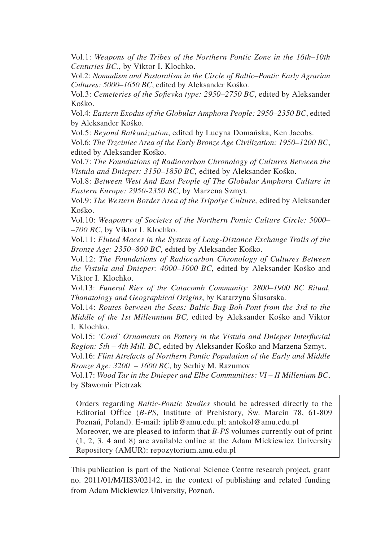Vol.1: *Weapons of the Tribes of the Northern Pontic Zone in the 16th–10th Centuries BC.*, by Viktor I. Klochko.

Vol.2: *Nomadism and Pastoralism in the Circle of Baltic–Pontic Early Agrarian Cultures: 5000–1650 BC*, edited by Aleksander Kośko.

Vol.3: *Cemeteries of the Sofievka type: 2950–2750 BC*, edited by Aleksander Kośko.

Vol.4: *Eastern Exodus of the Globular Amphora People: 2950–2350 BC*, edited by Aleksander Kośko.

Vol.5: *Beyond Balkanization*, edited by Lucyna Domańska, Ken Jacobs.

Vol.6: *The Trzciniec Area of the Early Bronze Age Civilization: 1950–1200 BC*, edited by Aleksander Kośko.

Vol.7: *The Foundations of Radiocarbon Chronology of Cultures Between the Vistula and Dnieper: 3150–1850 BC,* edited by Aleksander Kośko.

Vol.8: *Between West And East People of The Globular Amphora Culture in Eastern Europe: 2950-2350 BC*, by Marzena Szmyt.

Vol.9: *The Western Border Area of the Tripolye Culture,* edited by Aleksander Kośko.

Vol.10: *Weaponry of Societes of the Northern Pontic Culture Circle: 5000– –700 BC*, by Viktor I. Klochko.

Vol.11: *Fluted Maces in the System of Long-Distance Exchange Trails of the Bronze Age: 2350–800 BC*, edited by Aleksander Kośko.

Vol.12: *The Foundations of Radiocarbon Chronology of Cultures Between the Vistula and Dnieper: 4000–1000 BC,* edited by Aleksander Kośko and Viktor I. Klochko.

Vol.13: *Funeral Ries of the Catacomb Community: 2800–1900 BC Ritual, Thanatology and Geographical Origins*, by Katarzyna Ślusarska.

Vol.14: *Routes between the Seas: Baltic-Bug-Boh-Pont from the 3rd to the Middle of the 1st Millennium BC,* edited by Aleksander Kośko and Viktor I. Klochko.

Vol.15: *'Cord' Ornaments on Pottery in the Vistula and Dnieper Interfluvial Region: 5th – 4th Mill. BC*, edited by Aleksander Kośko and Marzena Szmyt.

Vol.16: *Flint Atrefacts of Northern Pontic Population of the Early and Middle Bronze Age: 3200 – 1600 BC*, by Serhiy M. Razumov

Vol.17: *Wood Tar in the Dnieper and Elbe Communities: VI – II Millenium BC*, by Sławomir Pietrzak

Orders regarding *Baltic-Pontic Studies* should be adressed directly to the Editorial Office (*B-PS*, Institute of Prehistory, Św. Marcin 78, 61-809 Poznań, Poland). E-mail: iplib@amu.edu.pl; antokol@amu.edu.pl Moreover, we are pleased to inform that *B-PS* volumes currently out of print (1, 2, 3, 4 and 8) are available online at the Adam Mickiewicz University Repository (AMUR): repozytorium.amu.edu.pl

This publication is part of the National Science Centre research project, grant no. 2011/01/M/HS3/02142, in the context of publishing and related funding from Adam Mickiewicz University, Poznań.